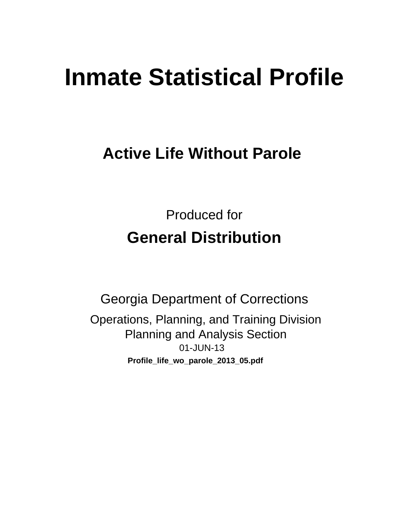# **Inmate Statistical Profile**

## **Active Life Without Parole**

**Produced for General Distribution** 

**Georgia Department of Corrections** Operations, Planning, and Training Division **Planning and Analysis Section** 01-JUN-13 Profile\_life\_wo\_parole\_2013\_05.pdf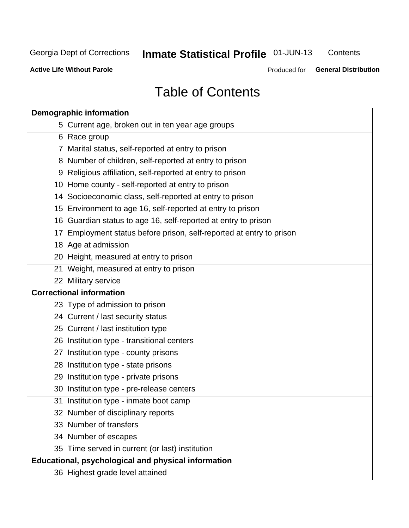## **Inmate Statistical Profile 01-JUN-13**

Contents

**Active Life Without Parole** 

Produced for General Distribution

## **Table of Contents**

| <b>Demographic information</b>                                       |
|----------------------------------------------------------------------|
| 5 Current age, broken out in ten year age groups                     |
| 6 Race group                                                         |
| 7 Marital status, self-reported at entry to prison                   |
| 8 Number of children, self-reported at entry to prison               |
| 9 Religious affiliation, self-reported at entry to prison            |
| 10 Home county - self-reported at entry to prison                    |
| 14 Socioeconomic class, self-reported at entry to prison             |
| 15 Environment to age 16, self-reported at entry to prison           |
| 16 Guardian status to age 16, self-reported at entry to prison       |
| 17 Employment status before prison, self-reported at entry to prison |
| 18 Age at admission                                                  |
| 20 Height, measured at entry to prison                               |
| 21 Weight, measured at entry to prison                               |
| 22 Military service                                                  |
| <b>Correctional information</b>                                      |
| 23 Type of admission to prison                                       |
| 24 Current / last security status                                    |
| 25 Current / last institution type                                   |
| 26 Institution type - transitional centers                           |
| 27 Institution type - county prisons                                 |
| 28 Institution type - state prisons                                  |
| 29 Institution type - private prisons                                |
| 30 Institution type - pre-release centers                            |
| 31 Institution type - inmate boot camp                               |
| 32 Number of disciplinary reports                                    |
| 33 Number of transfers                                               |
| 34 Number of escapes                                                 |
| 35 Time served in current (or last) institution                      |
| <b>Educational, psychological and physical information</b>           |
| 36 Highest grade level attained                                      |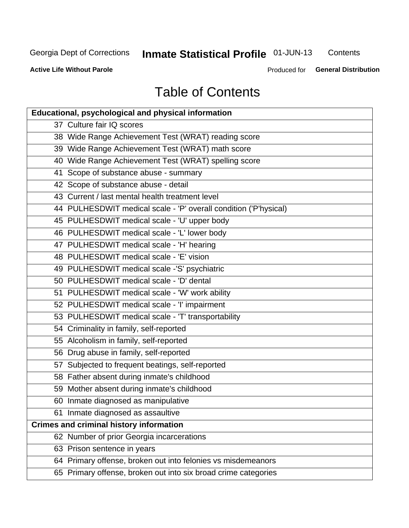## **Inmate Statistical Profile 01-JUN-13**

Contents

**Active Life Without Parole** 

Produced for General Distribution

## **Table of Contents**

| <b>Educational, psychological and physical information</b>       |
|------------------------------------------------------------------|
| 37 Culture fair IQ scores                                        |
| 38 Wide Range Achievement Test (WRAT) reading score              |
| 39 Wide Range Achievement Test (WRAT) math score                 |
| 40 Wide Range Achievement Test (WRAT) spelling score             |
| 41 Scope of substance abuse - summary                            |
| 42 Scope of substance abuse - detail                             |
| 43 Current / last mental health treatment level                  |
| 44 PULHESDWIT medical scale - 'P' overall condition ('P'hysical) |
| 45 PULHESDWIT medical scale - 'U' upper body                     |
| 46 PULHESDWIT medical scale - 'L' lower body                     |
| 47 PULHESDWIT medical scale - 'H' hearing                        |
| 48 PULHESDWIT medical scale - 'E' vision                         |
| 49 PULHESDWIT medical scale -'S' psychiatric                     |
| 50 PULHESDWIT medical scale - 'D' dental                         |
| 51 PULHESDWIT medical scale - 'W' work ability                   |
| 52 PULHESDWIT medical scale - 'I' impairment                     |
| 53 PULHESDWIT medical scale - 'T' transportability               |
| 54 Criminality in family, self-reported                          |
| 55 Alcoholism in family, self-reported                           |
| 56 Drug abuse in family, self-reported                           |
| 57 Subjected to frequent beatings, self-reported                 |
| 58 Father absent during inmate's childhood                       |
| 59 Mother absent during inmate's childhood                       |
| 60 Inmate diagnosed as manipulative                              |
| 61 Inmate diagnosed as assaultive                                |
| <b>Crimes and criminal history information</b>                   |
| 62 Number of prior Georgia incarcerations                        |
| 63 Prison sentence in years                                      |
| 64 Primary offense, broken out into felonies vs misdemeanors     |
| 65 Primary offense, broken out into six broad crime categories   |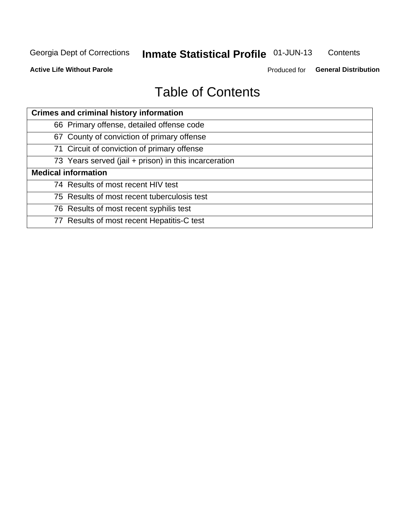## **Inmate Statistical Profile 01-JUN-13**

Contents

**Active Life Without Parole** 

Produced for General Distribution

## **Table of Contents**

| <b>Crimes and criminal history information</b>        |
|-------------------------------------------------------|
| 66 Primary offense, detailed offense code             |
| 67 County of conviction of primary offense            |
| 71 Circuit of conviction of primary offense           |
| 73 Years served (jail + prison) in this incarceration |
| <b>Medical information</b>                            |
| 74 Results of most recent HIV test                    |
| 75 Results of most recent tuberculosis test           |
| 76 Results of most recent syphilis test               |
| 77 Results of most recent Hepatitis-C test            |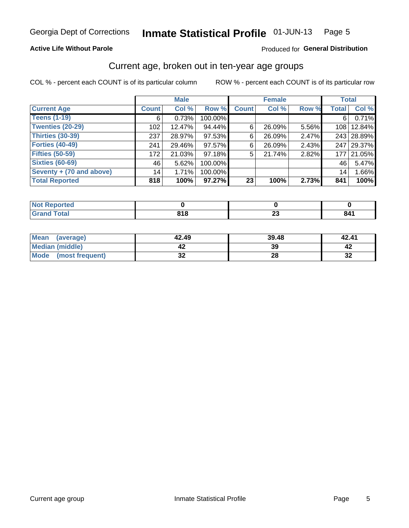#### Inmate Statistical Profile 01-JUN-13 Page 5

#### **Active Life Without Parole**

#### Produced for General Distribution

## Current age, broken out in ten-year age groups

COL % - percent each COUNT is of its particular column

|                          |              | <b>Male</b> |         |                 | <b>Female</b> |       |                  | <b>Total</b> |
|--------------------------|--------------|-------------|---------|-----------------|---------------|-------|------------------|--------------|
| <b>Current Age</b>       | <b>Count</b> | Col %       | Row %   | <b>Count</b>    | Col %         | Row % | <b>Total</b>     | Col %        |
| <b>Teens (1-19)</b>      | 6            | 0.73%       | 100.00% |                 |               |       | 6'               | 0.71%        |
| <b>Twenties (20-29)</b>  | 102          | 12.47%      | 94.44%  | 6               | 26.09%        | 5.56% | 108 <sup>1</sup> | 12.84%       |
| Thirties (30-39)         | 237          | 28.97%      | 97.53%  | 6               | 26.09%        | 2.47% |                  | 243 28.89%   |
| <b>Forties (40-49)</b>   | 241          | 29.46%      | 97.57%  | 6               | 26.09%        | 2.43% |                  | 247 29.37%   |
| <b>Fifties (50-59)</b>   | 172          | 21.03%      | 97.18%  | 5               | 21.74%        | 2.82% | 177              | 21.05%       |
| <b>Sixties (60-69)</b>   | 46           | 5.62%       | 100.00% |                 |               |       | 46               | 5.47%        |
| Seventy + (70 and above) | 14           | 1.71%       | 100.00% |                 |               |       | 14 <sub>1</sub>  | 1.66%        |
| <b>Total Reported</b>    | 818          | 100%        | 97.27%  | 23 <sub>1</sub> | 100%          | 2.73% | 841              | 100%         |

| <b>A. A. A.</b> |     |                          |       |
|-----------------|-----|--------------------------|-------|
| $C = 4 - 7$     | 040 | $\overline{\phantom{a}}$ | m     |
| ______          | __  | ∼∸                       | - - - |

| <b>Mean</b><br>(average) | 42.49    | 39.48 | 42.41    |
|--------------------------|----------|-------|----------|
| Median (middle)          |          | 39    |          |
| Mode<br>(most frequent)  | ^^<br>◡▴ | 28    | n,<br>⊾ت |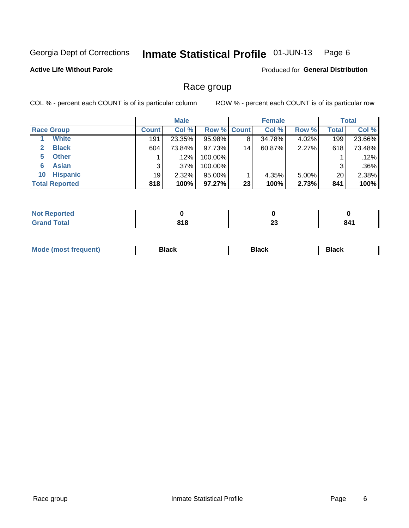#### Inmate Statistical Profile 01-JUN-13 Page 6

#### **Active Life Without Parole**

**Produced for General Distribution** 

## Race group

COL % - percent each COUNT is of its particular column

|                              |              | <b>Male</b> |                    |    | <b>Female</b> |          |              | <b>Total</b> |
|------------------------------|--------------|-------------|--------------------|----|---------------|----------|--------------|--------------|
| <b>Race Group</b>            | <b>Count</b> | Col %       | <b>Row % Count</b> |    | Col %         | Row %    | <b>Total</b> | Col %        |
| <b>White</b>                 | 191          | 23.35%      | 95.98%             | 8  | 34.78%        | 4.02%    | 199          | 23.66%       |
| <b>Black</b><br>$\mathbf{2}$ | 604          | 73.84%      | 97.73%             | 14 | 60.87%        | 2.27%    | 618          | 73.48%       |
| <b>Other</b><br>5.           |              | $.12\%$     | 100.00%            |    |               |          |              | .12%         |
| <b>Asian</b><br>6            | 3            | $.37\%$     | 100.00%            |    |               |          | 3            | $.36\%$      |
| <b>Hispanic</b><br>10        | 19           | $2.32\%$    | 95.00%             |    | 4.35%         | $5.00\%$ | 20           | 2.38%        |
| <b>Total Reported</b>        | 818          | 100%        | $97.27\%$          | 23 | 100%          | 2.73%    | 841          | 100%         |

| <b>rted</b>  |                      |                                |     |
|--------------|----------------------|--------------------------------|-----|
| <b>Total</b> | 040<br>0 I O<br>$ -$ | $\overline{\phantom{a}}$<br>ZJ | 841 |

| M | --- | $-1$ |
|---|-----|------|
|   |     |      |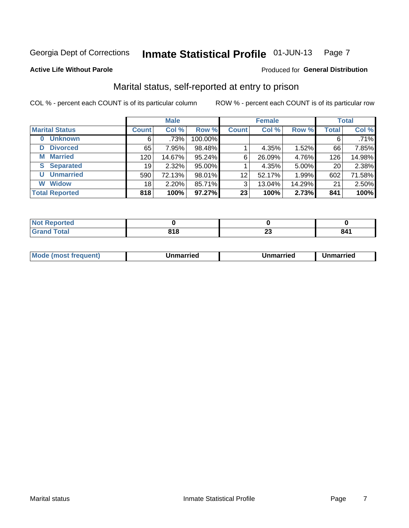#### Inmate Statistical Profile 01-JUN-13 Page 7

#### **Active Life Without Parole**

#### Produced for General Distribution

## Marital status, self-reported at entry to prison

COL % - percent each COUNT is of its particular column

|                            | <b>Male</b>  |         |         | <b>Female</b>   |        |        | <b>Total</b> |        |
|----------------------------|--------------|---------|---------|-----------------|--------|--------|--------------|--------|
| <b>Marital Status</b>      | <b>Count</b> | Col %   | Row %   | <b>Count</b>    | Col %  | Row %  | <b>Total</b> | Col %  |
| <b>Unknown</b><br>$\bf{0}$ | 6            | $.73\%$ | 100.00% |                 |        |        | 6            | .71%   |
| <b>Divorced</b><br>D       | 65           | 7.95%   | 98.48%  |                 | 4.35%  | 1.52%  | 66           | 7.85%  |
| <b>Married</b><br>М        | 120          | 14.67%  | 95.24%  | 6               | 26.09% | 4.76%  | 126          | 14.98% |
| <b>Separated</b><br>S      | 19           | 2.32%   | 95.00%  |                 | 4.35%  | 5.00%  | 20           | 2.38%  |
| <b>Unmarried</b><br>U      | 590          | 72.13%  | 98.01%  | 12              | 52.17% | 1.99%  | 602          | 71.58% |
| <b>Widow</b><br>W          | 18           | 2.20%   | 85.71%  | 3               | 13.04% | 14.29% | 21           | 2.50%  |
| <b>Total Reported</b>      | 818          | 100%    | 97.27%  | 23 <sup>1</sup> | 100%   | 2.73%  | 841          | 100%   |

| prted<br><b>NOT REPO</b><br>. <b>.</b> <u>.</u> |               |          |        |
|-------------------------------------------------|---------------|----------|--------|
| <b>Total</b>                                    | 64 C<br>. I C | ~~<br>__ | ี่ 841 |

|  | M | . | Unmarried | າmarried<br>_____ |
|--|---|---|-----------|-------------------|
|--|---|---|-----------|-------------------|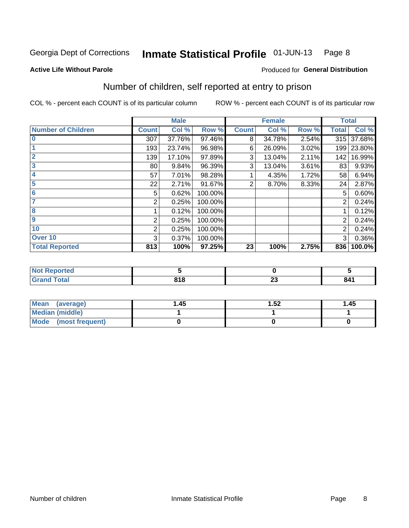#### Inmate Statistical Profile 01-JUN-13 Page 8

#### **Active Life Without Parole**

#### Produced for General Distribution

## Number of children, self reported at entry to prison

COL % - percent each COUNT is of its particular column

|                           |              | <b>Male</b> |         |              | <b>Female</b> |       | <b>Total</b> |            |
|---------------------------|--------------|-------------|---------|--------------|---------------|-------|--------------|------------|
| <b>Number of Children</b> | <b>Count</b> | Col %       | Row %   | <b>Count</b> | Col %         | Row % | Total        | Col %      |
| $\bf{0}$                  | 307          | 37.76%      | 97.46%  | 8            | 34.78%        | 2.54% |              | 315 37.68% |
|                           | 193          | 23.74%      | 96.98%  | 6            | 26.09%        | 3.02% | 199          | 23.80%     |
| $\overline{2}$            | 139          | 17.10%      | 97.89%  | 3            | 13.04%        | 2.11% | 142          | 16.99%     |
| 3                         | 80           | 9.84%       | 96.39%  | 3            | 13.04%        | 3.61% | 83           | 9.93%      |
| 4                         | 57           | 7.01%       | 98.28%  |              | 4.35%         | 1.72% | 58           | 6.94%      |
| 5                         | 22           | 2.71%       | 91.67%  | 2            | 8.70%         | 8.33% | 24           | 2.87%      |
| $6\phantom{1}6$           | 5            | 0.62%       | 100.00% |              |               |       | 5            | 0.60%      |
| 7                         | 2            | 0.25%       | 100.00% |              |               |       | 2            | 0.24%      |
| 8                         |              | 0.12%       | 100.00% |              |               |       |              | 0.12%      |
| 9                         | 2            | 0.25%       | 100.00% |              |               |       | 2            | 0.24%      |
| 10                        | 2            | 0.25%       | 100.00% |              |               |       | 2            | 0.24%      |
| Over 10                   | 3            | 0.37%       | 100.00% |              |               |       | 3            | 0.36%      |
| <b>Total Reported</b>     | 813          | 100%        | 97.25%  | 23           | 100%          | 2.75% | 836          | 100.0%     |

| neo               |            |             |     |
|-------------------|------------|-------------|-----|
| المقماد<br>$\sim$ | <b>040</b> | $\sim$<br>~ | 841 |

| <b>Mean</b><br>(average) | 1.45 | 1.52 | 1.45 |
|--------------------------|------|------|------|
| <b>Median (middle)</b>   |      |      |      |
| Mode (most frequent)     |      |      |      |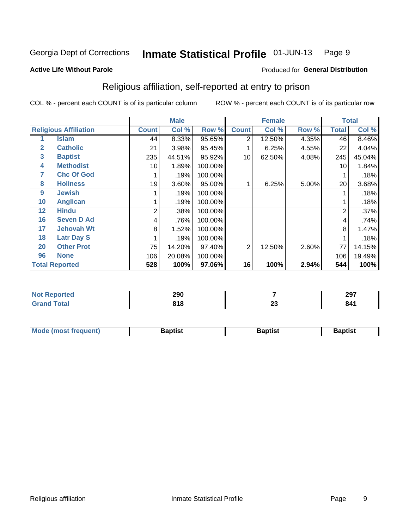#### Inmate Statistical Profile 01-JUN-13 Page 9

#### **Active Life Without Parole**

#### Produced for General Distribution

## Religious affiliation, self-reported at entry to prison

COL % - percent each COUNT is of its particular column

|              |                              |                | <b>Male</b> |         |              | <b>Female</b> |       |                | <b>Total</b> |
|--------------|------------------------------|----------------|-------------|---------|--------------|---------------|-------|----------------|--------------|
|              | <b>Religious Affiliation</b> | <b>Count</b>   | Col %       | Row %   | <b>Count</b> | Col %         | Row % | <b>Total</b>   | Col %        |
|              | Islam                        | 44             | 8.33%       | 95.65%  | 2            | 12.50%        | 4.35% | 46             | 8.46%        |
| $\mathbf{2}$ | <b>Catholic</b>              | 21             | 3.98%       | 95.45%  |              | 6.25%         | 4.55% | 22             | 4.04%        |
| 3            | <b>Baptist</b>               | 235            | 44.51%      | 95.92%  | 10           | 62.50%        | 4.08% | 245            | 45.04%       |
| 4            | <b>Methodist</b>             | 10             | 1.89%       | 100.00% |              |               |       | 10             | 1.84%        |
| 7            | <b>Chc Of God</b>            |                | .19%        | 100.00% |              |               |       |                | .18%         |
| 8            | <b>Holiness</b>              | 19             | 3.60%       | 95.00%  |              | 6.25%         | 5.00% | 20             | 3.68%        |
| 9            | <b>Jewish</b>                |                | .19%        | 100.00% |              |               |       |                | .18%         |
| 10           | <b>Anglican</b>              |                | .19%        | 100.00% |              |               |       |                | .18%         |
| 12           | <b>Hindu</b>                 | $\overline{2}$ | .38%        | 100.00% |              |               |       | $\overline{2}$ | .37%         |
| 16           | <b>Seven D Ad</b>            | 4              | .76%        | 100.00% |              |               |       | 4              | .74%         |
| 17           | <b>Jehovah Wt</b>            | 8              | 1.52%       | 100.00% |              |               |       | 8              | 1.47%        |
| 18           | <b>Latr Day S</b>            |                | .19%        | 100.00% |              |               |       |                | .18%         |
| 20           | <b>Other Prot</b>            | 75             | 14.20%      | 97.40%  | 2            | 12.50%        | 2.60% | 77             | 14.15%       |
| 96           | <b>None</b>                  | 106            | 20.08%      | 100.00% |              |               |       | 106            | 19.49%       |
|              | <b>Total Reported</b>        | 528            | 100%        | 97.06%  | 16           | 100%          | 2.94% | 544            | 100%         |

| ortea<br>. nepr<br>$\sim$ | 290  |                | 297   |
|---------------------------|------|----------------|-------|
| المفماد                   | 04 O | $\overline{ }$ | $O$ A |
|                           | JIU  | ZJ             | m     |

| <b>Mode (most frequent)</b> | եaptist | 3aptisเ | aptist |
|-----------------------------|---------|---------|--------|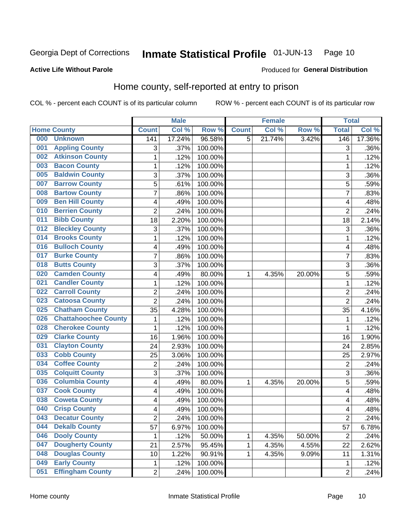#### Inmate Statistical Profile 01-JUN-13 Page 10

#### **Active Life Without Parole**

#### Produced for General Distribution

## Home county, self-reported at entry to prison

COL % - percent each COUNT is of its particular column

|     |                             |                | <b>Male</b> |         |              | <b>Female</b> |        | <b>Total</b>   |        |
|-----|-----------------------------|----------------|-------------|---------|--------------|---------------|--------|----------------|--------|
|     | <b>Home County</b>          | <b>Count</b>   | Col %       | Row %   | <b>Count</b> | Col %         | Row %  | <b>Total</b>   | Col %  |
| 000 | <b>Unknown</b>              | 141            | 17.24%      | 96.58%  | 5            | 21.74%        | 3.42%  | 146            | 17.36% |
| 001 | <b>Appling County</b>       | 3              | .37%        | 100.00% |              |               |        | 3              | .36%   |
| 002 | <b>Atkinson County</b>      | $\mathbf 1$    | .12%        | 100.00% |              |               |        | 1              | .12%   |
| 003 | <b>Bacon County</b>         | 1              | .12%        | 100.00% |              |               |        | 1              | .12%   |
| 005 | <b>Baldwin County</b>       | 3              | .37%        | 100.00% |              |               |        | 3              | .36%   |
| 007 | <b>Barrow County</b>        | 5              | .61%        | 100.00% |              |               |        | 5              | .59%   |
| 008 | <b>Bartow County</b>        | $\overline{7}$ | .86%        | 100.00% |              |               |        | 7              | .83%   |
| 009 | <b>Ben Hill County</b>      | 4              | .49%        | 100.00% |              |               |        | 4              | .48%   |
| 010 | <b>Berrien County</b>       | $\overline{2}$ | .24%        | 100.00% |              |               |        | $\overline{2}$ | .24%   |
| 011 | <b>Bibb County</b>          | 18             | 2.20%       | 100.00% |              |               |        | 18             | 2.14%  |
| 012 | <b>Bleckley County</b>      | 3              | .37%        | 100.00% |              |               |        | 3              | .36%   |
| 014 | <b>Brooks County</b>        | 1              | .12%        | 100.00% |              |               |        | 1              | .12%   |
| 016 | <b>Bulloch County</b>       | 4              | .49%        | 100.00% |              |               |        | 4              | .48%   |
| 017 | <b>Burke County</b>         | $\overline{7}$ | .86%        | 100.00% |              |               |        | 7              | .83%   |
| 018 | <b>Butts County</b>         | 3              | .37%        | 100.00% |              |               |        | 3              | .36%   |
| 020 | <b>Camden County</b>        | 4              | .49%        | 80.00%  | 1            | 4.35%         | 20.00% | 5              | .59%   |
| 021 | <b>Candler County</b>       | 1              | .12%        | 100.00% |              |               |        | 1              | .12%   |
| 022 | <b>Carroll County</b>       | 2              | .24%        | 100.00% |              |               |        | $\overline{2}$ | .24%   |
| 023 | <b>Catoosa County</b>       | $\overline{2}$ | .24%        | 100.00% |              |               |        | $\overline{2}$ | .24%   |
| 025 | <b>Chatham County</b>       | 35             | 4.28%       | 100.00% |              |               |        | 35             | 4.16%  |
| 026 | <b>Chattahoochee County</b> | 1              | .12%        | 100.00% |              |               |        | 1              | .12%   |
| 028 | <b>Cherokee County</b>      | 1              | .12%        | 100.00% |              |               |        | 1              | .12%   |
| 029 | <b>Clarke County</b>        | 16             | 1.96%       | 100.00% |              |               |        | 16             | 1.90%  |
| 031 | <b>Clayton County</b>       | 24             | 2.93%       | 100.00% |              |               |        | 24             | 2.85%  |
| 033 | <b>Cobb County</b>          | 25             | 3.06%       | 100.00% |              |               |        | 25             | 2.97%  |
| 034 | <b>Coffee County</b>        | 2              | .24%        | 100.00% |              |               |        | $\overline{2}$ | .24%   |
| 035 | <b>Colquitt County</b>      | 3              | .37%        | 100.00% |              |               |        | 3              | .36%   |
| 036 | <b>Columbia County</b>      | 4              | .49%        | 80.00%  | 1            | 4.35%         | 20.00% | 5              | .59%   |
| 037 | <b>Cook County</b>          | 4              | .49%        | 100.00% |              |               |        | 4              | .48%   |
| 038 | <b>Coweta County</b>        | 4              | .49%        | 100.00% |              |               |        | 4              | .48%   |
| 040 | <b>Crisp County</b>         | 4              | .49%        | 100.00% |              |               |        | 4              | .48%   |
| 043 | <b>Decatur County</b>       | $\overline{c}$ | .24%        | 100.00% |              |               |        | $\overline{2}$ | .24%   |
| 044 | <b>Dekalb County</b>        | 57             | 6.97%       | 100.00% |              |               |        | 57             | 6.78%  |
| 046 | <b>Dooly County</b>         | 1              | .12%        | 50.00%  | 1            | 4.35%         | 50.00% | $\overline{2}$ | .24%   |
| 047 | <b>Dougherty County</b>     | 21             | 2.57%       | 95.45%  | 1            | 4.35%         | 4.55%  | 22             | 2.62%  |
| 048 | <b>Douglas County</b>       | 10             | 1.22%       | 90.91%  | 1            | 4.35%         | 9.09%  | 11             | 1.31%  |
| 049 | <b>Early County</b>         | $\mathbf 1$    | .12%        | 100.00% |              |               |        | 1              | .12%   |
| 051 | <b>Effingham County</b>     | $\overline{c}$ | .24%        | 100.00% |              |               |        | $\overline{2}$ | .24%   |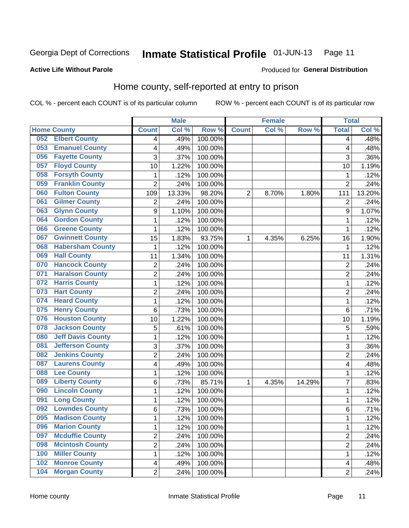#### Inmate Statistical Profile 01-JUN-13 Page 11

#### **Active Life Without Parole**

#### Produced for General Distribution

## Home county, self-reported at entry to prison

COL % - percent each COUNT is of its particular column

|     |                          |                         | <b>Male</b> |                  |                | <b>Female</b> |        | <b>Total</b>   |        |
|-----|--------------------------|-------------------------|-------------|------------------|----------------|---------------|--------|----------------|--------|
|     | <b>Home County</b>       | <b>Count</b>            | Col %       | Row <sup>%</sup> | <b>Count</b>   | Col %         | Row %  | <b>Total</b>   | Col %  |
| 052 | <b>Elbert County</b>     | $\overline{4}$          | .49%        | 100.00%          |                |               |        | 4              | .48%   |
| 053 | <b>Emanuel County</b>    | $\overline{\mathbf{4}}$ | .49%        | 100.00%          |                |               |        | 4              | $-48%$ |
| 056 | <b>Fayette County</b>    | 3                       | .37%        | 100.00%          |                |               |        | 3              | .36%   |
| 057 | <b>Floyd County</b>      | 10                      | 1.22%       | 100.00%          |                |               |        | 10             | 1.19%  |
| 058 | <b>Forsyth County</b>    | 1                       | .12%        | 100.00%          |                |               |        | 1              | .12%   |
| 059 | <b>Franklin County</b>   | $\overline{2}$          | .24%        | 100.00%          |                |               |        | $\overline{2}$ | .24%   |
| 060 | <b>Fulton County</b>     | 109                     | 13.33%      | 98.20%           | $\overline{2}$ | 8.70%         | 1.80%  | 111            | 13.20% |
| 061 | <b>Gilmer County</b>     | $\overline{2}$          | .24%        | 100.00%          |                |               |        | $\overline{2}$ | .24%   |
| 063 | <b>Glynn County</b>      | 9                       | 1.10%       | 100.00%          |                |               |        | 9              | 1.07%  |
| 064 | <b>Gordon County</b>     | 1                       | .12%        | 100.00%          |                |               |        | 1              | .12%   |
| 066 | <b>Greene County</b>     | 1                       | .12%        | 100.00%          |                |               |        | 1              | .12%   |
| 067 | <b>Gwinnett County</b>   | 15                      | 1.83%       | 93.75%           | 1              | 4.35%         | 6.25%  | 16             | 1.90%  |
| 068 | <b>Habersham County</b>  | 1                       | .12%        | 100.00%          |                |               |        | 1              | .12%   |
| 069 | <b>Hall County</b>       | 11                      | 1.34%       | 100.00%          |                |               |        | 11             | 1.31%  |
| 070 | <b>Hancock County</b>    | 2                       | .24%        | 100.00%          |                |               |        | $\overline{2}$ | .24%   |
| 071 | <b>Haralson County</b>   | $\overline{2}$          | .24%        | 100.00%          |                |               |        | $\overline{2}$ | .24%   |
| 072 | <b>Harris County</b>     | 1                       | .12%        | 100.00%          |                |               |        | 1              | .12%   |
| 073 | <b>Hart County</b>       | $\overline{2}$          | .24%        | 100.00%          |                |               |        | $\overline{2}$ | .24%   |
| 074 | <b>Heard County</b>      | $\mathbf 1$             | .12%        | 100.00%          |                |               |        | 1              | .12%   |
| 075 | <b>Henry County</b>      | 6                       | .73%        | 100.00%          |                |               |        | 6              | .71%   |
| 076 | <b>Houston County</b>    | 10                      | 1.22%       | 100.00%          |                |               |        | 10             | 1.19%  |
| 078 | <b>Jackson County</b>    | 5                       | .61%        | 100.00%          |                |               |        | 5              | .59%   |
| 080 | <b>Jeff Davis County</b> | $\mathbf{1}$            | .12%        | 100.00%          |                |               |        | 1              | .12%   |
| 081 | <b>Jefferson County</b>  | 3                       | .37%        | 100.00%          |                |               |        | 3              | .36%   |
| 082 | <b>Jenkins County</b>    | 2                       | .24%        | 100.00%          |                |               |        | 2              | .24%   |
| 087 | <b>Laurens County</b>    | $\overline{\mathbf{4}}$ | .49%        | 100.00%          |                |               |        | 4              | .48%   |
| 088 | <b>Lee County</b>        | $\mathbf{1}$            | .12%        | 100.00%          |                |               |        | 1              | .12%   |
| 089 | <b>Liberty County</b>    | 6                       | .73%        | 85.71%           | 1              | 4.35%         | 14.29% | 7              | .83%   |
| 090 | <b>Lincoln County</b>    | $\mathbf{1}$            | .12%        | 100.00%          |                |               |        | 1              | .12%   |
| 091 | <b>Long County</b>       | $\mathbf{1}$            | .12%        | 100.00%          |                |               |        | 1              | .12%   |
| 092 | <b>Lowndes County</b>    | 6                       | .73%        | 100.00%          |                |               |        | 6              | .71%   |
| 095 | <b>Madison County</b>    | 1                       | .12%        | 100.00%          |                |               |        | 1              | .12%   |
| 096 | <b>Marion County</b>     | $\mathbf{1}$            | .12%        | 100.00%          |                |               |        | 1              | .12%   |
| 097 | <b>Mcduffie County</b>   | $\overline{2}$          | .24%        | 100.00%          |                |               |        | $\overline{2}$ | .24%   |
| 098 | <b>Mcintosh County</b>   | $\overline{2}$          | .24%        | 100.00%          |                |               |        | $\overline{2}$ | .24%   |
| 100 | <b>Miller County</b>     | 1                       | .12%        | 100.00%          |                |               |        | 1              | .12%   |
| 102 | <b>Monroe County</b>     | $\overline{4}$          | .49%        | 100.00%          |                |               |        | 4              | .48%   |
| 104 | <b>Morgan County</b>     | $\overline{2}$          | .24%        | 100.00%          |                |               |        | $\overline{2}$ | .24%   |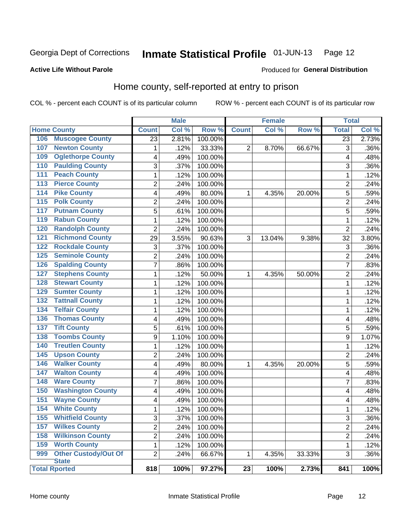#### Inmate Statistical Profile 01-JUN-13 Page 12

Produced for General Distribution

#### **Active Life Without Parole**

## Home county, self-reported at entry to prison

COL % - percent each COUNT is of its particular column

|                  |                             |                | <b>Male</b> |         | <b>Female</b> |        | <b>Total</b> |                |         |
|------------------|-----------------------------|----------------|-------------|---------|---------------|--------|--------------|----------------|---------|
|                  | <b>Home County</b>          | <b>Count</b>   | Col %       | Row %   | <b>Count</b>  | Col%   | Row %        | <b>Total</b>   | Col %   |
| 106              | <b>Muscogee County</b>      | 23             | 2.81%       | 100.00% |               |        |              | 23             | 2.73%   |
| 107              | <b>Newton County</b>        | 1              | .12%        | 33.33%  | 2             | 8.70%  | 66.67%       | 3              | .36%    |
| 109              | <b>Oglethorpe County</b>    | 4              | .49%        | 100.00% |               |        |              | 4              | .48%    |
| 110              | <b>Paulding County</b>      | 3              | .37%        | 100.00% |               |        |              | 3              | .36%    |
| 111              | <b>Peach County</b>         | $\mathbf 1$    | .12%        | 100.00% |               |        |              | 1              | .12%    |
| $\overline{113}$ | <b>Pierce County</b>        | $\overline{c}$ | .24%        | 100.00% |               |        |              | $\overline{c}$ | .24%    |
| 114              | <b>Pike County</b>          | 4              | .49%        | 80.00%  | 1             | 4.35%  | 20.00%       | 5              | .59%    |
| $\overline{115}$ | <b>Polk County</b>          | $\overline{c}$ | .24%        | 100.00% |               |        |              | $\overline{2}$ | .24%    |
| 117              | <b>Putnam County</b>        | 5              | .61%        | 100.00% |               |        |              | 5              | .59%    |
| 119              | <b>Rabun County</b>         | $\mathbf 1$    | .12%        | 100.00% |               |        |              | 1              | .12%    |
| 120              | <b>Randolph County</b>      | $\overline{c}$ | .24%        | 100.00% |               |        |              | $\overline{2}$ | .24%    |
| 121              | <b>Richmond County</b>      | 29             | 3.55%       | 90.63%  | 3             | 13.04% | 9.38%        | 32             | 3.80%   |
| 122              | <b>Rockdale County</b>      | 3              | .37%        | 100.00% |               |        |              | 3              | .36%    |
| 125              | <b>Seminole County</b>      | $\overline{2}$ | .24%        | 100.00% |               |        |              | $\overline{2}$ | .24%    |
| 126              | <b>Spalding County</b>      | 7              | .86%        | 100.00% |               |        |              | 7              | .83%    |
| 127              | <b>Stephens County</b>      | 1              | .12%        | 50.00%  | 1             | 4.35%  | 50.00%       | $\overline{c}$ | .24%    |
| 128              | <b>Stewart County</b>       | $\mathbf 1$    | .12%        | 100.00% |               |        |              | 1              | .12%    |
| 129              | <b>Sumter County</b>        | $\mathbf 1$    | .12%        | 100.00% |               |        |              | 1              | .12%    |
| 132              | <b>Tattnall County</b>      | $\mathbf 1$    | .12%        | 100.00% |               |        |              | 1              | .12%    |
| 134              | <b>Telfair County</b>       | $\mathbf 1$    | .12%        | 100.00% |               |        |              | 1              | .12%    |
| 136              | <b>Thomas County</b>        | 4              | .49%        | 100.00% |               |        |              | 4              | .48%    |
| 137              | <b>Tift County</b>          | 5              | .61%        | 100.00% |               |        |              | 5              | .59%    |
| 138              | <b>Toombs County</b>        | 9              | 1.10%       | 100.00% |               |        |              | 9              | 1.07%   |
| 140              | <b>Treutlen County</b>      | $\mathbf 1$    | .12%        | 100.00% |               |        |              | 1              | .12%    |
| 145              | <b>Upson County</b>         | $\overline{c}$ | .24%        | 100.00% |               |        |              | $\overline{2}$ | .24%    |
| 146              | <b>Walker County</b>        | 4              | .49%        | 80.00%  | 1             | 4.35%  | 20.00%       | 5              | .59%    |
| 147              | <b>Walton County</b>        | 4              | .49%        | 100.00% |               |        |              | 4              | .48%    |
| 148              | <b>Ware County</b>          | 7              | .86%        | 100.00% |               |        |              | 7              | .83%    |
| 150              | <b>Washington County</b>    | 4              | .49%        | 100.00% |               |        |              | 4              | .48%    |
| 151              | <b>Wayne County</b>         | 4              | .49%        | 100.00% |               |        |              | 4              | .48%    |
| 154              | <b>White County</b>         | $\mathbf{1}$   | .12%        | 100.00% |               |        |              | 1              | .12%    |
| 155              | <b>Whitfield County</b>     | 3              | .37%        | 100.00% |               |        |              | 3              | $.36\%$ |
| 157              | <b>Wilkes County</b>        | $\overline{2}$ | .24%        | 100.00% |               |        |              | 2              | .24%    |
| 158              | <b>Wilkinson County</b>     | $\overline{2}$ | .24%        | 100.00% |               |        |              | 2              | .24%    |
| 159              | <b>Worth County</b>         | 1              | .12%        | 100.00% |               |        |              | 1              | .12%    |
| 999              | <b>Other Custody/Out Of</b> | $\overline{2}$ | .24%        | 66.67%  | 1             | 4.35%  | 33.33%       | 3              | $.36\%$ |
|                  | <b>State</b>                |                |             |         |               |        |              |                |         |
|                  | <b>Total Rported</b>        | 818            | 100%        | 97.27%  | 23            | 100%   | 2.73%        | 841            | 100%    |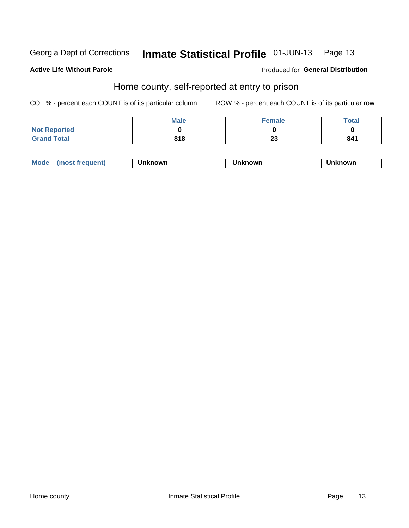#### Inmate Statistical Profile 01-JUN-13 Page 13

#### **Active Life Without Parole**

#### Produced for General Distribution

## Home county, self-reported at entry to prison

COL % - percent each COUNT is of its particular column

|                     | <b>Male</b> | <b>Female</b> | <b>Total</b> |
|---------------------|-------------|---------------|--------------|
| <b>Not Reported</b> |             |               |              |
| <b>Grand Total</b>  | 818         | n n<br>∠J     | 841          |

| <b>Moa</b><br>nown | owr | nowr |
|--------------------|-----|------|
|--------------------|-----|------|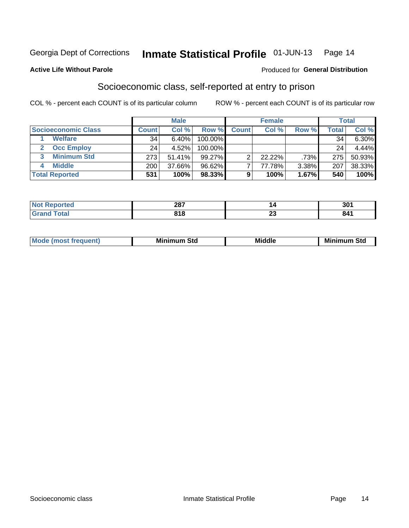#### Inmate Statistical Profile 01-JUN-13 Page 14

#### **Active Life Without Parole**

#### **Produced for General Distribution**

## Socioeconomic class, self-reported at entry to prison

COL % - percent each COUNT is of its particular column

|                       | <b>Male</b><br><b>Female</b> |        |           |              | <b>Total</b> |       |        |          |
|-----------------------|------------------------------|--------|-----------|--------------|--------------|-------|--------|----------|
| Socioeconomic Class   | <b>Count</b>                 | Col %  | Row %     | <b>Count</b> | Col %        | Row % | Total, | Col %    |
| <b>Welfare</b>        | 34                           | 6.40%  | 100.00%   |              |              |       | 34     | $6.30\%$ |
| <b>Occ Employ</b>     | 24                           | 4.52%  | 100.00%   |              |              |       | 24     | 4.44%    |
| <b>Minimum Std</b>    | 273                          | 51.41% | $99.27\%$ | ⌒            | $22.22\%$    | .73%  | 275    | 50.93%   |
| <b>Middle</b>         | 200                          | 37.66% | 96.62%    |              | 77.78%       | 3.38% | 207    | 38.33%   |
| <b>Total Reported</b> | 531                          | 100%   | 98.33%    |              | 100%         | 1.67% | 540    | 100%     |

| 287 |                          | 201<br>JU |
|-----|--------------------------|-----------|
| 040 | $\overline{\phantom{a}}$ | 841       |
| - - | ΔJ                       | - - -     |

|  | Mo | Minin<br>Std<br>$- - - -$ | <b>Middle</b> | Min<br>Std<br>. |
|--|----|---------------------------|---------------|-----------------|
|--|----|---------------------------|---------------|-----------------|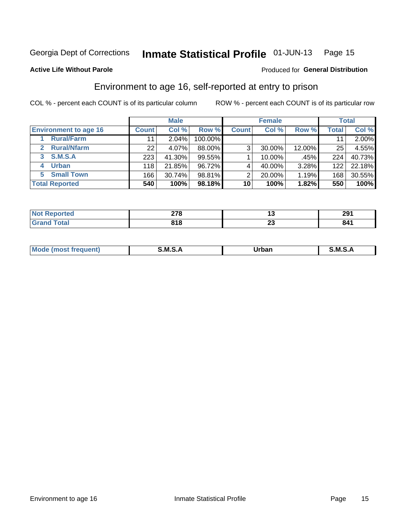#### Inmate Statistical Profile 01-JUN-13 Page 15

#### **Active Life Without Parole**

#### Produced for General Distribution

## Environment to age 16, self-reported at entry to prison

COL % - percent each COUNT is of its particular column

|                                    |                 | <b>Male</b> |         |              | <b>Female</b> |        |              | <b>Total</b> |
|------------------------------------|-----------------|-------------|---------|--------------|---------------|--------|--------------|--------------|
| <b>Environment to age 16</b>       | <b>Count</b>    | Col %       | Row %   | <b>Count</b> | Col %         | Row %  | <b>Total</b> | Col %        |
| <b>Rural/Farm</b>                  | 11              | $2.04\%$    | 100.00% |              |               |        |              | 2.00%        |
| <b>Rural/Nfarm</b><br>$\mathbf{2}$ | 22 <sub>1</sub> | 4.07%       | 88.00%  | 3            | 30.00%        | 12.00% | 25           | 4.55%        |
| 3 S.M.S.A                          | 223             | 41.30%      | 99.55%  |              | 10.00%        | .45%   | 224          | 40.73%       |
| <b>Urban</b><br>4                  | 118             | 21.85%      | 96.72%  |              | 40.00%        | 3.28%  | 122          | 22.18%       |
| 5 Small Town                       | 166             | 30.74%      | 98.81%  | っ            | 20.00%        | 1.19%  | 168          | 30.55%       |
| <b>Total Reported</b>              | 540             | 100%        | 98.18%  | 10           | 100%          | 1.82%  | 550          | 100%         |

| Reported<br>NOT<br>$\sim$ | 270<br>-10 | '~       | 201<br>ZЭ |
|---------------------------|------------|----------|-----------|
| <b>Total</b>              | 818        | n.<br>∼∸ | 841       |

| $Mc$ | M | <b>Jrhan</b> | M.     |
|------|---|--------------|--------|
|      |   | _____        | ______ |
|      |   |              |        |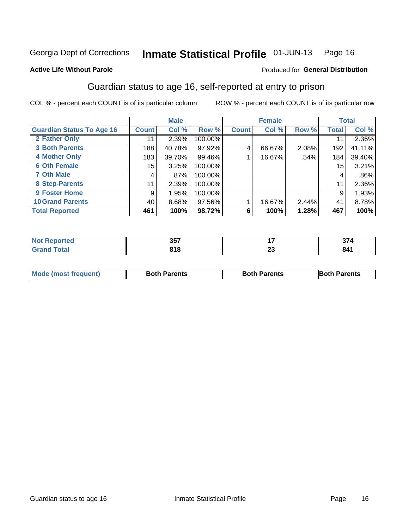#### Inmate Statistical Profile 01-JUN-13 Page 16

#### **Active Life Without Parole**

#### Produced for General Distribution

## Guardian status to age 16, self-reported at entry to prison

COL % - percent each COUNT is of its particular column

|                                  |              | <b>Male</b> |         |              | <b>Female</b> |       |              | <b>Total</b> |
|----------------------------------|--------------|-------------|---------|--------------|---------------|-------|--------------|--------------|
| <b>Guardian Status To Age 16</b> | <b>Count</b> | Col %       | Row %   | <b>Count</b> | Col %         | Row % | <b>Total</b> | Col %        |
| 2 Father Only                    | 11           | 2.39%       | 100.00% |              |               |       | 11           | 2.36%        |
| <b>3 Both Parents</b>            | 188          | 40.78%      | 97.92%  | 4            | 66.67%        | 2.08% | 192          | 41.11%       |
| <b>4 Mother Only</b>             | 183          | 39.70%      | 99.46%  |              | 16.67%        | .54%  | 184          | 39.40%       |
| <b>6 Oth Female</b>              | 15           | 3.25%       | 100.00% |              |               |       | 15           | 3.21%        |
| <b>7 Oth Male</b>                | 4            | .87%        | 100.00% |              |               |       | 4            | $.86\%$      |
| 8 Step-Parents                   | 11           | 2.39%       | 100.00% |              |               |       | 11           | 2.36%        |
| 9 Foster Home                    | 9            | 1.95%       | 100.00% |              |               |       | 9            | 1.93%        |
| <b>10 Grand Parents</b>          | 40           | 8.68%       | 97.56%  |              | 16.67%        | 2.44% | 41           | 8.78%        |
| <b>Total Reported</b>            | 461          | 100%        | 98.72%  | 6            | 100%          | 1.28% | 467          | 100%         |

| rted  | 257<br>וטט    |                | $\sim$<br>. |
|-------|---------------|----------------|-------------|
| Total | 0 A O<br>, 10 | ^^<br>∠J<br>__ | 841         |

| <b>Mode (most frequent)</b> | <b>Both Parents</b> | <b>Both Parents</b> | <b>Both Parents</b> |
|-----------------------------|---------------------|---------------------|---------------------|
|                             |                     |                     |                     |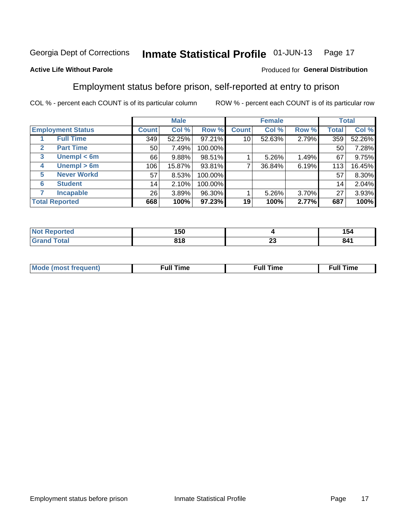#### Inmate Statistical Profile 01-JUN-13 Page 17

#### **Active Life Without Parole**

#### Produced for General Distribution

## Employment status before prison, self-reported at entry to prison

COL % - percent each COUNT is of its particular column

|                                  |              | <b>Male</b> |         |              | <b>Female</b> |       |       | <b>Total</b> |
|----------------------------------|--------------|-------------|---------|--------------|---------------|-------|-------|--------------|
| <b>Employment Status</b>         | <b>Count</b> | Col %       | Row %   | <b>Count</b> | Col %         | Row % | Total | Col %        |
| <b>Full Time</b>                 | 349          | 52.25%      | 97.21%  | 10           | 52.63%        | 2.79% | 359   | 52.26%       |
| <b>Part Time</b><br>$\mathbf{2}$ | 50           | 7.49%       | 100.00% |              |               |       | 50    | 7.28%        |
| Unempl $<$ 6m<br>3               | 66           | 9.88%       | 98.51%  |              | $5.26\%$      | 1.49% | 67    | 9.75%        |
| Unempl $> 6m$<br>4               | 106          | 15.87%      | 93.81%  | ⇁            | 36.84%        | 6.19% | 113   | 16.45%       |
| <b>Never Workd</b><br>5          | 57           | 8.53%       | 100.00% |              |               |       | 57    | 8.30%        |
| <b>Student</b><br>6              | 14           | 2.10%       | 100.00% |              |               |       | 14    | 2.04%        |
| <b>Incapable</b>                 | 26           | 3.89%       | 96.30%  |              | $5.26\%$      | 3.70% | 27    | 3.93%        |
| <b>Total Reported</b>            | 668          | 100%        | 97.23%  | 19           | 100%          | 2.77% | 687   | 100%         |

| <b>rteo</b>  | 150          |                               | . .<br>154 |
|--------------|--------------|-------------------------------|------------|
| <b>Total</b> | 040<br>0 I O | $\overline{\phantom{a}}$<br>~ | 841        |

| Mc | ∙u∥<br>----<br>ıme | ίuΙ<br>Πmε |
|----|--------------------|------------|
|    |                    |            |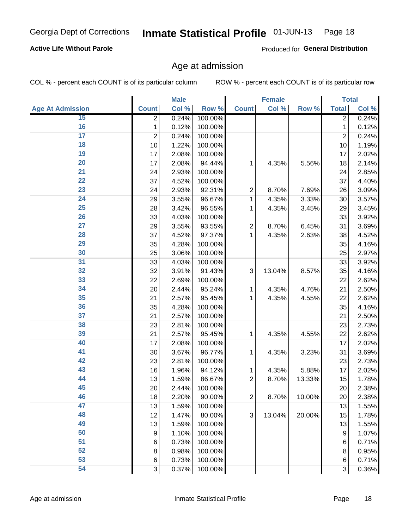#### Inmate Statistical Profile 01-JUN-13 Page 18

#### **Active Life Without Parole**

Produced for General Distribution

### Age at admission

COL % - percent each COUNT is of its particular column

|                         |                | <b>Male</b> |         |                | <b>Female</b> |        |                | <b>Total</b> |
|-------------------------|----------------|-------------|---------|----------------|---------------|--------|----------------|--------------|
| <b>Age At Admission</b> | <b>Count</b>   | Col %       | Row %   | <b>Count</b>   | Col %         | Row %  | <b>Total</b>   | Col %        |
| 15                      | $\overline{2}$ | 0.24%       | 100.00% |                |               |        | $\overline{2}$ | 0.24%        |
| 16                      | 1              | 0.12%       | 100.00% |                |               |        | 1              | 0.12%        |
| $\overline{17}$         | $\overline{2}$ | 0.24%       | 100.00% |                |               |        | $\overline{2}$ | 0.24%        |
| 18                      | 10             | 1.22%       | 100.00% |                |               |        | 10             | 1.19%        |
| 19                      | 17             | 2.08%       | 100.00% |                |               |        | 17             | 2.02%        |
| $\overline{20}$         | 17             | 2.08%       | 94.44%  | 1              | 4.35%         | 5.56%  | 18             | 2.14%        |
| 21                      | 24             | 2.93%       | 100.00% |                |               |        | 24             | 2.85%        |
| $\overline{22}$         | 37             | 4.52%       | 100.00% |                |               |        | 37             | 4.40%        |
| $\overline{23}$         | 24             | 2.93%       | 92.31%  | $\overline{2}$ | 8.70%         | 7.69%  | 26             | 3.09%        |
| $\overline{24}$         | 29             | 3.55%       | 96.67%  | 1              | 4.35%         | 3.33%  | 30             | 3.57%        |
| $\overline{25}$         | 28             | 3.42%       | 96.55%  | 1              | 4.35%         | 3.45%  | 29             | 3.45%        |
| 26                      | 33             | 4.03%       | 100.00% |                |               |        | 33             | 3.92%        |
| $\overline{27}$         | 29             | 3.55%       | 93.55%  | $\overline{2}$ | 8.70%         | 6.45%  | 31             | 3.69%        |
| 28                      | 37             | 4.52%       | 97.37%  | 1              | 4.35%         | 2.63%  | 38             | 4.52%        |
| 29                      | 35             | 4.28%       | 100.00% |                |               |        | 35             | 4.16%        |
| 30                      | 25             | 3.06%       | 100.00% |                |               |        | 25             | 2.97%        |
| 31                      | 33             | 4.03%       | 100.00% |                |               |        | 33             | 3.92%        |
| 32                      | 32             | 3.91%       | 91.43%  | 3              | 13.04%        | 8.57%  | 35             | 4.16%        |
| 33                      | 22             | 2.69%       | 100.00% |                |               |        | 22             | 2.62%        |
| $\overline{34}$         | 20             | 2.44%       | 95.24%  | 1              | 4.35%         | 4.76%  | 21             | 2.50%        |
| 35                      | 21             | 2.57%       | 95.45%  | 1              | 4.35%         | 4.55%  | 22             | 2.62%        |
| 36                      | 35             | 4.28%       | 100.00% |                |               |        | 35             | 4.16%        |
| $\overline{37}$         | 21             | 2.57%       | 100.00% |                |               |        | 21             | 2.50%        |
| 38                      | 23             | 2.81%       | 100.00% |                |               |        | 23             | 2.73%        |
| 39                      | 21             | 2.57%       | 95.45%  | 1              | 4.35%         | 4.55%  | 22             | 2.62%        |
| 40                      | 17             | 2.08%       | 100.00% |                |               |        | 17             | 2.02%        |
| 41                      | 30             | 3.67%       | 96.77%  | 1              | 4.35%         | 3.23%  | 31             | 3.69%        |
| 42                      | 23             | 2.81%       | 100.00% |                |               |        | 23             | 2.73%        |
| 43                      | 16             | 1.96%       | 94.12%  | 1              | 4.35%         | 5.88%  | 17             | 2.02%        |
| 44                      | 13             | 1.59%       | 86.67%  | $\overline{2}$ | 8.70%         | 13.33% | 15             | 1.78%        |
| 45                      | 20             | 2.44%       | 100.00% |                |               |        | 20             | 2.38%        |
| 46                      | 18             | 2.20%       | 90.00%  | $\overline{2}$ | 8.70%         | 10.00% | 20             | 2.38%        |
| 47                      | 13             | 1.59%       | 100.00% |                |               |        | 13             | 1.55%        |
| 48                      | 12             | 1.47%       | 80.00%  | 3              | 13.04%        | 20.00% | 15             | 1.78%        |
| 49                      | 13             | 1.59%       | 100.00% |                |               |        | 13             | 1.55%        |
| 50                      | 9              | 1.10%       | 100.00% |                |               |        | 9              | 1.07%        |
| $\overline{51}$         | 6              | 0.73%       | 100.00% |                |               |        | 6              | 0.71%        |
| $\overline{52}$         | 8              | 0.98%       | 100.00% |                |               |        | 8              | 0.95%        |
| 53                      | $\,6$          | 0.73%       | 100.00% |                |               |        | 6              | 0.71%        |
| 54                      | 3              | 0.37%       | 100.00% |                |               |        | 3              | 0.36%        |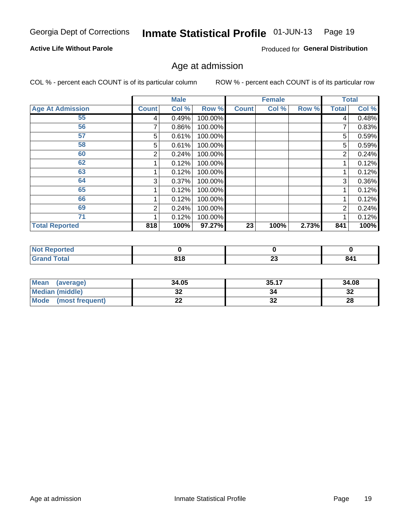#### Inmate Statistical Profile 01-JUN-13 Page 19

#### **Active Life Without Parole**

Produced for General Distribution

### Age at admission

COL % - percent each COUNT is of its particular column

|                         |              | <b>Male</b> |         |              | <b>Female</b> |       |                | <b>Total</b> |
|-------------------------|--------------|-------------|---------|--------------|---------------|-------|----------------|--------------|
| <b>Age At Admission</b> | <b>Count</b> | Col %       | Row %   | <b>Count</b> | Col %         | Row % | <b>Total</b>   | Col %        |
| 55                      | 4            | 0.49%       | 100.00% |              |               |       | 4              | 0.48%        |
| 56                      |              | 0.86%       | 100.00% |              |               |       |                | 0.83%        |
| 57                      | 5            | 0.61%       | 100.00% |              |               |       | 5              | 0.59%        |
| 58                      | 5            | 0.61%       | 100.00% |              |               |       | 5              | 0.59%        |
| 60                      | 2            | 0.24%       | 100.00% |              |               |       | 2              | 0.24%        |
| 62                      |              | 0.12%       | 100.00% |              |               |       |                | 0.12%        |
| 63                      |              | 0.12%       | 100.00% |              |               |       |                | 0.12%        |
| 64                      | 3            | 0.37%       | 100.00% |              |               |       | 3              | 0.36%        |
| 65                      |              | 0.12%       | 100.00% |              |               |       |                | 0.12%        |
| 66                      |              | 0.12%       | 100.00% |              |               |       |                | 0.12%        |
| 69                      | 2            | 0.24%       | 100.00% |              |               |       | $\overline{2}$ | 0.24%        |
| 71                      |              | 0.12%       | 100.00% |              |               |       |                | 0.12%        |
| <b>Total Reported</b>   | 818          | 100%        | 97.27%  | 23           | 100%          | 2.73% | 841            | 100%         |

| N <sub>of</sub><br>ported |       |                          |       |
|---------------------------|-------|--------------------------|-------|
| $int^{\bullet}$           | 040   | $\overline{\phantom{a}}$ | $O$ A |
|                           | 0 I O | Žν                       | nц    |

| Mean<br>(average)              | 34.05 | 35.17    | 34.08    |
|--------------------------------|-------|----------|----------|
| <b>Median (middle)</b>         | JŁ    |          | າາ<br>ാച |
| <b>Mode</b><br>(most frequent) | --    | ^^<br>JZ | 28       |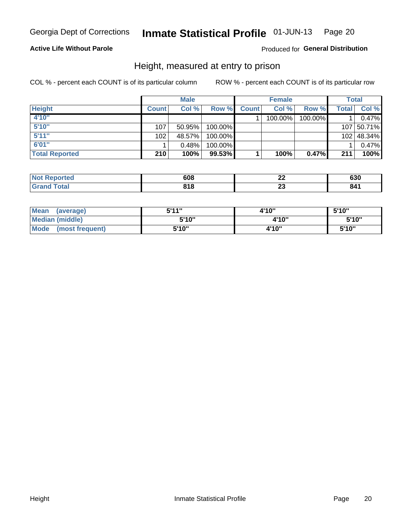#### Inmate Statistical Profile 01-JUN-13 Page 20

#### **Active Life Without Parole**

#### Produced for General Distribution

### Height, measured at entry to prison

COL % - percent each COUNT is of its particular column

|                       |              | <b>Male</b> |         |              | <b>Female</b> |         |       | Total      |
|-----------------------|--------------|-------------|---------|--------------|---------------|---------|-------|------------|
| <b>Height</b>         | <b>Count</b> | Col %       | Row %   | <b>Count</b> | Col %         | Row %   | Total | Col %      |
| 4'10"                 |              |             |         |              | 100.00%       | 100.00% |       | 0.47%      |
| 5'10''                | 107          | 50.95%      | 100.00% |              |               |         |       | 107 50.71% |
| 5'11''                | 102          | 48.57%      | 100.00% |              |               |         |       | 102 48.34% |
| 6'01''                |              | 0.48%       | 100.00% |              |               |         |       | 0.47%      |
| <b>Total Reported</b> | 210          | 100%        | 99.53%  |              | 100%          | 0.47%   | 211   | 100%       |

| <b>Not</b><br>Reported | 608 | n,<br>-- | <b>000</b><br>იას |
|------------------------|-----|----------|-------------------|
| <b>Total</b>           | 040 | ~~       |                   |
| <b>Grand</b>           | סוכ | --       |                   |

| <b>Mean</b><br>(average)       | 544"  | 4'10" | 5'10"  |
|--------------------------------|-------|-------|--------|
| Median (middle)                | 5'10" | 4'10" | 5'10'' |
| <b>Mode</b><br>(most frequent) | 5'10" | 4'10" | 5'10"  |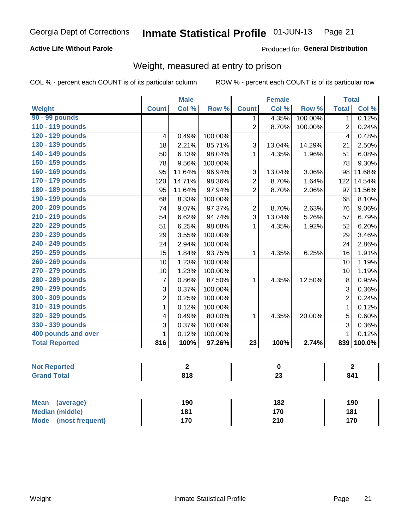#### Inmate Statistical Profile 01-JUN-13 Page 21

#### **Active Life Without Parole**

Produced for General Distribution

## Weight, measured at entry to prison

COL % - percent each COUNT is of its particular column

|                       |                | <b>Male</b> |         |                 | <b>Female</b> |         |                | <b>Total</b> |
|-----------------------|----------------|-------------|---------|-----------------|---------------|---------|----------------|--------------|
| <b>Weight</b>         | <b>Count</b>   | Col %       | Row %   | <b>Count</b>    | Col %         | Row %   | <b>Total</b>   | Col %        |
| 90 - 99 pounds        |                |             |         | 1               | 4.35%         | 100.00% | 1 <sup>1</sup> | 0.12%        |
| 110 - 119 pounds      |                |             |         | $\overline{2}$  | 8.70%         | 100.00% | $\overline{2}$ | 0.24%        |
| 120 - 129 pounds      | 4              | 0.49%       | 100.00% |                 |               |         | 4              | 0.48%        |
| 130 - 139 pounds      | 18             | 2.21%       | 85.71%  | 3               | 13.04%        | 14.29%  | 21             | 2.50%        |
| 140 - 149 pounds      | 50             | 6.13%       | 98.04%  | 1               | 4.35%         | 1.96%   | 51             | 6.08%        |
| 150 - 159 pounds      | 78             | 9.56%       | 100.00% |                 |               |         | 78             | 9.30%        |
| 160 - 169 pounds      | 95             | 11.64%      | 96.94%  | 3               | 13.04%        | 3.06%   | 98             | 11.68%       |
| 170 - 179 pounds      | 120            | 14.71%      | 98.36%  | $\overline{2}$  | 8.70%         | 1.64%   | 122            | 14.54%       |
| 180 - 189 pounds      | 95             | 11.64%      | 97.94%  | $\overline{2}$  | 8.70%         | 2.06%   | 97             | 11.56%       |
| 190 - 199 pounds      | 68             | 8.33%       | 100.00% |                 |               |         | 68             | 8.10%        |
| 200 - 209 pounds      | 74             | 9.07%       | 97.37%  | 2               | 8.70%         | 2.63%   | 76             | 9.06%        |
| 210 - 219 pounds      | 54             | 6.62%       | 94.74%  | 3               | 13.04%        | 5.26%   | 57             | 6.79%        |
| 220 - 229 pounds      | 51             | 6.25%       | 98.08%  | 1               | 4.35%         | 1.92%   | 52             | 6.20%        |
| 230 - 239 pounds      | 29             | 3.55%       | 100.00% |                 |               |         | 29             | 3.46%        |
| 240 - 249 pounds      | 24             | 2.94%       | 100.00% |                 |               |         | 24             | 2.86%        |
| 250 - 259 pounds      | 15             | 1.84%       | 93.75%  | 1               | 4.35%         | 6.25%   | 16             | 1.91%        |
| 260 - 269 pounds      | 10             | 1.23%       | 100.00% |                 |               |         | 10             | 1.19%        |
| 270 - 279 pounds      | 10             | 1.23%       | 100.00% |                 |               |         | 10             | 1.19%        |
| 280 - 289 pounds      | $\overline{7}$ | 0.86%       | 87.50%  | 1               | 4.35%         | 12.50%  | 8              | 0.95%        |
| 290 - 299 pounds      | 3              | 0.37%       | 100.00% |                 |               |         | 3              | 0.36%        |
| 300 - 309 pounds      | $\overline{2}$ | 0.25%       | 100.00% |                 |               |         | $\overline{2}$ | 0.24%        |
| 310 - 319 pounds      | 1              | 0.12%       | 100.00% |                 |               |         | $\mathbf{1}$   | 0.12%        |
| 320 - 329 pounds      | 4              | 0.49%       | 80.00%  | 1               | 4.35%         | 20.00%  | 5              | 0.60%        |
| 330 - 339 pounds      | 3              | 0.37%       | 100.00% |                 |               |         | 3              | 0.36%        |
| 400 pounds and over   | 1              | 0.12%       | 100.00% |                 |               |         | $\mathbf{1}$   | 0.12%        |
| <b>Total Reported</b> | 816            | 100%        | 97.26%  | $\overline{23}$ | 100%          | 2.74%   | 839            | $100.0\%$    |

| N<br>тего |      |                          |     |
|-----------|------|--------------------------|-----|
|           | 04 O | $\overline{\phantom{a}}$ | 91' |
|           | $ -$ | $\overline{\phantom{a}}$ |     |

| <b>Mean</b><br>(average)       | 190 | 182 | 190 |
|--------------------------------|-----|-----|-----|
| <b>Median (middle)</b>         | 181 | 170 | 181 |
| <b>Mode</b><br>(most frequent) | 170 | 210 | 170 |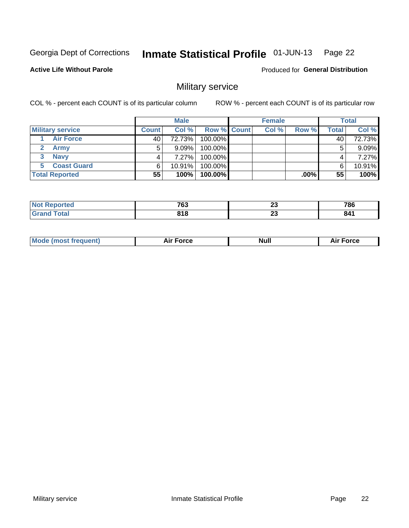#### Inmate Statistical Profile 01-JUN-13 Page 22

#### **Active Life Without Parole**

**Produced for General Distribution** 

## Military service

COL % - percent each COUNT is of its particular column

|                         |       | <b>Male</b> |                    | <b>Female</b> |       |       | <b>Total</b> |
|-------------------------|-------|-------------|--------------------|---------------|-------|-------|--------------|
| <b>Military service</b> | Count | Col%        | <b>Row % Count</b> | Col %         | Row % | Total | Col %        |
| <b>Air Force</b>        | 40    | 72.73%      | 100.00%            |               |       | 40    | 72.73%       |
| <b>Army</b>             |       | $9.09\%$    | 100.00%            |               |       | 5     | 9.09%        |
| <b>Navy</b><br>3        |       | $7.27\%$    | 100.00%            |               |       |       | 7.27%        |
| <b>Coast Guard</b>      | 6     | 10.91%      | 100.00%            |               |       | 6     | 10.91%       |
| <b>Total Reported</b>   | 55    | 100%        | 100.00%            |               | .00%  | 55    | 100%         |

|               | 763<br>__               | n.<br>ΔJ | <b>70C</b> |
|---------------|-------------------------|----------|------------|
| 'ndin<br>____ | <b>040</b><br>.<br>$ -$ | ~<br>ΔJ  | 84<br>V    |

| <b>Mode (most frequent)</b> | Force<br>Aır | Null | ∙orce |
|-----------------------------|--------------|------|-------|
|                             |              |      |       |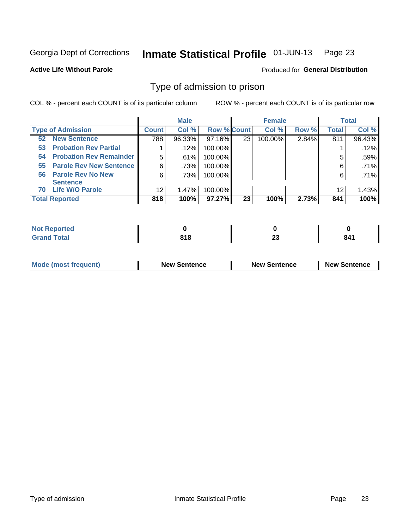#### Inmate Statistical Profile 01-JUN-13 Page 23

**Active Life Without Parole** 

**Produced for General Distribution** 

## Type of admission to prison

COL % - percent each COUNT is of its particular column

|                                      |              | <b>Male</b> |                    |    | <b>Female</b> |       |              | <b>Total</b> |
|--------------------------------------|--------------|-------------|--------------------|----|---------------|-------|--------------|--------------|
| <b>Type of Admission</b>             | <b>Count</b> | Col %       | <b>Row % Count</b> |    | Col %         | Row % | <b>Total</b> | Col %        |
| <b>New Sentence</b><br>52            | 788          | 96.33%      | 97.16%             | 23 | 100.00%       | 2.84% | 811          | 96.43%       |
| <b>Probation Rev Partial</b><br>53   |              | .12%        | 100.00%            |    |               |       |              | .12%         |
| <b>Probation Rev Remainder</b><br>54 | 5            | .61%        | 100.00%            |    |               |       | 5            | .59%         |
| <b>Parole Rev New Sentence</b><br>55 | 6            | .73%        | 100.00%            |    |               |       | 6            | .71%         |
| 56 Parole Rev No New                 | 6            | .73%        | 100.00%            |    |               |       | 6            | .71%         |
| <b>Sentence</b>                      |              |             |                    |    |               |       |              |              |
| <b>Life W/O Parole</b><br>70         | 12           | 1.47%       | 100.00%            |    |               |       | 12           | 1.43%        |
| <b>Total Reported</b>                | 818          | 100%        | $97.27\%$          | 23 | 100%          | 2.73% | 841          | 100%         |

| <b>Reported</b><br>' NOT |      |                      |      |
|--------------------------|------|----------------------|------|
| <b>otal</b>              | 04 O | $\ddot{\phantom{0}}$ | 04 I |
| $\mathbf{v}$ and         | . .  | ~                    |      |

| <b>Mode (most frequent)</b> | <b>New Sentence</b> | <b>New Sentence</b> | <b>New Sentence</b> |
|-----------------------------|---------------------|---------------------|---------------------|
|                             |                     |                     |                     |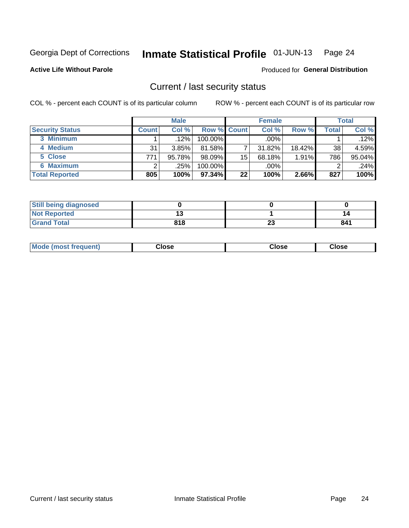#### Inmate Statistical Profile 01-JUN-13 Page 24

**Active Life Without Parole** 

Produced for General Distribution

### Current / last security status

COL % - percent each COUNT is of its particular column

|                        |              | <b>Male</b> |                    |    | <b>Female</b> |           |       | <b>Total</b> |
|------------------------|--------------|-------------|--------------------|----|---------------|-----------|-------|--------------|
| <b>Security Status</b> | <b>Count</b> | Col %       | <b>Row % Count</b> |    | Col %         | Row %     | Total | Col %        |
| 3 Minimum              |              | $.12\%$     | 100.00%            |    | .00%          |           |       | .12%         |
| 4 Medium               | 31           | 3.85%       | 81.58%             |    | 31.82%        | $18.42\%$ | 38    | 4.59%        |
| 5 Close                | 771          | 95.78%      | $98.09\%$          | 15 | 68.18%        | 1.91%     | 786   | 95.04%       |
| 6 Maximum              |              | .25%        | 100.00%            |    | .00%          |           |       | $.24\%$      |
| <b>Total Reported</b>  | 805          | 100%        | 97.34%             | 22 | 100%          | 2.66%     | 827   | 100%         |

| <b>Still being diagnosed</b> |     |          |     |
|------------------------------|-----|----------|-----|
| <b>Not Reported</b>          |     |          |     |
| <b>Grand Total</b>           | 818 | ^^<br>20 | 841 |

| <b>Mode</b><br>'requent)<br>۔lose<br>Close<br>Close<br>n iması .<br>- - - -<br>- - - -<br>- - - - |  |
|---------------------------------------------------------------------------------------------------|--|
|---------------------------------------------------------------------------------------------------|--|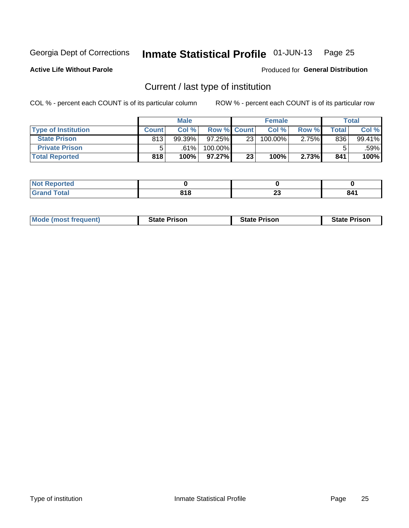#### Inmate Statistical Profile 01-JUN-13 Page 25

**Active Life Without Parole** 

Produced for General Distribution

## Current / last type of institution

COL % - percent each COUNT is of its particular column

|                            |              | <b>Male</b> |                    |                 | <b>Female</b> |       |         | <b>Total</b> |
|----------------------------|--------------|-------------|--------------------|-----------------|---------------|-------|---------|--------------|
| <b>Type of Institution</b> | <b>Count</b> | Col%        | <b>Row % Count</b> |                 | Col %         | Row % | Total i | Col %        |
| <b>State Prison</b>        | 813          | $99.39\%$   | $97.25\%$          | 23 <sub>1</sub> | 100.00%       | 2.75% | 836     | 99.41%       |
| <b>Private Prison</b>      |              | .61%        | 100.00%            |                 |               |       |         | .59%         |
| <b>Total Reported</b>      | 818          | 100%        | $97.27\%$          | 23 <sub>1</sub> | 100%          | 2.73% | 841     | 100%         |

| <b>ported</b> |              |                |     |
|---------------|--------------|----------------|-----|
| <b>otal</b>   | 040<br>0 I U | ^^<br><u>_</u> | 841 |

| <b>Mode (most frequent)</b> | <b>State Prison</b> | <b>State Prison</b> | <b>State Prison</b> |
|-----------------------------|---------------------|---------------------|---------------------|
|                             |                     |                     |                     |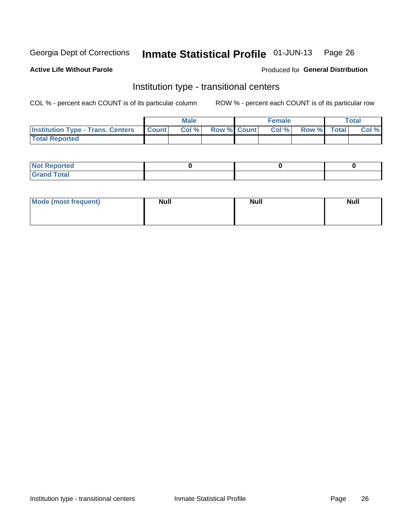#### Inmate Statistical Profile 01-JUN-13 Page 26

#### **Active Life Without Parole**

#### Produced for General Distribution

## Institution type - transitional centers

COL % - percent each COUNT is of its particular column

|                                                | Male  |                    | <b>Female</b> |                   | Total |
|------------------------------------------------|-------|--------------------|---------------|-------------------|-------|
| <b>Institution Type - Trans. Centers Count</b> | Col % | <b>Row % Count</b> |               | Col % Row % Total | Col % |
| <b>Total Reported</b>                          |       |                    |               |                   |       |

| <b>Reported</b><br><b>NOT</b><br>$\sim$            |  |  |
|----------------------------------------------------|--|--|
| $f$ $f \circ f \circ f$<br>$C = 1$<br><b>TULAI</b> |  |  |

| Mode (most frequent) | <b>Null</b> | <b>Null</b> | <b>Null</b> |
|----------------------|-------------|-------------|-------------|
|                      |             |             |             |
|                      |             |             |             |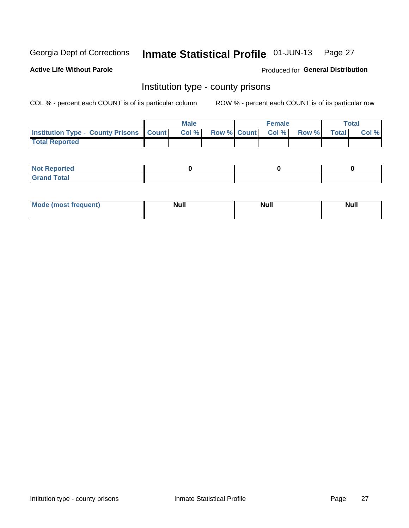#### Inmate Statistical Profile 01-JUN-13 Page 27

**Active Life Without Parole** 

Produced for General Distribution

### Institution type - county prisons

COL % - percent each COUNT is of its particular column

|                                                    | <b>Male</b> |  | <b>Female</b>            |             | <b>Total</b> |
|----------------------------------------------------|-------------|--|--------------------------|-------------|--------------|
| <b>Institution Type - County Prisons   Count  </b> | Col %       |  | <b>Row % Count Col %</b> | Row % Total | Col %        |
| <b>Total Reported</b>                              |             |  |                          |             |              |

| <b>Not</b><br>: Reported<br>$\cdots$ |  |  |
|--------------------------------------|--|--|
| <b>Total</b><br>---                  |  |  |

| Mode (<br>(most frequent) | <b>Null</b> | <b>Null</b> | <b>Null</b> |
|---------------------------|-------------|-------------|-------------|
|                           |             |             |             |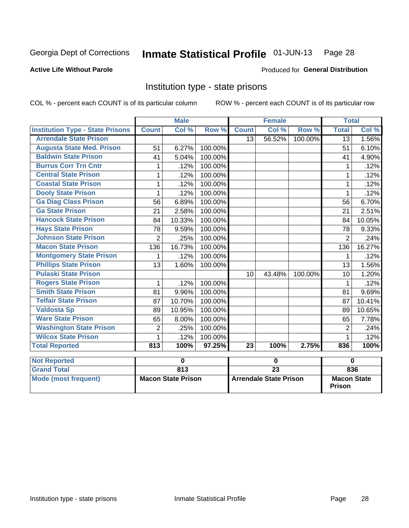#### Inmate Statistical Profile 01-JUN-13 Page 28

#### **Active Life Without Parole**

#### **Produced for General Distribution**

## Institution type - state prisons

COL % - percent each COUNT is of its particular column

|                                         |                | <b>Male</b> |         |              | <b>Female</b> |         | <b>Total</b>   |        |
|-----------------------------------------|----------------|-------------|---------|--------------|---------------|---------|----------------|--------|
| <b>Institution Type - State Prisons</b> | <b>Count</b>   | Col %       | Row %   | <b>Count</b> | Col %         | Row %   | <b>Total</b>   | Col %  |
| <b>Arrendale State Prison</b>           |                |             |         | 13           | 56.52%        | 100.00% | 13             | 1.56%  |
| <b>Augusta State Med. Prison</b>        | 51             | 6.27%       | 100.00% |              |               |         | 51             | 6.10%  |
| <b>Baldwin State Prison</b>             | 41             | 5.04%       | 100.00% |              |               |         | 41             | 4.90%  |
| <b>Burrus Corr Trn Cntr</b>             |                | .12%        | 100.00% |              |               |         |                | .12%   |
| <b>Central State Prison</b>             | 1              | .12%        | 100.00% |              |               |         |                | .12%   |
| <b>Coastal State Prison</b>             | 1              | .12%        | 100.00% |              |               |         | 1              | .12%   |
| <b>Dooly State Prison</b>               |                | .12%        | 100.00% |              |               |         |                | .12%   |
| <b>Ga Diag Class Prison</b>             | 56             | 6.89%       | 100.00% |              |               |         | 56             | 6.70%  |
| <b>Ga State Prison</b>                  | 21             | 2.58%       | 100.00% |              |               |         | 21             | 2.51%  |
| <b>Hancock State Prison</b>             | 84             | 10.33%      | 100.00% |              |               |         | 84             | 10.05% |
| <b>Hays State Prison</b>                | 78             | 9.59%       | 100.00% |              |               |         | 78             | 9.33%  |
| <b>Johnson State Prison</b>             | $\overline{2}$ | .25%        | 100.00% |              |               |         | $\overline{2}$ | .24%   |
| <b>Macon State Prison</b>               | 136            | 16.73%      | 100.00% |              |               |         | 136            | 16.27% |
| <b>Montgomery State Prison</b>          | 1              | .12%        | 100.00% |              |               |         | 1              | .12%   |
| <b>Phillips State Prison</b>            | 13             | 1.60%       | 100.00% |              |               |         | 13             | 1.56%  |
| <b>Pulaski State Prison</b>             |                |             |         | 10           | 43.48%        | 100.00% | 10             | 1.20%  |
| <b>Rogers State Prison</b>              | 1              | .12%        | 100.00% |              |               |         | 1              | .12%   |
| <b>Smith State Prison</b>               | 81             | 9.96%       | 100.00% |              |               |         | 81             | 9.69%  |
| <b>Telfair State Prison</b>             | 87             | 10.70%      | 100.00% |              |               |         | 87             | 10.41% |
| <b>Valdosta Sp</b>                      | 89             | 10.95%      | 100.00% |              |               |         | 89             | 10.65% |
| <b>Ware State Prison</b>                | 65             | 8.00%       | 100.00% |              |               |         | 65             | 7.78%  |
| <b>Washington State Prison</b>          | $\overline{2}$ | .25%        | 100.00% |              |               |         | $\overline{2}$ | .24%   |
| <b>Wilcox State Prison</b>              | 1              | .12%        | 100.00% |              |               |         | 1              | .12%   |
| <b>Total Reported</b>                   | 813            | 100%        | 97.25%  | 23           | 100%          | 2.75%   | 836            | 100%   |
| <b>Not Reported</b>                     |                | 0           |         |              | 0             |         | $\bf{0}$       |        |

| <b>Not Reported</b>  |                           |                               |                                     |
|----------------------|---------------------------|-------------------------------|-------------------------------------|
| <b>Grand Total</b>   | 813                       |                               | 836                                 |
| Mode (most frequent) | <b>Macon State Prison</b> | <b>Arrendale State Prison</b> | <b>Macon State</b><br><b>Prison</b> |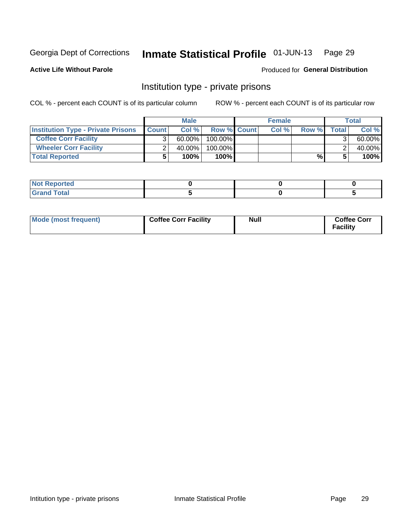## Inmate Statistical Profile 01-JUN-13 Page 29

Produced for General Distribution

#### **Active Life Without Parole**

### Institution type - private prisons

COL % - percent each COUNT is of its particular column

|                                           |              | <b>Male</b> |                    | <b>Female</b> |       |       | <b>Total</b> |
|-------------------------------------------|--------------|-------------|--------------------|---------------|-------|-------|--------------|
| <b>Institution Type - Private Prisons</b> | <b>Count</b> | Col %       | <b>Row % Count</b> | Col%          | Row % | Total | Col %        |
| <b>Coffee Corr Facility</b>               |              | $60.00\%$   | $100.00\%$         |               |       |       | 60.00%       |
| <b>Wheeler Corr Facility</b>              |              | 40.00%      | $100.00\%$         |               |       |       | 40.00%       |
| <b>Total Reported</b>                     |              | 100%        | 100%               |               | %     |       | 100%         |

| <b>Not Reported</b>    |  |  |
|------------------------|--|--|
| <u>i Utal</u><br>_____ |  |  |

| Mode (most frequent) | <b>Coffee Corr Facility</b> | <b>Null</b> | <b>Coffee Corr</b><br><b>Facility</b> |
|----------------------|-----------------------------|-------------|---------------------------------------|
|----------------------|-----------------------------|-------------|---------------------------------------|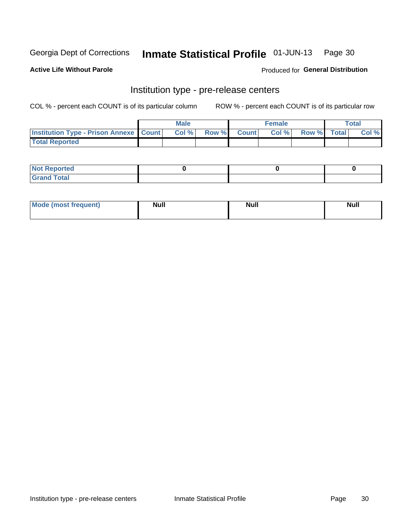## Inmate Statistical Profile 01-JUN-13 Page 30

**Active Life Without Parole** 

Produced for General Distribution

## Institution type - pre-release centers

COL % - percent each COUNT is of its particular column

|                                                   | <b>Male</b> |              |       | <b>Female</b> |                    | <b>Total</b> |
|---------------------------------------------------|-------------|--------------|-------|---------------|--------------------|--------------|
| <b>Institution Type - Prison Annexe   Count  </b> | Col %       | <b>Row %</b> | Count | Col %         | <b>Row %</b> Total | Col %        |
| <b>Total Reported</b>                             |             |              |       |               |                    |              |

| <b>Reported</b><br>I NOT |  |  |
|--------------------------|--|--|
| <b>Total</b><br>$C$ ren  |  |  |

| $^{\circ}$ Mo<br>frequent)<br>⊥(most | <b>Null</b> | Noll<br><b>vull</b> | <b>Null</b> |
|--------------------------------------|-------------|---------------------|-------------|
|                                      |             |                     |             |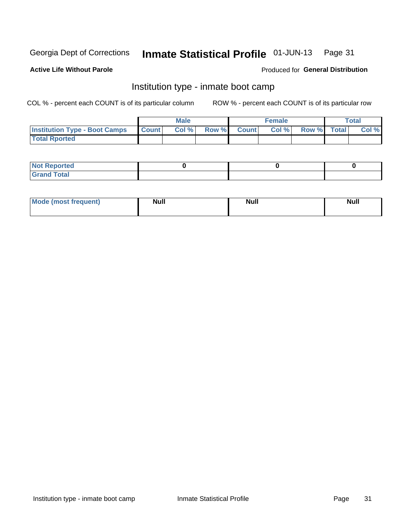#### Inmate Statistical Profile 01-JUN-13 Page 31

#### **Active Life Without Parole**

#### Produced for General Distribution

## Institution type - inmate boot camp

COL % - percent each COUNT is of its particular column

|                                      |              | <b>Male</b> |               |              | <b>Female</b> |             | <b>Total</b> |
|--------------------------------------|--------------|-------------|---------------|--------------|---------------|-------------|--------------|
| <b>Institution Type - Boot Camps</b> | <b>Count</b> | Col %       | <b>Row %I</b> | <b>Count</b> | Col %         | Row % Total | Col %        |
| <b>Total Rported</b>                 |              |             |               |              |               |             |              |

| <b>Not Reported</b> |  |  |
|---------------------|--|--|
| <b>Total</b><br>Cro |  |  |

| <b>I Mode (most frequent)</b> | <b>Null</b> | <b>Null</b> | <b>Null</b> |
|-------------------------------|-------------|-------------|-------------|
|                               |             |             |             |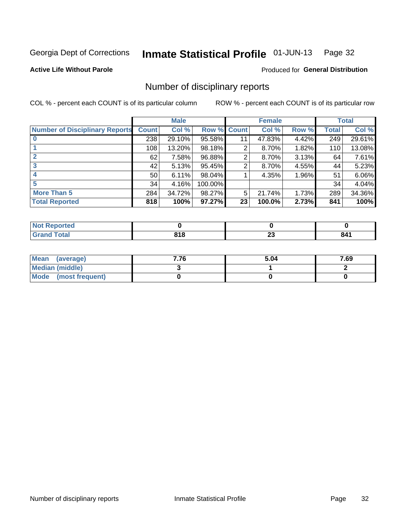#### Inmate Statistical Profile 01-JUN-13 Page 32

#### **Active Life Without Parole**

#### Produced for General Distribution

## Number of disciplinary reports

COL % - percent each COUNT is of its particular column

|                                       |              | <b>Male</b> |         |              | <b>Female</b> |       |              | <b>Total</b> |
|---------------------------------------|--------------|-------------|---------|--------------|---------------|-------|--------------|--------------|
| <b>Number of Disciplinary Reports</b> | <b>Count</b> | Col %       | Row %   | <b>Count</b> | Col %         | Row % | <b>Total</b> | Col %        |
|                                       | 238          | 29.10%      | 95.58%  | 11           | 47.83%        | 4.42% | 249          | 29.61%       |
|                                       | 108          | 13.20%      | 98.18%  | 2            | 8.70%         | 1.82% | 110          | 13.08%       |
| $\mathbf{2}$                          | 62           | 7.58%       | 96.88%  | 2            | 8.70%         | 3.13% | 64           | 7.61%        |
| 3                                     | 42           | 5.13%       | 95.45%  | 2            | 8.70%         | 4.55% | 44           | 5.23%        |
|                                       | 50           | 6.11%       | 98.04%  |              | 4.35%         | 1.96% | 51           | 6.06%        |
| 5                                     | 34           | 4.16%       | 100.00% |              |               |       | 34           | 4.04%        |
| <b>More Than 5</b>                    | 284          | 34.72%      | 98.27%  | 5            | 21.74%        | 1.73% | 289          | 34.36%       |
| <b>Total Reported</b>                 | 818          | 100%        | 97.27%  | 23           | 100.0%        | 2.73% | 841          | 100%         |

| prted<br>NOT |                          |               |     |
|--------------|--------------------------|---------------|-----|
| Total        | 01 <sup>c</sup><br>/ I U | ^^<br>⊷<br>__ | 841 |

| Mean (average)       | 7.76 | 5.04 | 7.69 |
|----------------------|------|------|------|
| Median (middle)      |      |      |      |
| Mode (most frequent) |      |      |      |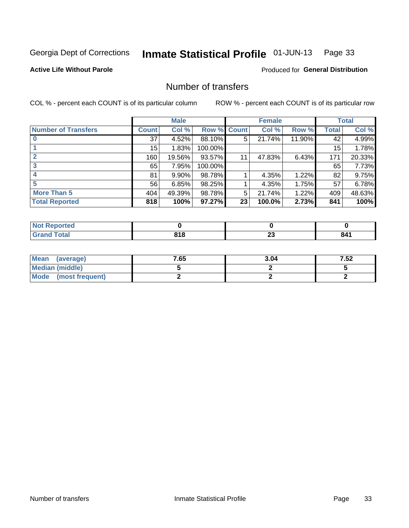#### Inmate Statistical Profile 01-JUN-13 Page 33

**Active Life Without Parole** 

**Produced for General Distribution** 

## Number of transfers

COL % - percent each COUNT is of its particular column

|                            |         | <b>Male</b> |         |              | <b>Female</b> |        |                 | <b>Total</b> |
|----------------------------|---------|-------------|---------|--------------|---------------|--------|-----------------|--------------|
| <b>Number of Transfers</b> | Count l | Col %       | Row %   | <b>Count</b> | Col %         | Row %  | <b>Total</b>    | Col %        |
|                            | 37      | 4.52%       | 88.10%  | 5            | 21.74%        | 11.90% | 42              | 4.99%        |
|                            | 15      | 1.83%       | 100.00% |              |               |        | 15 <sub>1</sub> | 1.78%        |
|                            | 160     | 19.56%      | 93.57%  | 11           | 47.83%        | 6.43%  | 171             | 20.33%       |
| 3                          | 65      | 7.95%       | 100.00% |              |               |        | 65              | 7.73%        |
|                            | 81      | $9.90\%$    | 98.78%  |              | 4.35%         | 1.22%  | 82              | 9.75%        |
| 5                          | 56      | 6.85%       | 98.25%  |              | 4.35%         | 1.75%  | 57              | 6.78%        |
| <b>More Than 5</b>         | 404     | 49.39%      | 98.78%  | 5            | 21.74%        | 1.22%  | 409             | 48.63%       |
| <b>Total Reported</b>      | 818     | 100%        | 97.27%  | 23           | 100.0%        | 2.73%  | 841             | 100%         |

| prted<br>NOT |                          |               |     |
|--------------|--------------------------|---------------|-----|
| Total        | 01 <sup>c</sup><br>/ I U | ^^<br>⊷<br>__ | 841 |

| Mean (average)       | 7.65 | 3.04 | 7.52 |
|----------------------|------|------|------|
| Median (middle)      |      |      |      |
| Mode (most frequent) |      |      |      |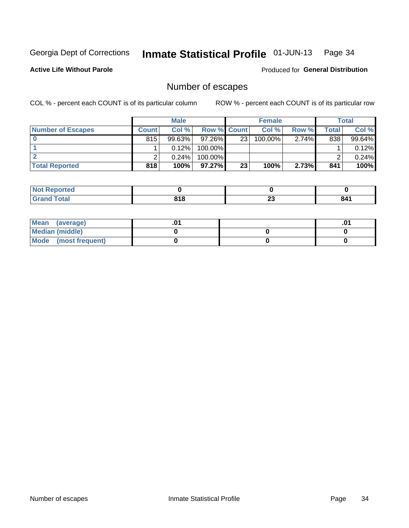#### Inmate Statistical Profile 01-JUN-13 Page 34

**Active Life Without Parole** 

Produced for General Distribution

## Number of escapes

COL % - percent each COUNT is of its particular column

|                          |              | <b>Male</b> |                    |    | <b>Female</b> |          |       | Total  |
|--------------------------|--------------|-------------|--------------------|----|---------------|----------|-------|--------|
| <b>Number of Escapes</b> | <b>Count</b> | Col%        | <b>Row % Count</b> |    | Col %         | Row %    | Total | Col %  |
|                          | 815          | $99.63\%$   | $97.26\%$          | 23 | 100.00%       | $2.74\%$ | 838   | 99.64% |
|                          |              | 0.12%       | 100.00%            |    |               |          |       | 0.12%  |
|                          |              | 0.24%       | 100.00%            |    |               |          |       | 0.24%  |
| <b>Total Reported</b>    | 818          | 100%        | $97.27\%$          | 23 | 100%          | 2.73%    | 841   | 100%   |

| <b>Not Reported</b> |              |          |     |
|---------------------|--------------|----------|-----|
| <b>Grand Total</b>  | 04C<br>0 I U | n.<br>∠J | 841 |

| Mean (average)       |  | .01 |
|----------------------|--|-----|
| Median (middle)      |  |     |
| Mode (most frequent) |  |     |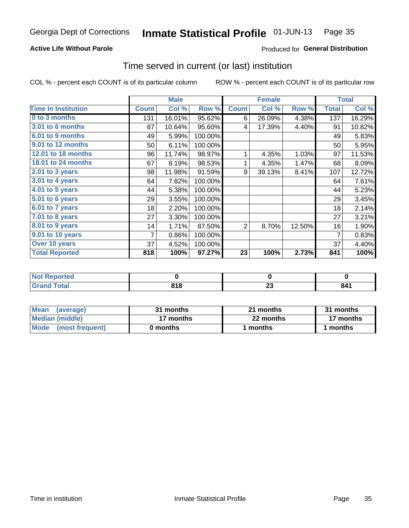#### Inmate Statistical Profile 01-JUN-13 Page 35

#### **Active Life Without Parole**

#### Produced for General Distribution

### Time served in current (or last) institution

COL % - percent each COUNT is of its particular column

|                              |              | <b>Male</b> |         |              | <b>Female</b> |        |              | <b>Total</b> |
|------------------------------|--------------|-------------|---------|--------------|---------------|--------|--------------|--------------|
| <b>Time In Institution</b>   | <b>Count</b> | Col %       | Row %   | <b>Count</b> | Col %         | Row %  | <b>Total</b> | Col %        |
| 0 to 3 months                | 131          | 16.01%      | 95.62%  | 6            | 26.09%        | 4.38%  | 137          | 16.29%       |
| 3.01 to 6 months             | 87           | 10.64%      | 95.60%  | 4            | 17.39%        | 4.40%  | 91           | 10.82%       |
| 6.01 to 9 months             | 49           | 5.99%       | 100.00% |              |               |        | 49           | 5.83%        |
| 9.01 to 12 months            | 50           | 6.11%       | 100.00% |              |               |        | 50           | 5.95%        |
| 12.01 to 18 months           | 96           | 11.74%      | 98.97%  | 1            | 4.35%         | 1.03%  | 97           | 11.53%       |
| <b>18.01 to 24 months</b>    | 67           | 8.19%       | 98.53%  | 1            | 4.35%         | 1.47%  | 68           | 8.09%        |
| $2.01$ to 3 years            | 98           | 11.98%      | 91.59%  | 9            | 39.13%        | 8.41%  | 107          | 12.72%       |
| $3.01$ to 4 years            | 64           | 7.82%       | 100.00% |              |               |        | 64           | 7.61%        |
| $4.01$ to 5 years            | 44           | 5.38%       | 100.00% |              |               |        | 44           | 5.23%        |
| $\overline{5.01}$ to 6 years | 29           | 3.55%       | 100.00% |              |               |        | 29           | 3.45%        |
| 6.01 to 7 years              | 18           | 2.20%       | 100.00% |              |               |        | 18           | 2.14%        |
| $7.01$ to 8 years            | 27           | 3.30%       | 100.00% |              |               |        | 27           | 3.21%        |
| $8.01$ to 9 years            | 14           | 1.71%       | 87.50%  | 2            | 8.70%         | 12.50% | 16           | 1.90%        |
| 9.01 to 10 years             | 7            | 0.86%       | 100.00% |              |               |        | 7            | 0.83%        |
| Over 10 years                | 37           | 4.52%       | 100.00% |              |               |        | 37           | 4.40%        |
| <b>Total Reported</b>        | 818          | 100%        | 97.27%  | 23           | 100%          | 2.73%  | 841          | 100%         |

| Reported<br><b>NOT</b> |     |                   |     |
|------------------------|-----|-------------------|-----|
| <i>i</i> otal          | 818 | ^^<br>∼<br>$\sim$ | 841 |

| <b>Mean</b><br>(average) | 31 months | 21 months | 31 months |  |
|--------------------------|-----------|-----------|-----------|--|
| Median (middle)          | 17 months | 22 months | 17 months |  |
| Mode (most frequent)     | 0 months  | 1 months  | 1 months  |  |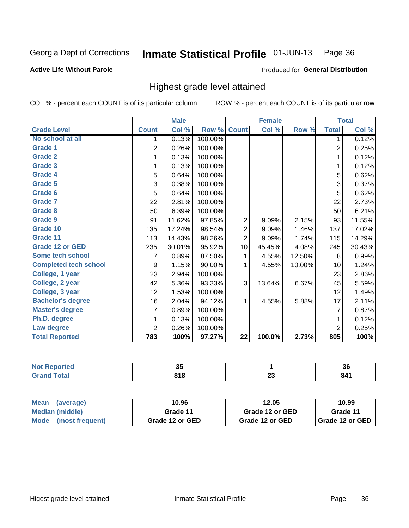#### Inmate Statistical Profile 01-JUN-13 Page 36

#### **Active Life Without Parole**

#### Produced for General Distribution

## Highest grade level attained

COL % - percent each COUNT is of its particular column

|                              |                | <b>Male</b> |         |                 | <b>Female</b> |        |                | <b>Total</b> |
|------------------------------|----------------|-------------|---------|-----------------|---------------|--------|----------------|--------------|
| <b>Grade Level</b>           | <b>Count</b>   | Col %       | Row %   | <b>Count</b>    | Col %         | Row %  | <b>Total</b>   | Col %        |
| No school at all             | 1.             | 0.13%       | 100.00% |                 |               |        | 1              | 0.12%        |
| <b>Grade 1</b>               | $\overline{2}$ | 0.26%       | 100.00% |                 |               |        | $\overline{2}$ | 0.25%        |
| <b>Grade 2</b>               | 1              | 0.13%       | 100.00% |                 |               |        | 1              | 0.12%        |
| <b>Grade 3</b>               | 1              | 0.13%       | 100.00% |                 |               |        | 1              | 0.12%        |
| <b>Grade 4</b>               | 5              | 0.64%       | 100.00% |                 |               |        | 5              | 0.62%        |
| Grade 5                      | 3              | 0.38%       | 100.00% |                 |               |        | 3              | 0.37%        |
| Grade 6                      | 5              | 0.64%       | 100.00% |                 |               |        | 5              | 0.62%        |
| Grade 7                      | 22             | 2.81%       | 100.00% |                 |               |        | 22             | 2.73%        |
| Grade 8                      | 50             | 6.39%       | 100.00% |                 |               |        | 50             | 6.21%        |
| Grade 9                      | 91             | 11.62%      | 97.85%  | 2               | 9.09%         | 2.15%  | 93             | 11.55%       |
| Grade 10                     | 135            | 17.24%      | 98.54%  | $\overline{2}$  | 9.09%         | 1.46%  | 137            | 17.02%       |
| Grade 11                     | 113            | 14.43%      | 98.26%  | $\overline{2}$  | 9.09%         | 1.74%  | 115            | 14.29%       |
| <b>Grade 12 or GED</b>       | 235            | 30.01%      | 95.92%  | 10              | 45.45%        | 4.08%  | 245            | 30.43%       |
| Some tech school             | 7              | 0.89%       | 87.50%  | 1               | 4.55%         | 12.50% | 8              | 0.99%        |
| <b>Completed tech school</b> | 9              | 1.15%       | 90.00%  | 1               | 4.55%         | 10.00% | 10             | 1.24%        |
| College, 1 year              | 23             | 2.94%       | 100.00% |                 |               |        | 23             | 2.86%        |
| College, 2 year              | 42             | 5.36%       | 93.33%  | 3               | 13.64%        | 6.67%  | 45             | 5.59%        |
| College, 3 year              | 12             | 1.53%       | 100.00% |                 |               |        | 12             | 1.49%        |
| <b>Bachelor's degree</b>     | 16             | 2.04%       | 94.12%  | 1               | 4.55%         | 5.88%  | 17             | 2.11%        |
| <b>Master's degree</b>       | 7              | 0.89%       | 100.00% |                 |               |        | $\overline{7}$ | 0.87%        |
| Ph.D. degree                 | 1              | 0.13%       | 100.00% |                 |               |        | 1              | 0.12%        |
| Law degree                   | $\overline{2}$ | 0.26%       | 100.00% |                 |               |        | $\overline{2}$ | 0.25%        |
| <b>Total Reported</b>        | 783            | 100%        | 97.27%  | $\overline{22}$ | 100.0%        | 2.73%  | 805            | 100%         |

| rtea<br><b>NOT</b><br> | <br>JJ.    |   | ^^<br>-36 |
|------------------------|------------|---|-----------|
| otal                   | 04C<br>010 | ∼ | 841       |

| <b>Mean</b><br>(average)       | 10.96           | 12.05           | 10.99             |  |
|--------------------------------|-----------------|-----------------|-------------------|--|
| Median (middle)                | Grade 11        | Grade 12 or GED | Grade 11          |  |
| <b>Mode</b><br>(most frequent) | Grade 12 or GED | Grade 12 or GED | I Grade 12 or GED |  |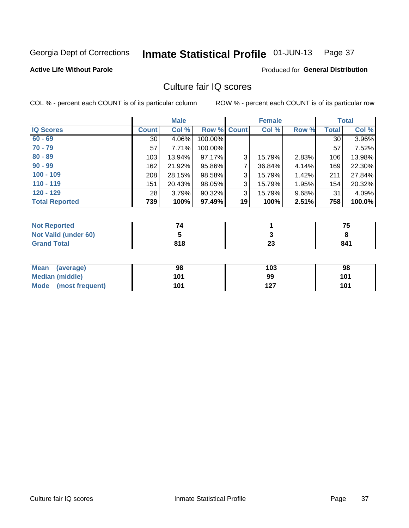#### Inmate Statistical Profile 01-JUN-13 Page 37

### **Active Life Without Parole**

### Produced for General Distribution

## Culture fair IQ scores

COL % - percent each COUNT is of its particular column

|                       |                 | <b>Male</b> |                    |    | <b>Female</b> |       |              | <b>Total</b> |
|-----------------------|-----------------|-------------|--------------------|----|---------------|-------|--------------|--------------|
| <b>IQ Scores</b>      | <b>Count</b>    | Col %       | <b>Row % Count</b> |    | Col %         | Row % | <b>Total</b> | Col %        |
| $60 - 69$             | 30 <sup>1</sup> | 4.06%       | 100.00%            |    |               |       | 30           | 3.96%        |
| $70 - 79$             | 57              | 7.71%       | 100.00%            |    |               |       | 57           | 7.52%        |
| $80 - 89$             | 103             | 13.94%      | 97.17%             | 3  | 15.79%        | 2.83% | 106          | 13.98%       |
| $90 - 99$             | 162             | 21.92%      | 95.86%             | 7  | 36.84%        | 4.14% | 169          | 22.30%       |
| $100 - 109$           | 208             | 28.15%      | 98.58%             | 3  | 15.79%        | 1.42% | 211          | 27.84%       |
| $110 - 119$           | 151             | 20.43%      | 98.05%             | 3  | 15.79%        | 1.95% | 154          | 20.32%       |
| $120 - 129$           | 28              | 3.79%       | 90.32%             | 3  | 15.79%        | 9.68% | 31           | 4.09%        |
| <b>Total Reported</b> | 739             | 100%        | 97.49%             | 19 | 100%          | 2.51% | 758          | 100.0%       |

| <b>Not Reported</b>         |     |          | フロ  |
|-----------------------------|-----|----------|-----|
| <b>Not Valid (under 60)</b> |     |          |     |
| <b>Grand Total</b>          | 818 | ^^<br>∠J | 841 |

| Mean (average)       | 98  | 103 | 98  |
|----------------------|-----|-----|-----|
| Median (middle)      | 101 | 99  | 101 |
| Mode (most frequent) | 101 | 127 | 101 |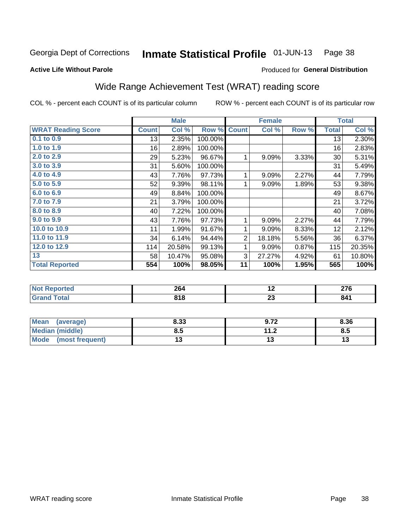#### Inmate Statistical Profile 01-JUN-13 Page 38

**Active Life Without Parole** 

### Produced for General Distribution

## Wide Range Achievement Test (WRAT) reading score

COL % - percent each COUNT is of its particular column

|                           |              | <b>Male</b> |         |                | <b>Female</b> |       |              | <b>Total</b> |
|---------------------------|--------------|-------------|---------|----------------|---------------|-------|--------------|--------------|
| <b>WRAT Reading Score</b> | <b>Count</b> | Col %       | Row %   | <b>Count</b>   | Col %         | Row % | <b>Total</b> | Col %        |
| 0.1 to 0.9                | 13           | 2.35%       | 100.00% |                |               |       | 13           | 2.30%        |
| 1.0 to 1.9                | 16           | 2.89%       | 100.00% |                |               |       | 16           | 2.83%        |
| 2.0 to 2.9                | 29           | 5.23%       | 96.67%  | 1              | 9.09%         | 3.33% | 30           | 5.31%        |
| 3.0 to 3.9                | 31           | 5.60%       | 100.00% |                |               |       | 31           | 5.49%        |
| 4.0 to 4.9                | 43           | 7.76%       | 97.73%  | 1              | 9.09%         | 2.27% | 44           | 7.79%        |
| 5.0 t0 5.9                | 52           | 9.39%       | 98.11%  | 1              | 9.09%         | 1.89% | 53           | 9.38%        |
| 6.0 to 6.9                | 49           | 8.84%       | 100.00% |                |               |       | 49           | 8.67%        |
| 7.0 to 7.9                | 21           | 3.79%       | 100.00% |                |               |       | 21           | 3.72%        |
| 8.0 to 8.9                | 40           | 7.22%       | 100.00% |                |               |       | 40           | 7.08%        |
| 9.0 to 9.9                | 43           | 7.76%       | 97.73%  | 1              | 9.09%         | 2.27% | 44           | 7.79%        |
| 10.0 to 10.9              | 11           | 1.99%       | 91.67%  | 1              | 9.09%         | 8.33% | 12           | 2.12%        |
| 11.0 to 11.9              | 34           | 6.14%       | 94.44%  | $\overline{2}$ | 18.18%        | 5.56% | 36           | 6.37%        |
| 12.0 to 12.9              | 114          | 20.58%      | 99.13%  | 1              | 9.09%         | 0.87% | 115          | 20.35%       |
| 13                        | 58           | 10.47%      | 95.08%  | 3              | 27.27%        | 4.92% | 61           | 10.80%       |
| <b>Total Reported</b>     | 554          | 100%        | 98.05%  | 11             | 100%          | 1.95% | 565          | 100%         |
|                           |              |             |         |                |               |       |              |              |
| <b>Not Reported</b>       |              | 264         |         |                | 12            |       |              | 276          |
| <b>Grand Total</b>        |              | 818         |         |                | 23            |       |              | 841          |

| <b>Mean</b><br>(average) | 8.33 | 9.72              | 8.36 |
|--------------------------|------|-------------------|------|
| <b>Median (middle)</b>   | 8.5  | 112<br>. <u>.</u> | ၓ.Ე  |
| Mode (most frequent)     |      | ں .               | יי   |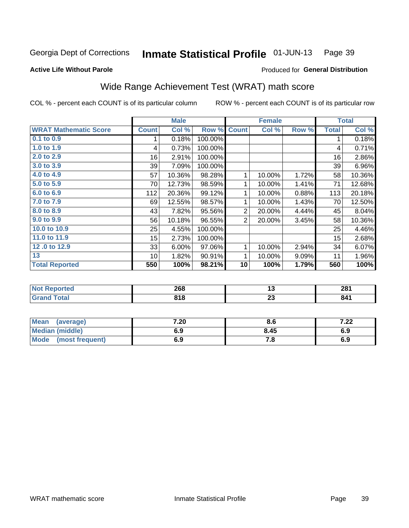#### Inmate Statistical Profile 01-JUN-13 Page 39

**Active Life Without Parole** 

## Produced for General Distribution

## Wide Range Achievement Test (WRAT) math score

COL % - percent each COUNT is of its particular column

|                              |              | <b>Male</b> |         |                | <b>Female</b> |       |              | <b>Total</b> |
|------------------------------|--------------|-------------|---------|----------------|---------------|-------|--------------|--------------|
| <b>WRAT Mathematic Score</b> | <b>Count</b> | Col %       | Row %   | <b>Count</b>   | Col %         | Row % | <b>Total</b> | Col %        |
| 0.1 to 0.9                   |              | 0.18%       | 100.00% |                |               |       | 1            | 0.18%        |
| 1.0 to 1.9                   | 4            | 0.73%       | 100.00% |                |               |       | 4            | 0.71%        |
| 2.0 to 2.9                   | 16           | 2.91%       | 100.00% |                |               |       | 16           | 2.86%        |
| 3.0 to 3.9                   | 39           | 7.09%       | 100.00% |                |               |       | 39           | 6.96%        |
| 4.0 to 4.9                   | 57           | 10.36%      | 98.28%  | 1              | 10.00%        | 1.72% | 58           | 10.36%       |
| 5.0 to 5.9                   | 70           | 12.73%      | 98.59%  | 1              | 10.00%        | 1.41% | 71           | 12.68%       |
| 6.0 to 6.9                   | 112          | 20.36%      | 99.12%  | 1              | 10.00%        | 0.88% | 113          | 20.18%       |
| 7.0 to 7.9                   | 69           | 12.55%      | 98.57%  | 1              | 10.00%        | 1.43% | 70           | 12.50%       |
| 8.0 to 8.9                   | 43           | 7.82%       | 95.56%  | $\overline{2}$ | 20.00%        | 4.44% | 45           | 8.04%        |
| 9.0 to 9.9                   | 56           | 10.18%      | 96.55%  | $\overline{2}$ | 20.00%        | 3.45% | 58           | 10.36%       |
| 10.0 to 10.9                 | 25           | 4.55%       | 100.00% |                |               |       | 25           | 4.46%        |
| 11.0 to 11.9                 | 15           | 2.73%       | 100.00% |                |               |       | 15           | 2.68%        |
| 12.0 to 12.9                 | 33           | 6.00%       | 97.06%  | 1              | 10.00%        | 2.94% | 34           | 6.07%        |
| 13                           | 10           | 1.82%       | 90.91%  | 1              | 10.00%        | 9.09% | 11           | 1.96%        |
| <b>Total Reported</b>        | 550          | 100%        | 98.21%  | 10             | 100%          | 1.79% | 560          | 100%         |
|                              |              |             |         |                |               |       |              |              |
| <b>Not Reported</b>          |              | 268         |         |                | 13            |       |              | 281          |
| <b>Grand Total</b>           |              | 818         |         |                | 23            |       |              | 841          |

| <b>Mean</b><br>(average)       | 7.20 | Ծ. ხ | מה ד<br>1 .ZZ |
|--------------------------------|------|------|---------------|
| Median (middle)                | 6.9  | 8.45 | 6.9           |
| <b>Mode</b><br>(most frequent) | 6.9  | 7.O  | 6.9           |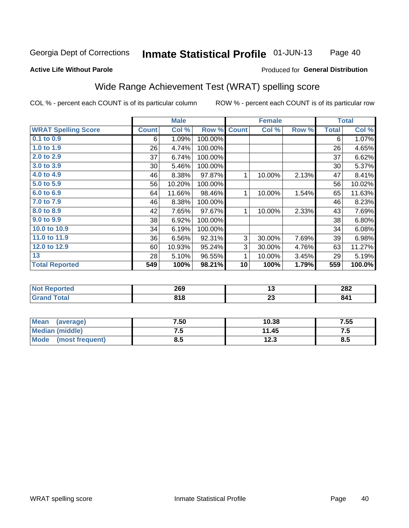#### **Inmate Statistical Profile 01-JUN-13** Page 40

#### **Active Life Without Parole**

### Produced for General Distribution

## Wide Range Achievement Test (WRAT) spelling score

COL % - percent each COUNT is of its particular column

ROW % - percent each COUNT is of its particular row

 $\overline{23}$ 

|                            |              | <b>Male</b> |         |              | <b>Female</b> |       |              | <b>Total</b> |
|----------------------------|--------------|-------------|---------|--------------|---------------|-------|--------------|--------------|
| <b>WRAT Spelling Score</b> | <b>Count</b> | Col %       | Row %   | <b>Count</b> | Col %         | Row % | <b>Total</b> | Col %        |
| 0.1 to 0.9                 | 6            | 1.09%       | 100.00% |              |               |       | 6            | 1.07%        |
| 1.0 to 1.9                 | 26           | 4.74%       | 100.00% |              |               |       | 26           | 4.65%        |
| 2.0 to 2.9                 | 37           | 6.74%       | 100.00% |              |               |       | 37           | 6.62%        |
| 3.0 to 3.9                 | 30           | 5.46%       | 100.00% |              |               |       | 30           | 5.37%        |
| 4.0 to 4.9                 | 46           | 8.38%       | 97.87%  | 1            | 10.00%        | 2.13% | 47           | 8.41%        |
| 5.0 to 5.9                 | 56           | 10.20%      | 100.00% |              |               |       | 56           | 10.02%       |
| 6.0 to 6.9                 | 64           | 11.66%      | 98.46%  | 1            | 10.00%        | 1.54% | 65           | 11.63%       |
| 7.0 to 7.9                 | 46           | 8.38%       | 100.00% |              |               |       | 46           | 8.23%        |
| 8.0 to 8.9                 | 42           | 7.65%       | 97.67%  | 1            | 10.00%        | 2.33% | 43           | 7.69%        |
| 9.0 to 9.9                 | 38           | 6.92%       | 100.00% |              |               |       | 38           | 6.80%        |
| 10.0 to 10.9               | 34           | 6.19%       | 100.00% |              |               |       | 34           | 6.08%        |
| 11.0 to 11.9               | 36           | 6.56%       | 92.31%  | 3            | 30.00%        | 7.69% | 39           | 6.98%        |
| 12.0 to 12.9               | 60           | 10.93%      | 95.24%  | 3            | 30.00%        | 4.76% | 63           | 11.27%       |
| 13                         | 28           | 5.10%       | 96.55%  | 1            | 10.00%        | 3.45% | 29           | 5.19%        |
| <b>Total Reported</b>      | 549          | 100%        | 98.21%  | 10           | 100%          | 1.79% | 559          | 100.0%       |
|                            |              |             |         |              |               |       |              |              |
| <b>Not Reported</b>        |              | 269         |         |              | 13            |       |              | 282          |

| Mean<br>(average)       | 7.50 | 10.38 | 7.55 |
|-------------------------|------|-------|------|
| Median (middle)         | ن ،  | 11.45 | ن. ا |
| Mode<br>(most frequent) | 0.J  | 12.3  | o.u  |

 $818$ 

**Grand Total** 

 $841$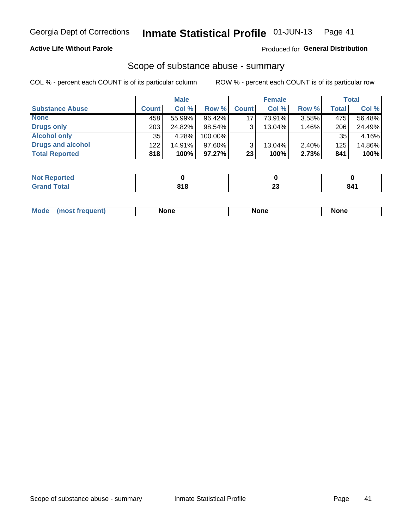## **Active Life Without Parole**

### Produced for General Distribution

## Scope of substance abuse - summary

COL % - percent each COUNT is of its particular column

|                        |              | <b>Male</b> |           |              | <b>Female</b> |       |              | Total  |
|------------------------|--------------|-------------|-----------|--------------|---------------|-------|--------------|--------|
| <b>Substance Abuse</b> | <b>Count</b> | Col %       | Row %     | <b>Count</b> | Col %         | Row % | <b>Total</b> | Col %  |
| <b>None</b>            | 458          | 55.99%      | 96.42%    | 17           | 73.91%        | 3.58% | 475          | 56.48% |
| <b>Drugs only</b>      | 203          | 24.82%      | 98.54%    |              | 13.04%        | 1.46% | 206          | 24.49% |
| <b>Alcohol only</b>    | 35           | 4.28%       | 100.00%   |              |               |       | 35           | 4.16%  |
| Drugs and alcohol      | 122          | 14.91%      | $97.60\%$ |              | 13.04%        | 2.40% | 125          | 14.86% |
| <b>Total Reported</b>  | 818          | 100%        | $97.27\%$ | 23           | 100%          | 2.73% | 841          | 100%   |

| Reported    |     |          |     |
|-------------|-----|----------|-----|
| <b>otal</b> | 818 | ~~<br>ZJ | 841 |

| Mode<br>None<br>None<br>None<br>quenu |
|---------------------------------------|
|---------------------------------------|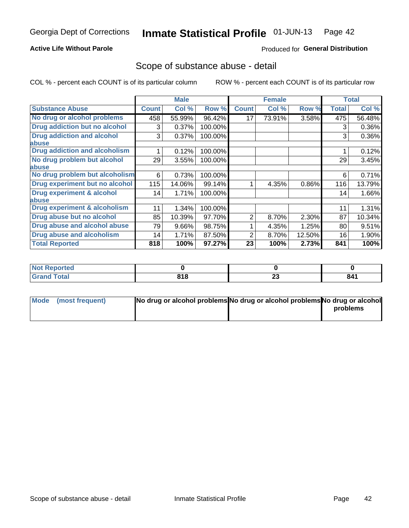## **Active Life Without Parole**

### Produced for General Distribution

## Scope of substance abuse - detail

COL % - percent each COUNT is of its particular column

|                                      |              | <b>Male</b> |         |              | <b>Female</b> |        |       | <b>Total</b> |
|--------------------------------------|--------------|-------------|---------|--------------|---------------|--------|-------|--------------|
| <b>Substance Abuse</b>               | <b>Count</b> | Col %       | Row %   | <b>Count</b> | Col %         | Row %  | Total | Col %        |
| No drug or alcohol problems          | 458          | 55.99%      | 96.42%  | 17           | 73.91%        | 3.58%  | 475   | 56.48%       |
| Drug addiction but no alcohol        | 3            | 0.37%       | 100.00% |              |               |        | 3     | 0.36%        |
| <b>Drug addiction and alcohol</b>    | 3            | 0.37%       | 100.00% |              |               |        | 3     | 0.36%        |
| abuse                                |              |             |         |              |               |        |       |              |
| <b>Drug addiction and alcoholism</b> |              | 0.12%       | 100.00% |              |               |        |       | 0.12%        |
| No drug problem but alcohol          | 29           | 3.55%       | 100.00% |              |               |        | 29    | 3.45%        |
| abuse                                |              |             |         |              |               |        |       |              |
| No drug problem but alcoholism       | 6            | 0.73%       | 100.00% |              |               |        | 6     | 0.71%        |
| Drug experiment but no alcohol       | 115          | 14.06%      | 99.14%  |              | 4.35%         | 0.86%  | 116   | 13.79%       |
| <b>Drug experiment &amp; alcohol</b> | 14           | 1.71%       | 100.00% |              |               |        | 14    | 1.66%        |
| abuse                                |              |             |         |              |               |        |       |              |
| Drug experiment & alcoholism         | 11           | 1.34%       | 100.00% |              |               |        | 11    | 1.31%        |
| Drug abuse but no alcohol            | 85           | 10.39%      | 97.70%  | 2            | 8.70%         | 2.30%  | 87    | 10.34%       |
| Drug abuse and alcohol abuse         | 79           | 9.66%       | 98.75%  |              | 4.35%         | 1.25%  | 80    | 9.51%        |
| <b>Drug abuse and alcoholism</b>     | 14           | 1.71%       | 87.50%  | 2            | 8.70%         | 12.50% | 16    | 1.90%        |
| <b>Total Reported</b>                | 818          | 100%        | 97.27%  | 23           | 100%          | 2.73%  | 841   | 100%         |

| <b>Reported</b> |     |                    |     |
|-----------------|-----|--------------------|-----|
| <b>otal</b>     | 818 | ^^<br>∼∽<br>$\sim$ | 841 |

| Mode (most frequent) | No drug or alcohol problems No drug or alcohol problems No drug or alcohol |          |
|----------------------|----------------------------------------------------------------------------|----------|
|                      |                                                                            | problems |
|                      |                                                                            |          |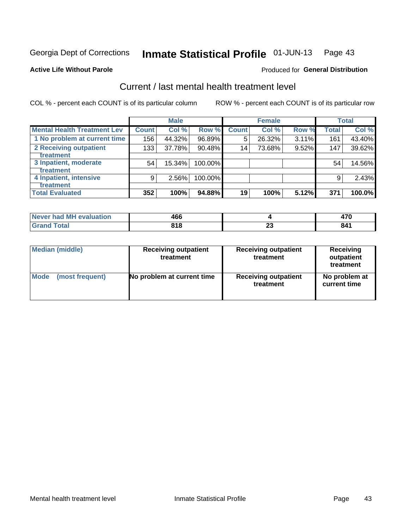#### Inmate Statistical Profile 01-JUN-13 Page 43

#### **Active Life Without Parole**

## **Produced for General Distribution**

## Current / last mental health treatment level

COL % - percent each COUNT is of its particular column

|                                    |              | <b>Male</b> |         |              | <b>Female</b> |       |              | <b>Total</b> |
|------------------------------------|--------------|-------------|---------|--------------|---------------|-------|--------------|--------------|
| <b>Mental Health Treatment Lev</b> | <b>Count</b> | Col %       | Row %   | <b>Count</b> | Col %         | Row % | <b>Total</b> | Col %        |
| 1 No problem at current time       | 156          | 44.32%      | 96.89%  | 5            | 26.32%        | 3.11% | 161          | 43.40%       |
| 2 Receiving outpatient             | 133          | 37.78%      | 90.48%  | 14           | 73.68%        | 9.52% | 147          | 39.62%       |
| Treatment                          |              |             |         |              |               |       |              |              |
| 3 Inpatient, moderate              | 54           | 15.34%      | 100.00% |              |               |       | 54           | 14.56%       |
| <b>Treatment</b>                   |              |             |         |              |               |       |              |              |
| 4 Inpatient, intensive             | 9            | $2.56\%$    | 100.00% |              |               |       | 9            | 2.43%        |
| Treatment                          |              |             |         |              |               |       |              |              |
| <b>Total Evaluated</b>             | 352          | 100%        | 94.88%  | 19           | 100%          | 5.12% | 371          | 100.0%       |

| Never had MH evaluation | 466          |    | $\rightarrow$ |
|-------------------------|--------------|----|---------------|
| Total                   | 040<br>0 I O | Æu | 841           |

| <b>Median (middle)</b> | <b>Receiving outpatient</b><br>treatment | <b>Receiving outpatient</b><br>treatment | <b>Receiving</b><br>outpatient<br>treatment |
|------------------------|------------------------------------------|------------------------------------------|---------------------------------------------|
| <b>Mode</b>            | No problem at current time               | <b>Receiving outpatient</b>              | No problem at                               |
| (most frequent)        |                                          | treatment                                | current time                                |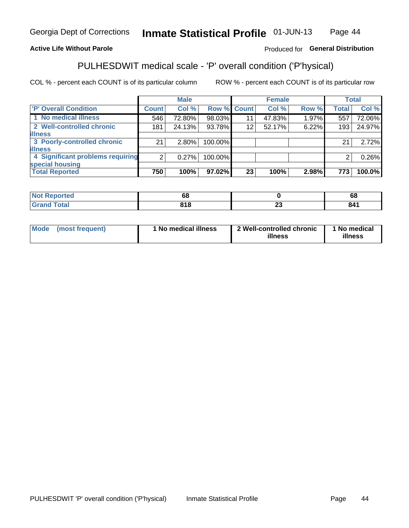#### **Inmate Statistical Profile 01-JUN-13** Page 44

## **Active Life Without Parole**

## Produced for General Distribution

## PULHESDWIT medical scale - 'P' overall condition ('P'hysical)

COL % - percent each COUNT is of its particular column

|                                  |                | <b>Male</b> |                    |    | <b>Female</b> |       |                | <b>Total</b> |
|----------------------------------|----------------|-------------|--------------------|----|---------------|-------|----------------|--------------|
| 'P' Overall Condition            | Count l        | Col %       | <b>Row % Count</b> |    | Col %         | Row % | <b>Total</b>   | Col %        |
| 1 No medical illness             | 546            | 72.80%      | 98.03%             | 11 | 47.83%        | 1.97% | 557            | 72.06%       |
| 2 Well-controlled chronic        | 181            | 24.13%      | 93.78%             | 12 | 52.17%        | 6.22% | 193            | 24.97%       |
| <b>illness</b>                   |                |             |                    |    |               |       |                |              |
| 3 Poorly-controlled chronic      | 21             | $2.80\%$    | 100.00%            |    |               |       | 21             | 2.72%        |
| <b>illness</b>                   |                |             |                    |    |               |       |                |              |
| 4 Significant problems requiring | 2 <sub>1</sub> | 0.27%       | 100.00%            |    |               |       | $\overline{2}$ | 0.26%        |
| special housing                  |                |             |                    |    |               |       |                |              |
| <b>Total Reported</b>            | 750            | 100%        | 97.02%             | 23 | 100%          | 2.98% | 773            | 100.0%       |

| ted           | oo         |                      | oo         |
|---------------|------------|----------------------|------------|
| <u>i</u> Utal | <b>040</b> | $\overline{ }$<br>-- | - - -<br>. |

| <b>Mode</b> | (most frequent) | 1 No medical illness | 2 Well-controlled chronic<br>illness | 1 No medical<br>illness |
|-------------|-----------------|----------------------|--------------------------------------|-------------------------|
|-------------|-----------------|----------------------|--------------------------------------|-------------------------|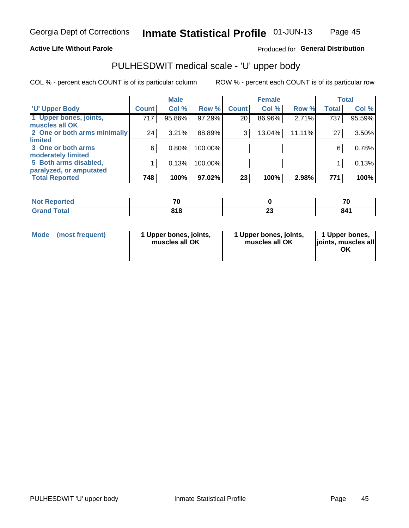## **Active Life Without Parole**

## Produced for General Distribution

# PULHESDWIT medical scale - 'U' upper body

COL % - percent each COUNT is of its particular column

|                              |              | <b>Male</b> |         |              | <b>Female</b> |        |              | <b>Total</b> |
|------------------------------|--------------|-------------|---------|--------------|---------------|--------|--------------|--------------|
| <b>U' Upper Body</b>         | <b>Count</b> | Col %       | Row %   | <b>Count</b> | Col %         | Row %  | <b>Total</b> | Col %        |
| 1 Upper bones, joints,       | 717          | 95.86%      | 97.29%  | 20           | 86.96%        | 2.71%  | 737          | 95.59%       |
| muscles all OK               |              |             |         |              |               |        |              |              |
| 2 One or both arms minimally | 24           | 3.21%       | 88.89%  | 3            | 13.04%        | 11.11% | 27           | 3.50%        |
| limited                      |              |             |         |              |               |        |              |              |
| 3 One or both arms           | 6            | $0.80\%$    | 100.00% |              |               |        | 6            | 0.78%        |
| <b>moderately limited</b>    |              |             |         |              |               |        |              |              |
| 5 Both arms disabled,        |              | 0.13%       | 100.00% |              |               |        |              | 0.13%        |
| paralyzed, or amputated      |              |             |         |              |               |        |              |              |
| <b>Total Reported</b>        | 748          | 100%        | 97.02%  | 23           | 100%          | 2.98%  | 771          | 100%         |

| <b>Not Reported</b> | --  |   | 70  |
|---------------------|-----|---|-----|
| <b>Grand Total</b>  | 818 | w | 841 |

| Mode | (most frequent) | 1 Upper bones, joints,<br>muscles all OK | 1 Upper bones, joints,<br>muscles all OK | 1 Upper bones,<br>ljoints, muscles all<br>ΟK |
|------|-----------------|------------------------------------------|------------------------------------------|----------------------------------------------|
|------|-----------------|------------------------------------------|------------------------------------------|----------------------------------------------|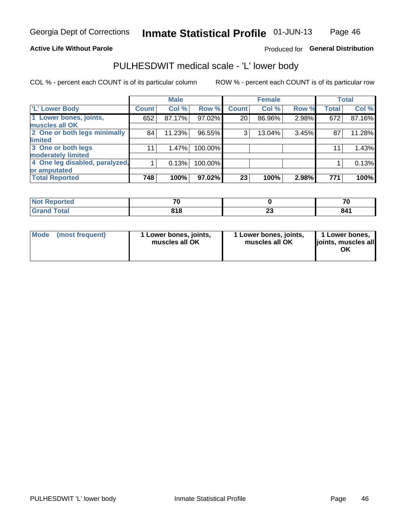## **Active Life Without Parole**

## Produced for General Distribution

## PULHESDWIT medical scale - 'L' lower body

COL % - percent each COUNT is of its particular column

|                                    | <b>Male</b> |              | <b>Female</b>                                             |       |              | <b>Total</b>   |
|------------------------------------|-------------|--------------|-----------------------------------------------------------|-------|--------------|----------------|
| Count <sup>1</sup>                 | Col %       | <b>Count</b> | Col %                                                     | Row % | <b>Total</b> | Col %          |
| 652                                | 87.17%      | 20           | 86.96%                                                    |       | 672          | 87.16%         |
|                                    |             |              |                                                           |       |              |                |
| 2 One or both legs minimally<br>84 | 11.23%      | 3            | 13.04%                                                    |       | 87           | 11.28%         |
|                                    |             |              |                                                           |       |              |                |
| 11                                 | 1.47%       |              |                                                           |       | 11           | 1.43%          |
|                                    |             |              |                                                           |       |              |                |
| 4 One leg disabled, paralyzed,     | 0.13%       |              |                                                           |       |              | 0.13%          |
|                                    |             |              |                                                           |       |              |                |
| 748                                | 100%        | 23           | 100%                                                      | 2.98% | 771          | 100%           |
|                                    |             |              | Row %<br>97.02%<br>96.55%<br>100.00%<br>100.00%<br>97.02% |       |              | 2.98%<br>3.45% |

| <b>Not Reported</b> | --  |   | 70  |
|---------------------|-----|---|-----|
| <b>Grand Total</b>  | 818 | w | 841 |

| Mode | (most frequent) | 1 Lower bones, joints,<br>muscles all OK | 1 Lower bones, joints,<br>muscles all OK | 1 Lower bones,<br>ljoints, muscles all<br>OK |
|------|-----------------|------------------------------------------|------------------------------------------|----------------------------------------------|
|------|-----------------|------------------------------------------|------------------------------------------|----------------------------------------------|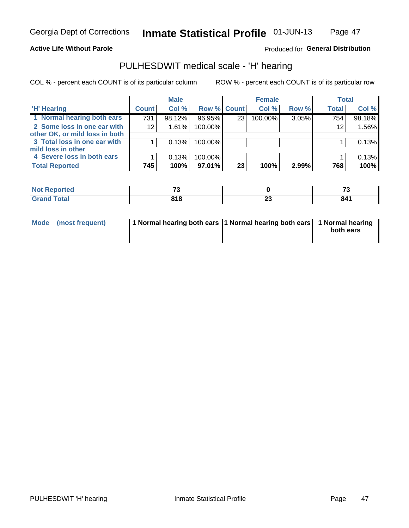### **Active Life Without Parole**

## Produced for General Distribution

## PULHESDWIT medical scale - 'H' hearing

COL % - percent each COUNT is of its particular column

|                                |              | <b>Male</b> |             |                 | <b>Female</b> |       | <b>Total</b> |        |
|--------------------------------|--------------|-------------|-------------|-----------------|---------------|-------|--------------|--------|
| <b>H' Hearing</b>              | <b>Count</b> | Col %       | Row % Count |                 | Col %         | Row % | <b>Total</b> | Col %  |
| 1 Normal hearing both ears     | 731          | 98.12%      | 96.95%      | 23 <sub>1</sub> | 100.00%       | 3.05% | 754          | 98.18% |
| 2 Some loss in one ear with    | 12           | 1.61%       | 100.00%     |                 |               |       | 12           | 1.56%  |
| other OK, or mild loss in both |              |             |             |                 |               |       |              |        |
| 3 Total loss in one ear with   |              | 0.13%       | 100.00%     |                 |               |       |              | 0.13%  |
| mild loss in other             |              |             |             |                 |               |       |              |        |
| 4 Severe loss in both ears     |              | 0.13%       | 100.00%     |                 |               |       |              | 0.13%  |
| <b>Total Reported</b>          | 745          | 100%        | 97.01%      | 23              | 100%          | 2.99% | 768          | 100%   |

| N<br>τeα                    | $\mathbf{r}$ |            | $-$ |
|-----------------------------|--------------|------------|-----|
| $\sim$ $\sim$ $\sim$ $\sim$ | n., n<br>۱о  | . .<br>$-$ | 841 |

|  | Mode (most frequent) | 1 Normal hearing both ears 1 Normal hearing both ears 1 Normal hearing |  | both ears |
|--|----------------------|------------------------------------------------------------------------|--|-----------|
|--|----------------------|------------------------------------------------------------------------|--|-----------|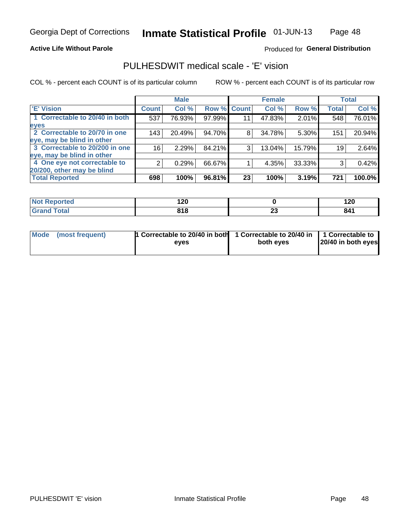#### **Active Life Without Parole**

### Produced for General Distribution

## PULHESDWIT medical scale - 'E' vision

COL % - percent each COUNT is of its particular column

|                                |               | <b>Male</b> |             |    | <b>Female</b> |        |              | <b>Total</b> |
|--------------------------------|---------------|-------------|-------------|----|---------------|--------|--------------|--------------|
| 'E' Vision                     | <b>Count</b>  | Col %       | Row % Count |    | Col %         | Row %  | <b>Total</b> | Col %        |
| 1 Correctable to 20/40 in both | 537           | 76.93%      | 97.99%      | 11 | 47.83%        | 2.01%  | 548          | 76.01%       |
| eyes                           |               |             |             |    |               |        |              |              |
| 2 Correctable to 20/70 in one  | 143           | 20.49%      | 94.70%      | 8  | 34.78%        | 5.30%  | 151          | 20.94%       |
| eye, may be blind in other     |               |             |             |    |               |        |              |              |
| 3 Correctable to 20/200 in one | 16            | 2.29%       | 84.21%      | 3  | 13.04%        | 15.79% | 19           | 2.64%        |
| eye, may be blind in other     |               |             |             |    |               |        |              |              |
| 4 One eye not correctable to   | $\mathcal{P}$ | 0.29%       | 66.67%      |    | 4.35%         | 33.33% | 3            | 0.42%        |
| 20/200, other may be blind     |               |             |             |    |               |        |              |              |
| <b>Total Reported</b>          | 698           | 100%        | 96.81%      | 23 | 100%          | 3.19%  | 721          | 100.0%       |

| <b>Not Reported</b> | 5 מ<br><u>.</u> |          | ה ה<br>14 U |
|---------------------|-----------------|----------|-------------|
| Total               | 04C<br>/ I V    | e.<br>-- | 841         |

| Mode (most frequent) | 1 Correctable to 20/40 in both 1 Correctable to 20/40 in 1 Correctable to<br>eves | both eyes | 20/40 in both eyes |
|----------------------|-----------------------------------------------------------------------------------|-----------|--------------------|
|                      |                                                                                   |           |                    |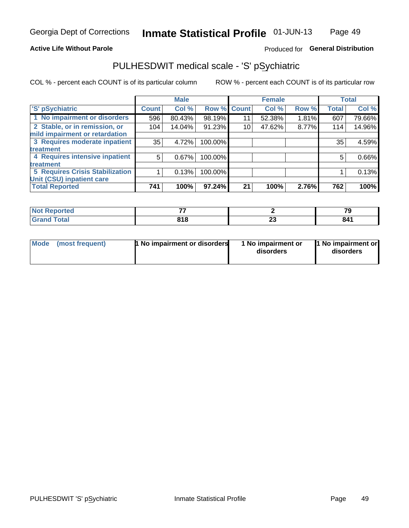## **Active Life Without Parole**

## Produced for General Distribution

## PULHESDWIT medical scale - 'S' pSychiatric

COL % - percent each COUNT is of its particular column

|                                        |              | <b>Male</b> |         |             | <b>Female</b> |       |              | <b>Total</b> |
|----------------------------------------|--------------|-------------|---------|-------------|---------------|-------|--------------|--------------|
| 'S' pSychiatric                        | <b>Count</b> | Col %       |         | Row % Count | Col %         | Row % | <b>Total</b> | Col %        |
| 1 No impairment or disorders           | 596          | 80.43%      | 98.19%  | 11          | 52.38%        | 1.81% | 607          | 79.66%       |
| 2 Stable, or in remission, or          | 104          | 14.04%      | 91.23%  | 10          | 47.62%        | 8.77% | 114          | 14.96%       |
| mild impairment or retardation         |              |             |         |             |               |       |              |              |
| 3 Requires moderate inpatient          | 35           | 4.72%       | 100.00% |             |               |       | 35           | 4.59%        |
| treatment                              |              |             |         |             |               |       |              |              |
| 4 Requires intensive inpatient         | 5            | 0.67%       | 100.00% |             |               |       | 5            | 0.66%        |
| <b>treatment</b>                       |              |             |         |             |               |       |              |              |
| <b>5 Requires Crisis Stabilization</b> |              | 0.13%       | 100.00% |             |               |       |              | 0.13%        |
| Unit (CSU) inpatient care              |              |             |         |             |               |       |              |              |
| <b>Total Reported</b>                  | 741          | 100%        | 97.24%  | 21          | 100%          | 2.76% | 762          | 100%         |

| <b>Not Reported</b>   | --  |         | 70  |
|-----------------------|-----|---------|-----|
| <b>Total</b><br>Grand | 818 | ~<br>-- | 841 |

| Mode<br>1 No impairment or disorders<br>(most frequent) | 1 No impairment or<br>disorders | 1 No impairment or<br>disorders |
|---------------------------------------------------------|---------------------------------|---------------------------------|
|---------------------------------------------------------|---------------------------------|---------------------------------|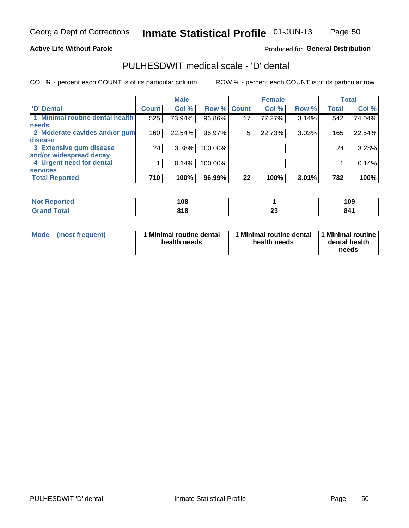### **Active Life Without Parole**

## Produced for General Distribution

## PULHESDWIT medical scale - 'D' dental

COL % - percent each COUNT is of its particular column

|                                 |                 | <b>Male</b> |             |    | <b>Female</b> |       |              | <b>Total</b> |
|---------------------------------|-----------------|-------------|-------------|----|---------------|-------|--------------|--------------|
| <b>D'</b> Dental                | <b>Count</b>    | Col %       | Row % Count |    | Col %         | Row % | <b>Total</b> | Col %        |
| 1 Minimal routine dental health | 525             | 73.94%      | 96.86%      | 17 | 77.27%        | 3.14% | 542          | 74.04%       |
| <b>needs</b>                    |                 |             |             |    |               |       |              |              |
| 2 Moderate cavities and/or gum  | 160             | 22.54%      | 96.97%      | 5  | 22.73%        | 3.03% | 165          | 22.54%       |
| disease                         |                 |             |             |    |               |       |              |              |
| 3 Extensive gum disease         | 24 <sub>1</sub> | 3.38%       | 100.00%     |    |               |       | 24           | 3.28%        |
| and/or widespread decay         |                 |             |             |    |               |       |              |              |
| 4 Urgent need for dental        |                 | 0.14%       | 100.00%     |    |               |       |              | 0.14%        |
| <b>services</b>                 |                 |             |             |    |               |       |              |              |
| <b>Total Reported</b>           | 710             | 100%        | 96.99%      | 22 | 100%          | 3.01% | 732          | 100%         |

| neo          | ៱ក០<br>    |        | ם ו<br>1 V J |
|--------------|------------|--------|--------------|
| <b>Total</b> | 04C<br>1 L | …<br>w | 841          |

| <b>Mode</b> | (most frequent) | <b>Minimal routine dental</b><br>health needs | 1 Minimal routine dental<br>health needs | <b>11 Minimal routine I</b><br>dental health<br>needs |
|-------------|-----------------|-----------------------------------------------|------------------------------------------|-------------------------------------------------------|
|-------------|-----------------|-----------------------------------------------|------------------------------------------|-------------------------------------------------------|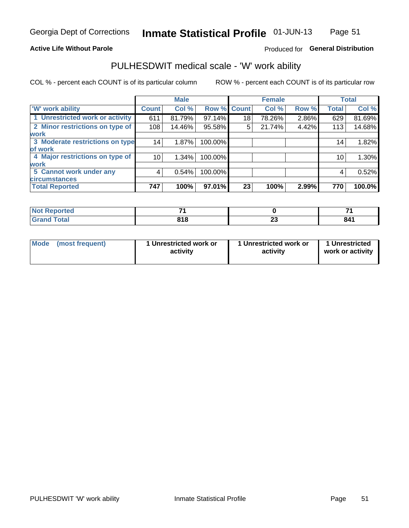### **Active Life Without Parole**

## Produced for General Distribution

## PULHESDWIT medical scale - 'W' work ability

COL % - percent each COUNT is of its particular column

|                                 |              | <b>Male</b> |                    |    | <b>Female</b> |       |              | <b>Total</b> |
|---------------------------------|--------------|-------------|--------------------|----|---------------|-------|--------------|--------------|
| 'W' work ability                | <b>Count</b> | Col %       | <b>Row % Count</b> |    | Col %         | Row % | <b>Total</b> | Col %        |
| 1 Unrestricted work or activity | 611          | 81.79%      | 97.14%             | 18 | 78.26%        | 2.86% | 629          | 81.69%       |
| 2 Minor restrictions on type of | 108          | 14.46%      | 95.58%             | 5  | 21.74%        | 4.42% | 113          | 14.68%       |
| <b>work</b>                     |              |             |                    |    |               |       |              |              |
| 3 Moderate restrictions on type | 14           | 1.87%       | 100.00%            |    |               |       | 14           | 1.82%        |
| of work                         |              |             |                    |    |               |       |              |              |
| 4 Major restrictions on type of | 10           | $1.34\%$    | 100.00%            |    |               |       | 10           | 1.30%        |
| <b>work</b>                     |              |             |                    |    |               |       |              |              |
| 5 Cannot work under any         | 4            | 0.54%       | 100.00%            |    |               |       | 4            | 0.52%        |
| <b>circumstances</b>            |              |             |                    |    |               |       |              |              |
| <b>Total Reported</b>           | 747          | 100%        | 97.01%             | 23 | 100%          | 2.99% | 770          | 100.0%       |

| <b>Not Reported</b> | _           |         |     |
|---------------------|-------------|---------|-----|
| <b>Grand Total</b>  | 04C<br>- 10 | n.<br>∼ | 841 |

| Mode            | 1 Unrestricted work or | 1 Unrestricted work or | 1 Unrestricted   |
|-----------------|------------------------|------------------------|------------------|
| (most frequent) | activity               | activity               | work or activity |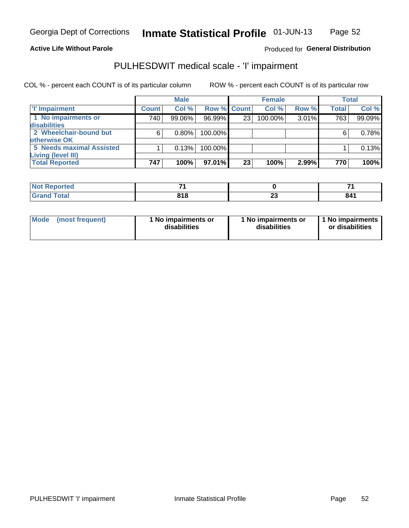**Active Life Without Parole** 

Produced for General Distribution

## PULHESDWIT medical scale - 'I' impairment

|              | <b>Male</b> |    | <b>Female</b>                             |                    |              | <b>Total</b>   |
|--------------|-------------|----|-------------------------------------------|--------------------|--------------|----------------|
| <b>Count</b> | Col %       |    | Col %                                     |                    | <b>Total</b> | Col %          |
| 740          | 99.06%      | 23 | 100.00%                                   |                    | 763          | 99.09%         |
|              |             |    |                                           |                    |              |                |
| 6            | $0.80\%$    |    |                                           |                    |              | 0.78%          |
|              |             |    |                                           |                    |              |                |
|              | 0.13%       |    |                                           |                    |              | 0.13%          |
|              |             |    |                                           |                    |              |                |
| 747          | 100%        | 23 | 100%                                      | 2.99%              | 770          | 100%           |
|              |             |    | 96.99%<br>100.00%<br>100.00%<br>$97.01\%$ | <b>Row % Count</b> |              | Row %<br>3.01% |

| <b>Not</b><br>rtea<br>1101110 |            |   |     |
|-------------------------------|------------|---|-----|
| <b>Grand Total</b>            | 04C<br>010 | ∼ | 84. |

| <b>Mode</b>     | 1 No impairments or | 1 No impairments or | 1 No impairments |
|-----------------|---------------------|---------------------|------------------|
| (most frequent) | disabilities        | disabilities        | or disabilities  |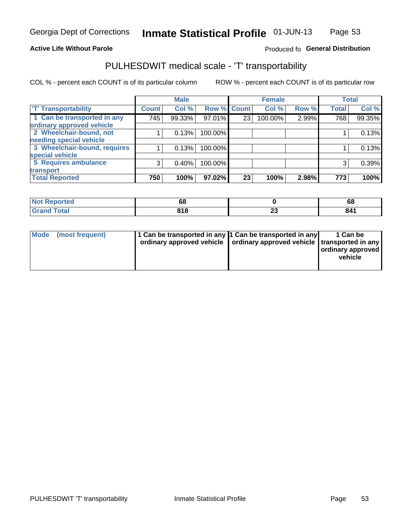## **Active Life Without Parole**

### Produced fo General Distribution

## PULHESDWIT medical scale - 'T' transportability

COL % - percent each COUNT is of its particular column

|                              |                    | <b>Male</b> |             |    | <b>Female</b> |       |              | <b>Total</b> |
|------------------------------|--------------------|-------------|-------------|----|---------------|-------|--------------|--------------|
| <b>T' Transportability</b>   | Count <sup>1</sup> | Col %       | Row % Count |    | Col %         | Row % | <b>Total</b> | Col %        |
| 1 Can be transported in any  | 745                | 99.33%      | 97.01%      | 23 | 100.00%       | 2.99% | 768          | 99.35%       |
| ordinary approved vehicle    |                    |             |             |    |               |       |              |              |
| 2 Wheelchair-bound, not      |                    | 0.13%       | 100.00%     |    |               |       |              | 0.13%        |
| needing special vehicle      |                    |             |             |    |               |       |              |              |
| 3 Wheelchair-bound, requires |                    | 0.13%       | 100.00%     |    |               |       |              | 0.13%        |
| special vehicle              |                    |             |             |    |               |       |              |              |
| 5 Requires ambulance         | $\mathcal{B}$      | 0.40%       | 100.00%     |    |               |       | 3            | 0.39%        |
| transport                    |                    |             |             |    |               |       |              |              |
| <b>Total Reported</b>        | 750                | 100%        | 97.02%      | 23 | 100%          | 2.98% | 773          | 100%         |

| w<br>ported | 68          |   | c<br>oo |
|-------------|-------------|---|---------|
|             | 04 O<br>ם נ | ~ | 841     |

| <b>Mode</b> | (most frequent) | 1 Can be transported in any 1 Can be transported in any | ordinary approved vehicle   ordinary approved vehicle   transported in any | 1 Can be<br>  ordinary approved  <br>vehicle |
|-------------|-----------------|---------------------------------------------------------|----------------------------------------------------------------------------|----------------------------------------------|
|-------------|-----------------|---------------------------------------------------------|----------------------------------------------------------------------------|----------------------------------------------|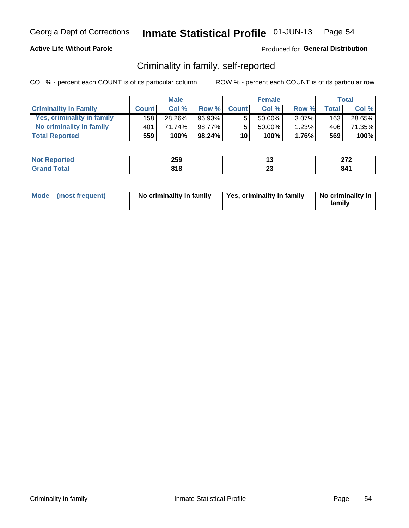## **Active Life Without Parole**

## Produced for General Distribution

## Criminality in family, self-reported

COL % - percent each COUNT is of its particular column

|                              |              | <b>Male</b> |           |                 | <b>Female</b> |          |       | Total  |
|------------------------------|--------------|-------------|-----------|-----------------|---------------|----------|-------|--------|
| <b>Criminality In Family</b> | <b>Count</b> | Col %       | Row %     | <b>Count</b>    | Col%          | Row %    | Total | Col %  |
| Yes, criminality in family   | 158          | 28.26%      | 96.93%    | 5               | 50.00%        | $3.07\%$ | 163   | 28.65% |
| No criminality in family     | 401          | 71.74%      | 98.77%    | 5               | $50.00\%$     | 1.23%    | 406   | 71.35% |
| <b>Total Reported</b>        | 559          | 100%        | $98.24\%$ | 10 <sup>1</sup> | 100%          | 1.76%    | 569   | 100%   |

| <b>Not</b><br>Reported | 259               |    | היה |
|------------------------|-------------------|----|-----|
| `otal<br>l Gran        | <b>040</b><br>,,, | Δv | 841 |

|  | Mode (most frequent) | No criminality in family | Yes, criminality in family | No criminality in<br>family |
|--|----------------------|--------------------------|----------------------------|-----------------------------|
|--|----------------------|--------------------------|----------------------------|-----------------------------|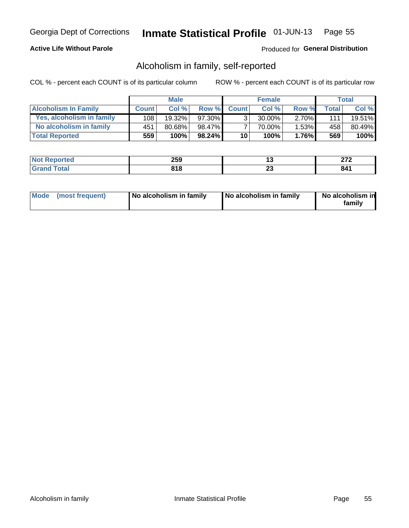## **Active Life Without Parole**

## Produced for General Distribution

## Alcoholism in family, self-reported

COL % - percent each COUNT is of its particular column

|                             |              | <b>Male</b> |        |                 | <b>Female</b> |          |       | Total  |
|-----------------------------|--------------|-------------|--------|-----------------|---------------|----------|-------|--------|
| <b>Alcoholism In Family</b> | <b>Count</b> | Col%        | Row %  | <b>Count</b>    | Col %         | Row %    | Total | Col %  |
| Yes, alcoholism in family   | 108          | $19.32\%$   | 97.30% | ્ર              | 30.00%        | $2.70\%$ | 1111  | 19.51% |
| No alcoholism in family     | 451          | 80.68%      | 98.47% |                 | 70.00%        | $1.53\%$ | 458   | 80.49% |
| <b>Total Reported</b>       | 559          | 100%        | 98.24% | 10 <sup>1</sup> | 100%          | $1.76\%$ | 569   | 100%   |

| <b>Reported</b><br>NC | 259        |              | היה<br>--- |
|-----------------------|------------|--------------|------------|
| <b>otal</b>           | 040<br>טוט | ~<br>∼<br>__ | ᅆ<br>O4 I  |

|  | Mode (most frequent) | No alcoholism in family | No alcoholism in family | No alcoholism in<br>family |
|--|----------------------|-------------------------|-------------------------|----------------------------|
|--|----------------------|-------------------------|-------------------------|----------------------------|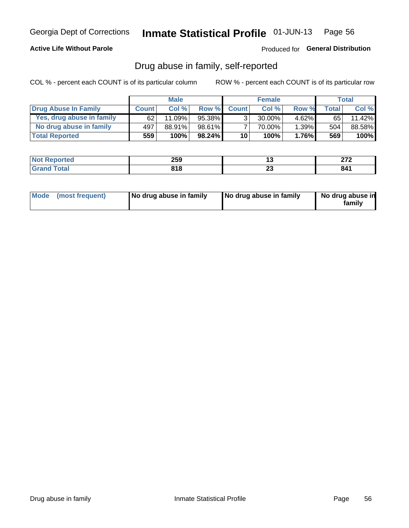## **Active Life Without Parole**

## Produced for General Distribution

## Drug abuse in family, self-reported

COL % - percent each COUNT is of its particular column

|                           |              | <b>Male</b> |           |                 | <b>Female</b> |          |              | Total   |
|---------------------------|--------------|-------------|-----------|-----------------|---------------|----------|--------------|---------|
| Drug Abuse In Family      | <b>Count</b> | Col%        | Row %     | <b>Count</b>    | Col%          | Row %    | <b>Total</b> | Col %   |
| Yes, drug abuse in family | 62           | 11.09%      | 95.38%    | 3 <sub>1</sub>  | $30.00\%$     | $4.62\%$ | 65 I         | 11.42%  |
| No drug abuse in family   | 497          | 88.91%      | 98.61%    |                 | 70.00%        | 1.39%    | 504          | 88.58%  |
| <b>Total Reported</b>     | 559          | 100%        | $98.24\%$ | 10 <sub>1</sub> | 100%          | $1.76\%$ | 569          | $100\%$ |

| <b>Not Reported</b>      | 259               |   | היה |
|--------------------------|-------------------|---|-----|
| <b>c</b> otal<br>' Grano | <b>040</b><br>טוט | " | 841 |

|  | Mode (most frequent) | No drug abuse in family | No drug abuse in family | No drug abuse in<br>family |
|--|----------------------|-------------------------|-------------------------|----------------------------|
|--|----------------------|-------------------------|-------------------------|----------------------------|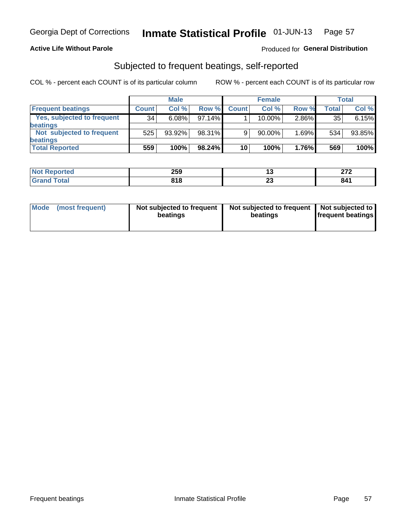### **Active Life Without Parole**

## Produced for General Distribution

## Subjected to frequent beatings, self-reported

COL % - percent each COUNT is of its particular column

|                            |              | <b>Male</b> |           |              | <b>Female</b> |       |       | Total  |
|----------------------------|--------------|-------------|-----------|--------------|---------------|-------|-------|--------|
| <b>Frequent beatings</b>   | <b>Count</b> | Col%        | Row %     | <b>Count</b> | Col %         | Row % | Total | Col %  |
| Yes, subjected to frequent | 34           | 6.08%       | 97.14%    |              | 10.00%        | 2.86% | 35    | 6.15%  |
| <b>beatings</b>            |              |             |           |              |               |       |       |        |
| Not subjected to frequent  | 525          | 93.92%      | 98.31%    | 9            | 90.00%        | 1.69% | 534   | 93.85% |
| <b>beatings</b>            |              |             |           |              |               |       |       |        |
| <b>Total Reported</b>      | 559          | 100%        | $98.24\%$ | 10           | 100%          | 1.76% | 569   | 100%   |

| <b>Not Reported</b> | 259 | . .      | 270<br>L I L |
|---------------------|-----|----------|--------------|
| <b>Grand Total</b>  | 818 | ~~<br>ΖJ | 841          |

| Mode (most frequent) | Not subjected to frequent<br>beatings | Not subjected to frequent<br>beatings | Not subjected to<br><b>frequent beatings</b> |
|----------------------|---------------------------------------|---------------------------------------|----------------------------------------------|
|                      |                                       |                                       |                                              |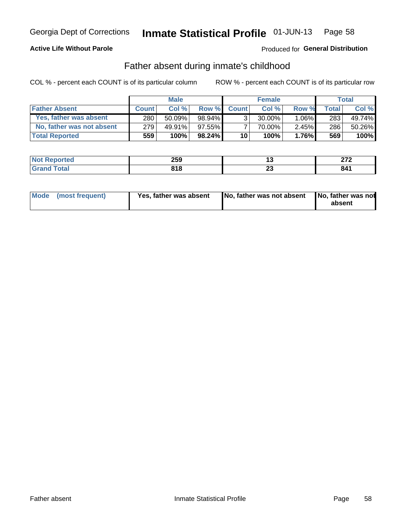## **Active Life Without Parole**

## Produced for General Distribution

## Father absent during inmate's childhood

COL % - percent each COUNT is of its particular column

|                           |              | <b>Male</b> |           |                 | <b>Female</b> |          |              | Total  |
|---------------------------|--------------|-------------|-----------|-----------------|---------------|----------|--------------|--------|
| <b>Father Absent</b>      | <b>Count</b> | Col%        | Row %     | <b>Count</b>    | Col %         | Row %    | <b>Total</b> | Col %  |
| Yes, father was absent    | 280          | $50.09\%$   | 98.94%    | 3 <sub>1</sub>  | $30.00\%$     | $1.06\%$ | 283          | 49.74% |
| No, father was not absent | 279          | 49.91%      | $97.55\%$ |                 | 70.00%        | $2.45\%$ | 286          | 50.26% |
| <b>Total Reported</b>     | 559          | 100%        | $98.24\%$ | 10 <sup>1</sup> | 100%          | $1.76\%$ | 569          | 100%   |

| <b>Not Reported</b> | 259   | ۰. | היה |
|---------------------|-------|----|-----|
| <b>Total</b>        | 040   | "  | 841 |
| 'Grano              | 0 I O | __ |     |

|  | Mode (most frequent) | Yes, father was absent | <b>No. father was not absent</b> | No, father was not<br>absent |
|--|----------------------|------------------------|----------------------------------|------------------------------|
|--|----------------------|------------------------|----------------------------------|------------------------------|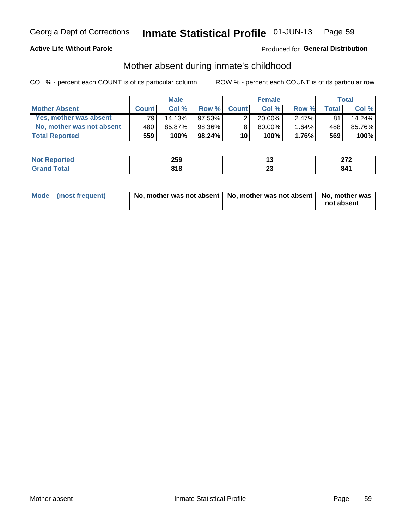## **Active Life Without Parole**

## Produced for General Distribution

## Mother absent during inmate's childhood

COL % - percent each COUNT is of its particular column

|                           |              | <b>Male</b> |           |                 | <b>Female</b> |          |              | Total   |
|---------------------------|--------------|-------------|-----------|-----------------|---------------|----------|--------------|---------|
| <b>Mother Absent</b>      | <b>Count</b> | Col%        | Row %     | <b>Count</b>    | Col%          | Row %    | <b>Total</b> | Col %   |
| Yes, mother was absent    | 791          | 14.13%      | 97.53%    | 2               | $20.00\%$     | $2.47\%$ | 81           | 14.24%  |
| No. mother was not absent | 480          | 85.87%      | 98.36%    | 8               | 80.00%        | 1.64%    | 488          | 85.76%  |
| <b>Total Reported</b>     | 559          | 100%        | $98.24\%$ | 10 <sup>1</sup> | 100%          | $1.76\%$ | 569          | $100\%$ |

| <b>Reported</b><br>NO1 | 259   |    | ^7^<br>--- |
|------------------------|-------|----|------------|
| <b>otal</b>            | 04 O  | ΔJ | 2 A 1      |
| ______                 | 0 I U |    | 04 I       |

| Mode (most frequent) | No, mother was not absent   No, mother was not absent   No, mother was | not absent |
|----------------------|------------------------------------------------------------------------|------------|
|                      |                                                                        |            |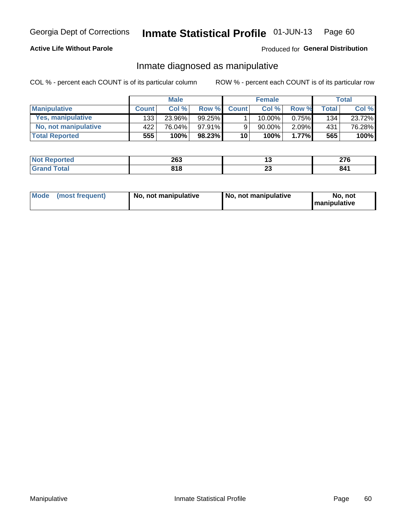## **Active Life Without Parole**

## Produced for General Distribution

## Inmate diagnosed as manipulative

COL % - percent each COUNT is of its particular column

|                          |              | <b>Male</b> |           |              | <b>Female</b> |          |              | Total  |
|--------------------------|--------------|-------------|-----------|--------------|---------------|----------|--------------|--------|
| <b>Manipulative</b>      | <b>Count</b> | Col %       | Row %     | <b>Count</b> | Col %         | Row %    | <b>Total</b> | Col %  |
| <b>Yes, manipulative</b> | 133          | 23.96%      | $99.25\%$ |              | $10.00\%$ .   | $0.75\%$ | 134          | 23.72% |
| No, not manipulative     | 422          | 76.04%      | $97.91\%$ | 9            | 90.00%        | $2.09\%$ | 431          | 76.28% |
| <b>Total Reported</b>    | 555          | 100%        | 98.23%    | 10           | 100%          | 1.77%    | 565          | 100%   |

| <b>Not</b>                   | 200               | . .                 | $\sim$ |
|------------------------------|-------------------|---------------------|--------|
| <b>Reported</b>              | 20J               |                     | 41 V   |
| <b>otal</b><br>Grar<br>_____ | <b>040</b><br>,,, | ^^<br>2 J<br>$\sim$ | 841    |

|  | Mode (most frequent) | No, not manipulative | No, not manipulative | No. not<br><b>I</b> manipulative |
|--|----------------------|----------------------|----------------------|----------------------------------|
|--|----------------------|----------------------|----------------------|----------------------------------|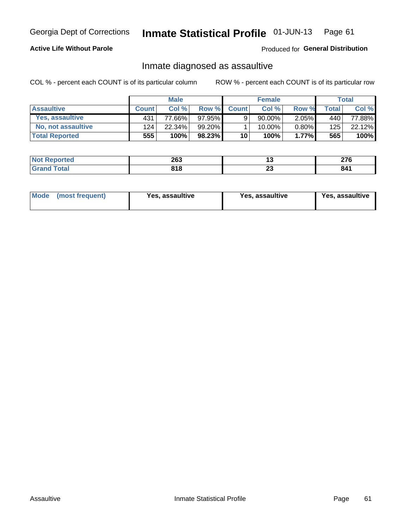#### Inmate Statistical Profile 01-JUN-13 Page 61

## **Active Life Without Parole**

Produced for General Distribution

## Inmate diagnosed as assaultive

COL % - percent each COUNT is of its particular column

|                       |              | <b>Male</b> |         |              | <b>Female</b> |          |       | Total           |
|-----------------------|--------------|-------------|---------|--------------|---------------|----------|-------|-----------------|
| <b>Assaultive</b>     | <b>Count</b> | Col%        | Row %   | <b>Count</b> | Col%          | Row %    | Total | Col %           |
| Yes, assaultive       | 431          | 77.66%      | 97.95%  | 9            | 90.00%        | $2.05\%$ | 440   | 77.88% <b>I</b> |
| No, not assaultive    | 124          | 22.34%      | 99.20%1 |              | 10.00%        | $0.80\%$ | 125   | 22.12%          |
| <b>Total Reported</b> | 555          | 100%        | 98.23%  | 10           | 100%          | $1.77\%$ | 565   | 100%            |

| <b>Not Reported</b> | 263 |   | יים |
|---------------------|-----|---|-----|
| <b>Total</b>        | 818 | ∼ | 841 |

| Mode (most frequent)<br>Yes, assaultive | Yes, assaultive | <b>Yes, assaultive</b> |
|-----------------------------------------|-----------------|------------------------|
|-----------------------------------------|-----------------|------------------------|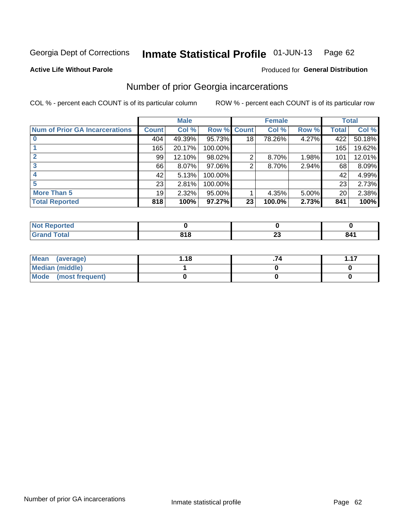#### Inmate Statistical Profile 01-JUN-13 Page 62

#### **Active Life Without Parole**

### Produced for General Distribution

## Number of prior Georgia incarcerations

COL % - percent each COUNT is of its particular column

|                                       |              | <b>Male</b> |             |    | <b>Female</b> |          |       | <b>Total</b> |
|---------------------------------------|--------------|-------------|-------------|----|---------------|----------|-------|--------------|
| <b>Num of Prior GA Incarcerations</b> | <b>Count</b> | Col %       | Row % Count |    | Col %         | Row %    | Total | Col %        |
|                                       | 404          | 49.39%      | 95.73%      | 18 | 78.26%        | 4.27%    | 422   | 50.18%       |
|                                       | 165          | 20.17%      | 100.00%     |    |               |          | 165   | 19.62%       |
|                                       | 99           | 12.10%      | 98.02%      | 2  | 8.70%         | 1.98%    | 101   | 12.01%       |
| 3                                     | 66           | 8.07%       | 97.06%      | 2  | 8.70%         | 2.94%    | 68    | 8.09%        |
|                                       | 42           | 5.13%       | 100.00%     |    |               |          | 42    | 4.99%        |
|                                       | 23           | 2.81%       | 100.00%     |    |               |          | 23    | 2.73%        |
| <b>More Than 5</b>                    | 19           | 2.32%       | 95.00%      |    | 4.35%         | $5.00\%$ | 20    | 2.38%        |
| <b>Total Reported</b>                 | 818          | 100%        | 97.27%      | 23 | 100.0%        | 2.73%    | 841   | 100%         |

| orted<br>N                       |            |   |     |
|----------------------------------|------------|---|-----|
| <b>cotal</b><br>$\mathbf{v}$ and | 04C<br>ם ו | ~ | 841 |

| Mean (average)       | 1.18 | -47 |
|----------------------|------|-----|
| Median (middle)      |      |     |
| Mode (most frequent) |      |     |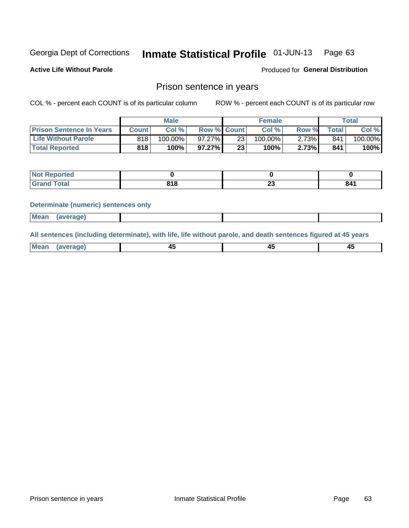#### Inmate Statistical Profile 01-JUN-13 Page 63

**Active Life Without Parole** 

Produced for General Distribution

## Prison sentence in years

COL % - percent each COUNT is of its particular column

ROW % - percent each COUNT is of its particular row

|                                 |         | <b>Male</b> |                    |    | <b>Female</b> |       |             | Total   |
|---------------------------------|---------|-------------|--------------------|----|---------------|-------|-------------|---------|
| <b>Prison Sentence In Years</b> | Count l | Col %       | <b>Row % Count</b> |    | Col %         | Row % | $\tau$ otal | Col %   |
| <b>Life Without Parole</b>      | 818     | $100.00\%$  | $97.27\%$          | 23 | $100.00\%$    | 2.73% | 841         | 100.00% |
| <b>Total Reported</b>           | 818     | 100%        | $97.27\%$          | 23 | 100%          | 2.73% | 841         | 100%    |

| <b>Not Reported</b> |              |   |     |
|---------------------|--------------|---|-----|
| <b>otal</b>         | 0 A O<br>טונ | ~ | 841 |

#### **Determinate (numeric) sentences only**

| <b>Mean</b> | <i>(average)</i> |  |  |
|-------------|------------------|--|--|
|             |                  |  |  |

All sentences (including determinate), with life, life without parole, and death sentences figured at 45 years

| $M$ ea<br>(average) | $\sim$ | ,,<br>т. |
|---------------------|--------|----------|
|                     |        |          |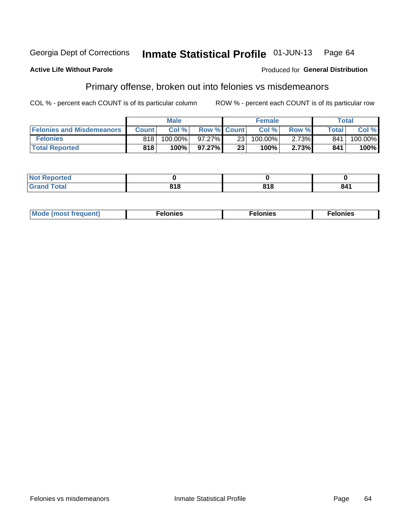#### **Active Life Without Parole**

### Produced for General Distribution

## Primary offense, broken out into felonies vs misdemeanors

COL % - percent each COUNT is of its particular column

|                                  |              | <b>Male</b> |                    |                 | <b>Female</b> |       |              | Total   |
|----------------------------------|--------------|-------------|--------------------|-----------------|---------------|-------|--------------|---------|
| <b>Felonies and Misdemeanors</b> | <b>Count</b> | Col%        | <b>Row % Count</b> |                 | Col%          | Row % | <b>Total</b> | Col %   |
| <b>Felonies</b>                  | 818          | 100.00%     | 97.27%             | 231             | 100.00%       | 2.73% | 841          | 100.00% |
| <b>Total Reported</b>            | 818          | 100%        | 97.27%             | 23 <sub>1</sub> | $100\%$       | 2.73% | 841          | 100%    |

| <b>Not Reported</b> |      |     |     |
|---------------------|------|-----|-----|
| <b>Grand Total</b>  | 04 O | 04C | 841 |
| <b>UIUIU</b>        | טונ  | טוי |     |

| <b>Mode</b><br>frequent)<br>nies<br>≧ (most tr.<br>. | onies<br>. | lonies<br>ею<br>____ |
|------------------------------------------------------|------------|----------------------|
|------------------------------------------------------|------------|----------------------|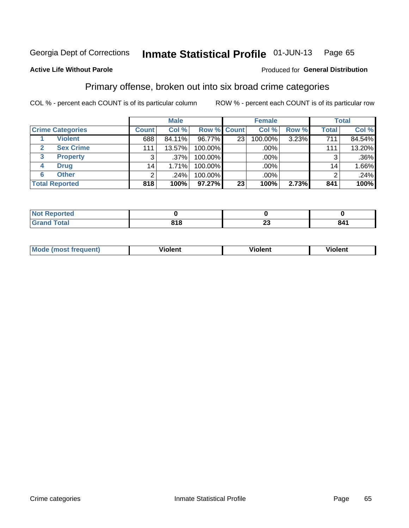#### Inmate Statistical Profile 01-JUN-13 Page 65

## **Active Life Without Parole**

### Produced for General Distribution

## Primary offense, broken out into six broad crime categories

COL % - percent each COUNT is of its particular column

|                         |                 | <b>Male</b> |                    |                 | <b>Female</b> |       |                 | <b>Total</b> |
|-------------------------|-----------------|-------------|--------------------|-----------------|---------------|-------|-----------------|--------------|
| <b>Crime Categories</b> | <b>Count</b>    | Col %       | <b>Row % Count</b> |                 | Col %         | Row % | <b>Total</b>    | Col %        |
| <b>Violent</b>          | 688             | 84.11%      | 96.77%             | 23 <sub>1</sub> | 100.00%       | 3.23% | 711             | 84.54%       |
| <b>Sex Crime</b>        | 111             | 13.57%      | 100.00%            |                 | .00%          |       | 111             | 13.20%       |
| 3<br><b>Property</b>    | 3               | .37%        | 100.00%            |                 | .00%          |       | 3               | $.36\%$      |
| <b>Drug</b><br>4        | 14 <sub>1</sub> | 1.71%       | 100.00%            |                 | .00%          |       | 14 <sub>1</sub> | 1.66%        |
| <b>Other</b><br>6       | $\overline{2}$  | .24%        | 100.00%            |                 | .00%          |       | 2               | .24%         |
| <b>Total Reported</b>   | 818             | 100%        | 97.27%             | 23              | 100%          | 2.73% | 841             | 100%         |

| <b>Not Reported</b> |           |                               |     |
|---------------------|-----------|-------------------------------|-----|
| <b>Total</b>        | 045<br>но | $\overline{\phantom{a}}$<br>∼ | 841 |

| М |   | - -- - |         |
|---|---|--------|---------|
|   | ш | וחי    | 1.91311 |
|   |   |        |         |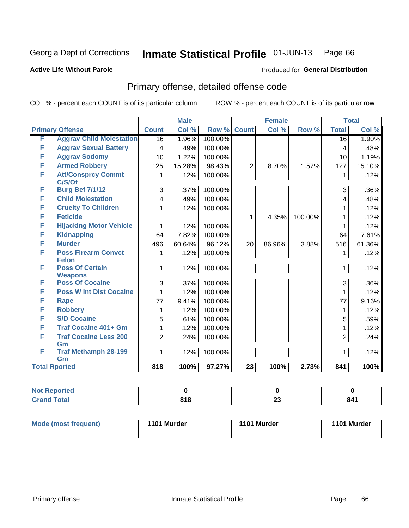#### Inmate Statistical Profile 01-JUN-13 Page 66

#### **Active Life Without Parole**

## **Produced for General Distribution**

## Primary offense, detailed offense code

COL % - percent each COUNT is of its particular column

|   |                                          |                 | <b>Male</b> |         | <b>Female</b>   |        |         | <b>Total</b>    |        |
|---|------------------------------------------|-----------------|-------------|---------|-----------------|--------|---------|-----------------|--------|
|   | <b>Primary Offense</b>                   | <b>Count</b>    | Col %       | Row %   | <b>Count</b>    | Col %  | Row %   | <b>Total</b>    | Col %  |
| F | <b>Aggrav Child Molestation</b>          | $\overline{16}$ | 1.96%       | 100.00% |                 |        |         | $\overline{16}$ | 1.90%  |
| F | <b>Aggrav Sexual Battery</b>             | 4               | .49%        | 100.00% |                 |        |         | 4               | .48%   |
| F | <b>Aggrav Sodomy</b>                     | 10              | 1.22%       | 100.00% |                 |        |         | 10              | 1.19%  |
| F | <b>Armed Robbery</b>                     | 125             | 15.28%      | 98.43%  | $\overline{2}$  | 8.70%  | 1.57%   | 127             | 15.10% |
| F | <b>Att/Consprcy Commt</b><br>C/S/Of      | 1               | .12%        | 100.00% |                 |        |         | 1               | .12%   |
| F | <b>Burg Bef 7/1/12</b>                   | 3               | .37%        | 100.00% |                 |        |         | 3               | .36%   |
| F | <b>Child Molestation</b>                 | 4               | .49%        | 100.00% |                 |        |         | 4               | .48%   |
| F | <b>Cruelty To Children</b>               | 1               | .12%        | 100.00% |                 |        |         | 1               | .12%   |
| F | <b>Feticide</b>                          |                 |             |         | $\mathbf{1}$    | 4.35%  | 100.00% | 1               | .12%   |
| F | <b>Hijacking Motor Vehicle</b>           | 1               | .12%        | 100.00% |                 |        |         | 1               | .12%   |
| F | <b>Kidnapping</b>                        | 64              | 7.82%       | 100.00% |                 |        |         | 64              | 7.61%  |
| F | <b>Murder</b>                            | 496             | 60.64%      | 96.12%  | 20              | 86.96% | 3.88%   | 516             | 61.36% |
| F | <b>Poss Firearm Convct</b>               | 1               | .12%        | 100.00% |                 |        |         | 1               | .12%   |
|   | <b>Felon</b>                             |                 |             |         |                 |        |         |                 |        |
| F | <b>Poss Of Certain</b><br><b>Weapons</b> | 1               | .12%        | 100.00% |                 |        |         | 1               | .12%   |
| F | <b>Poss Of Cocaine</b>                   | 3               | .37%        | 100.00% |                 |        |         | 3               | .36%   |
| F | <b>Poss W Int Dist Cocaine</b>           | 1               | .12%        | 100.00% |                 |        |         | 1               | .12%   |
| F | <b>Rape</b>                              | 77              | 9.41%       | 100.00% |                 |        |         | 77              | 9.16%  |
| F | <b>Robbery</b>                           | 1               | .12%        | 100.00% |                 |        |         | 1               | .12%   |
| F | <b>S/D Cocaine</b>                       | 5               | .61%        | 100.00% |                 |        |         | 5               | .59%   |
| F | <b>Traf Cocaine 401+ Gm</b>              | 1               | .12%        | 100.00% |                 |        |         | 1               | .12%   |
| F | <b>Traf Cocaine Less 200</b><br>Gm       | $\overline{2}$  | .24%        | 100.00% |                 |        |         | $\overline{2}$  | .24%   |
| F | <b>Traf Methamph 28-199</b>              | 1               | .12%        | 100.00% |                 |        |         | 1               | .12%   |
|   | Gm                                       |                 |             |         |                 |        |         |                 |        |
|   | <b>Total Rported</b>                     | 818             | 100%        | 97.27%  | $\overline{23}$ | 100%   | 2.73%   | 841             | 100%   |

| oorted<br>'N ( |            |          |     |
|----------------|------------|----------|-----|
| 'otal          | 040<br>010 | ^^<br>Δv | 841 |

| Mode (most frequent) | 1101 Murder | 1101 Murder | 1101 Murder |
|----------------------|-------------|-------------|-------------|
|                      |             |             |             |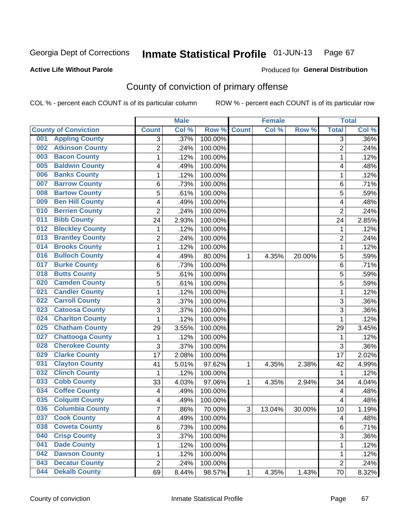### **Active Life Without Parole**

## Produced for **General Distribution**

## County of conviction of primary offense

|                                |                | <b>Male</b> |                  |              | <b>Female</b> |        |                | <b>Total</b> |
|--------------------------------|----------------|-------------|------------------|--------------|---------------|--------|----------------|--------------|
| <b>County of Conviction</b>    | <b>Count</b>   | Col %       | Row <sup>%</sup> | <b>Count</b> | Col %         | Row %  | <b>Total</b>   | Col %        |
| <b>Appling County</b><br>001   | 3              | .37%        | 100.00%          |              |               |        | 3              | .36%         |
| <b>Atkinson County</b><br>002  | $\overline{2}$ | .24%        | 100.00%          |              |               |        | $\overline{2}$ | .24%         |
| <b>Bacon County</b><br>003     | 1              | .12%        | 100.00%          |              |               |        | 1              | .12%         |
| <b>Baldwin County</b><br>005   | 4              | .49%        | 100.00%          |              |               |        | 4              | .48%         |
| <b>Banks County</b><br>006     | 1              | .12%        | 100.00%          |              |               |        | $\mathbf{1}$   | .12%         |
| <b>Barrow County</b><br>007    | 6              | .73%        | 100.00%          |              |               |        | 6              | .71%         |
| <b>Bartow County</b><br>008    | 5              | .61%        | 100.00%          |              |               |        | 5              | .59%         |
| <b>Ben Hill County</b><br>009  | 4              | .49%        | 100.00%          |              |               |        | 4              | .48%         |
| <b>Berrien County</b><br>010   | $\overline{2}$ | .24%        | 100.00%          |              |               |        | $\overline{2}$ | .24%         |
| <b>Bibb County</b><br>011      | 24             | 2.93%       | 100.00%          |              |               |        | 24             | 2.85%        |
| <b>Bleckley County</b><br>012  | 1              | .12%        | 100.00%          |              |               |        | 1              | .12%         |
| <b>Brantley County</b><br>013  | $\overline{2}$ | .24%        | 100.00%          |              |               |        | $\overline{c}$ | .24%         |
| <b>Brooks County</b><br>014    | 1              | .12%        | 100.00%          |              |               |        | $\mathbf{1}$   | .12%         |
| <b>Bulloch County</b><br>016   | 4              | .49%        | 80.00%           | 1            | 4.35%         | 20.00% | 5              | .59%         |
| <b>Burke County</b><br>017     | 6              | .73%        | 100.00%          |              |               |        | 6              | .71%         |
| <b>Butts County</b><br>018     | 5              | .61%        | 100.00%          |              |               |        | 5              | .59%         |
| <b>Camden County</b><br>020    | 5              | .61%        | 100.00%          |              |               |        | 5              | .59%         |
| <b>Candler County</b><br>021   | 1              | .12%        | 100.00%          |              |               |        | 1              | .12%         |
| <b>Carroll County</b><br>022   | 3              | .37%        | 100.00%          |              |               |        | 3              | .36%         |
| <b>Catoosa County</b><br>023   | 3              | .37%        | 100.00%          |              |               |        | $\overline{3}$ | .36%         |
| <b>Charlton County</b><br>024  | 1              | .12%        | 100.00%          |              |               |        | 1              | .12%         |
| <b>Chatham County</b><br>025   | 29             | 3.55%       | 100.00%          |              |               |        | 29             | 3.45%        |
| <b>Chattooga County</b><br>027 | 1              | .12%        | 100.00%          |              |               |        | 1              | .12%         |
| <b>Cherokee County</b><br>028  | 3              | .37%        | 100.00%          |              |               |        | 3              | .36%         |
| <b>Clarke County</b><br>029    | 17             | 2.08%       | 100.00%          |              |               |        | 17             | 2.02%        |
| <b>Clayton County</b><br>031   | 41             | 5.01%       | 97.62%           | 1            | 4.35%         | 2.38%  | 42             | 4.99%        |
| <b>Clinch County</b><br>032    | 1              | .12%        | 100.00%          |              |               |        | 1              | .12%         |
| <b>Cobb County</b><br>033      | 33             | 4.03%       | 97.06%           | 1            | 4.35%         | 2.94%  | 34             | 4.04%        |
| <b>Coffee County</b><br>034    | 4              | .49%        | 100.00%          |              |               |        | 4              | .48%         |
| <b>Colquitt County</b><br>035  | 4              | .49%        | 100.00%          |              |               |        | 4              | .48%         |
| <b>Columbia County</b><br>036  | 7              | .86%        | 70.00%           | 3            | 13.04%        | 30.00% | 10             | 1.19%        |
| 037<br><b>Cook County</b>      | 4              | .49%        | 100.00%          |              |               |        | 4              | .48%         |
| <b>Coweta County</b><br>038    | 6              | .73%        | 100.00%          |              |               |        | 6              | .71%         |
| <b>Crisp County</b><br>040     | 3              | .37%        | 100.00%          |              |               |        | 3              | .36%         |
| <b>Dade County</b><br>041      | 1              | .12%        | 100.00%          |              |               |        | 1              | .12%         |
| <b>Dawson County</b><br>042    | 1              | .12%        | 100.00%          |              |               |        | 1              | .12%         |
| <b>Decatur County</b><br>043   | $\overline{2}$ | .24%        | 100.00%          |              |               |        | $\overline{2}$ | .24%         |
| <b>Dekalb County</b><br>044    | 69             | 8.44%       | 98.57%           | 1            | 4.35%         | 1.43%  | 70             | 8.32%        |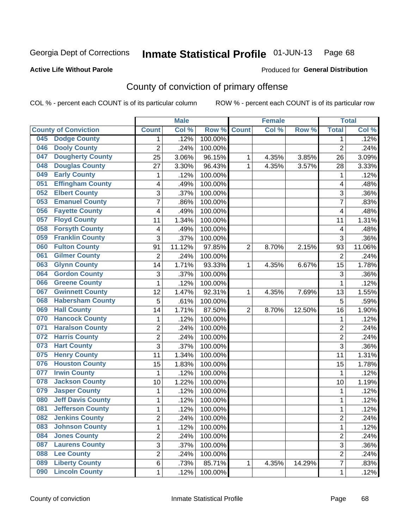### **Active Life Without Parole**

### Produced for **General Distribution**

## County of conviction of primary offense

|     |                             |                         | <b>Male</b> |         |                | <b>Female</b> |        |                 | <b>Total</b> |
|-----|-----------------------------|-------------------------|-------------|---------|----------------|---------------|--------|-----------------|--------------|
|     | <b>County of Conviction</b> | <b>Count</b>            | Col %       | Row %   | <b>Count</b>   | Col %         | Row %  | <b>Total</b>    | Col %        |
| 045 | <b>Dodge County</b>         | 1                       | .12%        | 100.00% |                |               |        | 1               | .12%         |
| 046 | <b>Dooly County</b>         | $\overline{2}$          | .24%        | 100.00% |                |               |        | $\overline{2}$  | .24%         |
| 047 | <b>Dougherty County</b>     | 25                      | 3.06%       | 96.15%  | 1              | 4.35%         | 3.85%  | 26              | 3.09%        |
| 048 | <b>Douglas County</b>       | 27                      | 3.30%       | 96.43%  | 1              | 4.35%         | 3.57%  | 28              | 3.33%        |
| 049 | <b>Early County</b>         | 1                       | .12%        | 100.00% |                |               |        | 1               | .12%         |
| 051 | <b>Effingham County</b>     | 4                       | .49%        | 100.00% |                |               |        | 4               | .48%         |
| 052 | <b>Elbert County</b>        | 3                       | .37%        | 100.00% |                |               |        | 3               | .36%         |
| 053 | <b>Emanuel County</b>       | 7                       | .86%        | 100.00% |                |               |        | 7               | .83%         |
| 056 | <b>Fayette County</b>       | 4                       | .49%        | 100.00% |                |               |        | 4               | .48%         |
| 057 | <b>Floyd County</b>         | 11                      | 1.34%       | 100.00% |                |               |        | 11              | 1.31%        |
| 058 | <b>Forsyth County</b>       | $\overline{\mathbf{4}}$ | .49%        | 100.00% |                |               |        | 4               | .48%         |
| 059 | <b>Franklin County</b>      | 3                       | .37%        | 100.00% |                |               |        | 3               | .36%         |
| 060 | <b>Fulton County</b>        | 91                      | 11.12%      | 97.85%  | $\overline{2}$ | 8.70%         | 2.15%  | 93              | 11.06%       |
| 061 | <b>Gilmer County</b>        | $\overline{2}$          | .24%        | 100.00% |                |               |        | $\overline{2}$  | .24%         |
| 063 | <b>Glynn County</b>         | 14                      | 1.71%       | 93.33%  | 1              | 4.35%         | 6.67%  | $\overline{15}$ | 1.78%        |
| 064 | <b>Gordon County</b>        | 3                       | .37%        | 100.00% |                |               |        | 3               | .36%         |
| 066 | <b>Greene County</b>        | 1                       | .12%        | 100.00% |                |               |        | 1               | .12%         |
| 067 | <b>Gwinnett County</b>      | 12                      | 1.47%       | 92.31%  | 1              | 4.35%         | 7.69%  | 13              | 1.55%        |
| 068 | <b>Habersham County</b>     | $\overline{5}$          | .61%        | 100.00% |                |               |        | 5               | .59%         |
| 069 | <b>Hall County</b>          | 14                      | 1.71%       | 87.50%  | $\overline{2}$ | 8.70%         | 12.50% | 16              | 1.90%        |
| 070 | <b>Hancock County</b>       | 1                       | .12%        | 100.00% |                |               |        | 1               | .12%         |
| 071 | <b>Haralson County</b>      | $\overline{c}$          | .24%        | 100.00% |                |               |        | $\overline{2}$  | .24%         |
| 072 | <b>Harris County</b>        | $\overline{2}$          | .24%        | 100.00% |                |               |        | $\overline{2}$  | .24%         |
| 073 | <b>Hart County</b>          | 3                       | .37%        | 100.00% |                |               |        | 3               | .36%         |
| 075 | <b>Henry County</b>         | 11                      | $1.34\%$    | 100.00% |                |               |        | 11              | 1.31%        |
| 076 | <b>Houston County</b>       | 15                      | 1.83%       | 100.00% |                |               |        | 15              | 1.78%        |
| 077 | <b>Irwin County</b>         | 1                       | .12%        | 100.00% |                |               |        | 1               | .12%         |
| 078 | <b>Jackson County</b>       | 10                      | 1.22%       | 100.00% |                |               |        | 10              | 1.19%        |
| 079 | <b>Jasper County</b>        | 1                       | .12%        | 100.00% |                |               |        | 1               | .12%         |
| 080 | <b>Jeff Davis County</b>    | 1                       | .12%        | 100.00% |                |               |        | 1               | .12%         |
| 081 | <b>Jefferson County</b>     | 1                       | .12%        | 100.00% |                |               |        | 1               | .12%         |
| 082 | <b>Jenkins County</b>       | $\overline{\mathbf{c}}$ | .24%        | 100.00% |                |               |        | 2               | .24%         |
| 083 | <b>Johnson County</b>       | 1                       | .12%        | 100.00% |                |               |        | $\mathbf{1}$    | .12%         |
| 084 | <b>Jones County</b>         | 2                       | .24%        | 100.00% |                |               |        | $\overline{2}$  | .24%         |
| 087 | <b>Laurens County</b>       | $\overline{3}$          | .37%        | 100.00% |                |               |        | $\overline{3}$  | .36%         |
| 088 | <b>Lee County</b>           | 2                       | .24%        | 100.00% |                |               |        | $\overline{2}$  | .24%         |
| 089 | <b>Liberty County</b>       | 6                       | .73%        | 85.71%  | 1              | 4.35%         | 14.29% | $\overline{7}$  | .83%         |
| 090 | <b>Lincoln County</b>       | 1                       | .12%        | 100.00% |                |               |        | 1               | .12%         |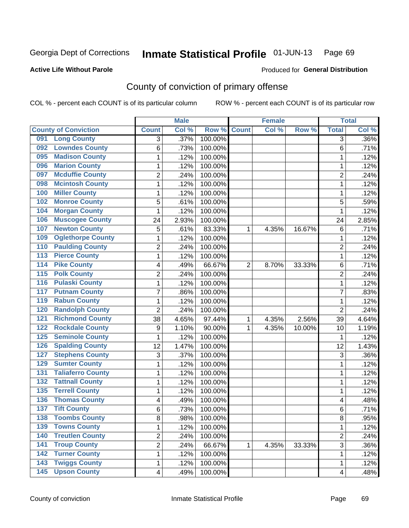#### **Active Life Without Parole**

### Produced for **General Distribution**

## County of conviction of primary offense

|                                         |                  | <b>Male</b> |         | <b>Female</b>  |       |        | <b>Total</b>            |         |
|-----------------------------------------|------------------|-------------|---------|----------------|-------|--------|-------------------------|---------|
| <b>County of Conviction</b>             | <b>Count</b>     | Col %       | Row %   | <b>Count</b>   | Col % | Row %  | <b>Total</b>            | Col %   |
| <b>Long County</b><br>091               | 3                | .37%        | 100.00% |                |       |        | $\overline{3}$          | $.36\%$ |
| <b>Lowndes County</b><br>092            | 6                | .73%        | 100.00% |                |       |        | 6                       | .71%    |
| <b>Madison County</b><br>095            | 1                | .12%        | 100.00% |                |       |        | 1                       | .12%    |
| <b>Marion County</b><br>096             | 1                | .12%        | 100.00% |                |       |        | 1                       | .12%    |
| <b>Mcduffie County</b><br>097           | $\overline{2}$   | .24%        | 100.00% |                |       |        | $\overline{2}$          | .24%    |
| <b>Mcintosh County</b><br>098           | $\mathbf{1}$     | .12%        | 100.00% |                |       |        | $\mathbf 1$             | .12%    |
| <b>Miller County</b><br>100             | 1                | .12%        | 100.00% |                |       |        | 1                       | .12%    |
| <b>Monroe County</b><br>102             | 5                | .61%        | 100.00% |                |       |        | 5                       | .59%    |
| <b>Morgan County</b><br>104             | 1                | .12%        | 100.00% |                |       |        | 1                       | .12%    |
| <b>Muscogee County</b><br>106           | 24               | 2.93%       | 100.00% |                |       |        | 24                      | 2.85%   |
| <b>Newton County</b><br>107             | 5                | .61%        | 83.33%  | 1              | 4.35% | 16.67% | 6                       | .71%    |
| <b>Oglethorpe County</b><br>109         | 1                | .12%        | 100.00% |                |       |        | 1                       | .12%    |
| <b>Paulding County</b><br>110           | $\overline{2}$   | .24%        | 100.00% |                |       |        | $\overline{2}$          | .24%    |
| <b>Pierce County</b><br>113             | $\mathbf{1}$     | .12%        | 100.00% |                |       |        | $\mathbf{1}$            | .12%    |
| <b>Pike County</b><br>$\overline{114}$  | 4                | .49%        | 66.67%  | $\overline{2}$ | 8.70% | 33.33% | 6                       | .71%    |
| <b>Polk County</b><br>115               | $\overline{c}$   | .24%        | 100.00% |                |       |        | $\overline{2}$          | .24%    |
| <b>Pulaski County</b><br>116            | 1                | .12%        | 100.00% |                |       |        | 1                       | .12%    |
| <b>Putnam County</b><br>117             | $\overline{7}$   | .86%        | 100.00% |                |       |        | 7                       | .83%    |
| <b>Rabun County</b><br>119              | 1                | .12%        | 100.00% |                |       |        | 1                       | .12%    |
| <b>Randolph County</b><br>120           | $\overline{2}$   | .24%        | 100.00% |                |       |        | $\overline{2}$          | .24%    |
| <b>Richmond County</b><br>121           | 38               | 4.65%       | 97.44%  | 1              | 4.35% | 2.56%  | 39                      | 4.64%   |
| <b>Rockdale County</b><br>122           | $\boldsymbol{9}$ | 1.10%       | 90.00%  | 1              | 4.35% | 10.00% | 10                      | 1.19%   |
| <b>Seminole County</b><br>125           | 1                | .12%        | 100.00% |                |       |        | 1                       | .12%    |
| <b>Spalding County</b><br>126           | 12               | 1.47%       | 100.00% |                |       |        | 12                      | 1.43%   |
| <b>Stephens County</b><br>127           | 3                | .37%        | 100.00% |                |       |        | 3                       | .36%    |
| <b>Sumter County</b><br>129             | 1                | .12%        | 100.00% |                |       |        | 1                       | .12%    |
| <b>Taliaferro County</b><br>131         | 1                | .12%        | 100.00% |                |       |        | 1                       | .12%    |
| <b>Tattnall County</b><br>132           | 1                | .12%        | 100.00% |                |       |        | 1                       | .12%    |
| <b>Terrell County</b><br>135            | 1                | .12%        | 100.00% |                |       |        | 1                       | .12%    |
| <b>Thomas County</b><br>136             | 4                | .49%        | 100.00% |                |       |        | 4                       | .48%    |
| <b>Tift County</b><br>137               | 6                | .73%        | 100.00% |                |       |        | 6                       | .71%    |
| 138<br><b>Toombs County</b>             | 8                | .98%        | 100.00% |                |       |        | 8                       | .95%    |
| <b>Towns County</b><br>139              | 1                | .12%        | 100.00% |                |       |        | $\mathbf{1}$            | .12%    |
| <b>Treutlen County</b><br>140           | $\overline{c}$   | .24%        | 100.00% |                |       |        | $\overline{2}$          | .24%    |
| <b>Troup County</b><br>141              | 2                | .24%        | 66.67%  | 1              | 4.35% | 33.33% | 3                       | .36%    |
| <b>Turner County</b><br>142             | 1                | .12%        | 100.00% |                |       |        | 1                       | .12%    |
| <b>Twiggs County</b><br>143             | 1                | .12%        | 100.00% |                |       |        | 1                       | .12%    |
| <b>Upson County</b><br>$\overline{145}$ | 4                | .49%        | 100.00% |                |       |        | $\overline{\mathbf{4}}$ | .48%    |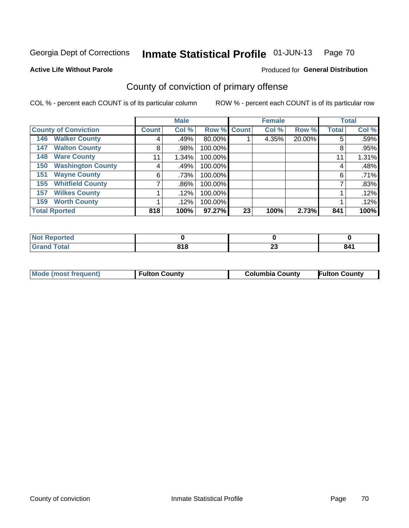#### **Active Life Without Parole**

### Produced for **General Distribution**

## County of conviction of primary offense

|                                 |              | <b>Male</b> |             |    | <b>Female</b> |        |              | <b>Total</b> |
|---------------------------------|--------------|-------------|-------------|----|---------------|--------|--------------|--------------|
| <b>County of Conviction</b>     | <b>Count</b> | Col %       | Row % Count |    | Col %         | Row %  | <b>Total</b> | Col %        |
| <b>Walker County</b><br>146     | 4            | .49%        | 80.00%      |    | 4.35%         | 20.00% | 5            | .59%         |
| <b>Walton County</b><br>147     | 8            | .98%        | 100.00%     |    |               |        | 8            | .95%         |
| <b>Ware County</b><br>148       | 11           | 1.34%       | 100.00%     |    |               |        | 11           | 1.31%        |
| <b>Washington County</b><br>150 | 4            | .49%        | 100.00%     |    |               |        | 4            | .48%         |
| <b>Wayne County</b><br>151      | 6            | .73%        | 100.00%     |    |               |        | 6            | .71%         |
| <b>Whitfield County</b><br>155  | 7            | .86%        | 100.00%     |    |               |        |              | .83%         |
| <b>Wilkes County</b><br>157     |              | .12%        | 100.00%     |    |               |        |              | .12%         |
| <b>Worth County</b><br>159      |              | .12%        | 100.00%     |    |               |        |              | .12%         |
| <b>Total Rported</b>            | 818          | 100%        | 97.27%      | 23 | 100%          | 2.73%  | 841          | 100%         |

| Reported<br>' NOT |     |                    |     |
|-------------------|-----|--------------------|-----|
| <b>Fotal</b>      | 818 | $\sim$<br><u>_</u> | 841 |

| Mode (most frequent) | <b>Fulton County</b> | <b>Columbia County</b> | <b>Fulton County</b> |
|----------------------|----------------------|------------------------|----------------------|
|                      |                      |                        |                      |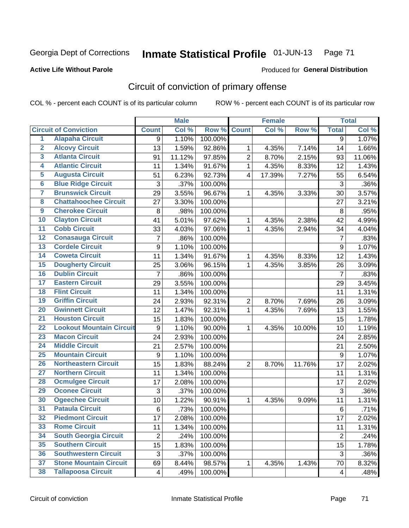### **Active Life Without Parole**

## Produced for **General Distribution**

## Circuit of conviction of primary offense

|                         |                                 |                | <b>Male</b> |         |                         | <b>Female</b> |        | <b>Total</b>            |        |
|-------------------------|---------------------------------|----------------|-------------|---------|-------------------------|---------------|--------|-------------------------|--------|
|                         | <b>Circuit of Conviction</b>    | <b>Count</b>   | Col %       | Row %   | <b>Count</b>            | Col%          | Row %  | <b>Total</b>            | Col %  |
| 1                       | <b>Alapaha Circuit</b>          | 9              | 1.10%       | 100.00% |                         |               |        | $\overline{9}$          | 1.07%  |
| $\overline{2}$          | <b>Alcovy Circuit</b>           | 13             | 1.59%       | 92.86%  | 1                       | 4.35%         | 7.14%  | 14                      | 1.66%  |
| $\overline{\mathbf{3}}$ | <b>Atlanta Circuit</b>          | 91             | 11.12%      | 97.85%  | $\overline{2}$          | 8.70%         | 2.15%  | 93                      | 11.06% |
| 4                       | <b>Atlantic Circuit</b>         | 11             | 1.34%       | 91.67%  | $\mathbf{1}$            | 4.35%         | 8.33%  | 12                      | 1.43%  |
| $\overline{5}$          | <b>Augusta Circuit</b>          | 51             | 6.23%       | 92.73%  | $\overline{\mathbf{4}}$ | 17.39%        | 7.27%  | 55                      | 6.54%  |
| $\overline{6}$          | <b>Blue Ridge Circuit</b>       | 3              | .37%        | 100.00% |                         |               |        | 3                       | .36%   |
| 7                       | <b>Brunswick Circuit</b>        | 29             | 3.55%       | 96.67%  | 1                       | 4.35%         | 3.33%  | 30                      | 3.57%  |
| $\overline{\mathbf{8}}$ | <b>Chattahoochee Circuit</b>    | 27             | 3.30%       | 100.00% |                         |               |        | 27                      | 3.21%  |
| $\overline{9}$          | <b>Cherokee Circuit</b>         | 8              | .98%        | 100.00% |                         |               |        | 8                       | .95%   |
| 10                      | <b>Clayton Circuit</b>          | 41             | 5.01%       | 97.62%  | 1                       | 4.35%         | 2.38%  | 42                      | 4.99%  |
| $\overline{11}$         | <b>Cobb Circuit</b>             | 33             | 4.03%       | 97.06%  | $\mathbf{1}$            | 4.35%         | 2.94%  | 34                      | 4.04%  |
| $\overline{12}$         | <b>Conasauga Circuit</b>        | 7              | .86%        | 100.00% |                         |               |        | $\overline{7}$          | .83%   |
| $\overline{13}$         | <b>Cordele Circuit</b>          | 9              | 1.10%       | 100.00% |                         |               |        | 9                       | 1.07%  |
| $\overline{14}$         | <b>Coweta Circuit</b>           | 11             | 1.34%       | 91.67%  | $\mathbf{1}$            | 4.35%         | 8.33%  | 12                      | 1.43%  |
| 15                      | <b>Dougherty Circuit</b>        | 25             | 3.06%       | 96.15%  | 1                       | 4.35%         | 3.85%  | 26                      | 3.09%  |
| 16                      | <b>Dublin Circuit</b>           | 7              | .86%        | 100.00% |                         |               |        | $\overline{7}$          | .83%   |
| $\overline{17}$         | <b>Eastern Circuit</b>          | 29             | 3.55%       | 100.00% |                         |               |        | 29                      | 3.45%  |
| 18                      | <b>Flint Circuit</b>            | 11             | 1.34%       | 100.00% |                         |               |        | 11                      | 1.31%  |
| 19                      | <b>Griffin Circuit</b>          | 24             | 2.93%       | 92.31%  | $\overline{2}$          | 8.70%         | 7.69%  | 26                      | 3.09%  |
| $\overline{20}$         | <b>Gwinnett Circuit</b>         | 12             | 1.47%       | 92.31%  | 1                       | 4.35%         | 7.69%  | 13                      | 1.55%  |
| $\overline{21}$         | <b>Houston Circuit</b>          | 15             | 1.83%       | 100.00% |                         |               |        | 15                      | 1.78%  |
| $\overline{22}$         | <b>Lookout Mountain Circuit</b> | 9              | 1.10%       | 90.00%  | $\mathbf{1}$            | 4.35%         | 10.00% | 10                      | 1.19%  |
| 23                      | <b>Macon Circuit</b>            | 24             | 2.93%       | 100.00% |                         |               |        | 24                      | 2.85%  |
| $\overline{24}$         | <b>Middle Circuit</b>           | 21             | 2.57%       | 100.00% |                         |               |        | 21                      | 2.50%  |
| $\overline{25}$         | <b>Mountain Circuit</b>         | 9              | 1.10%       | 100.00% |                         |               |        | 9                       | 1.07%  |
| 26                      | <b>Northeastern Circuit</b>     | 15             | 1.83%       | 88.24%  | 2                       | 8.70%         | 11.76% | 17                      | 2.02%  |
| $\overline{27}$         | <b>Northern Circuit</b>         | 11             | 1.34%       | 100.00% |                         |               |        | 11                      | 1.31%  |
| 28                      | <b>Ocmulgee Circuit</b>         | 17             | 2.08%       | 100.00% |                         |               |        | 17                      | 2.02%  |
| 29                      | <b>Oconee Circuit</b>           | 3              | .37%        | 100.00% |                         |               |        | 3                       | .36%   |
| 30                      | <b>Ogeechee Circuit</b>         | 10             | 1.22%       | 90.91%  | 1                       | 4.35%         | 9.09%  | 11                      | 1.31%  |
| $\overline{31}$         | <b>Pataula Circuit</b>          | 6              | .73%        | 100.00% |                         |               |        | 6                       | .71%   |
| 32                      | <b>Piedmont Circuit</b>         | 17             | 2.08%       | 100.00% |                         |               |        | 17                      | 2.02%  |
| 33                      | <b>Rome Circuit</b>             | 11             | 1.34%       | 100.00% |                         |               |        | 11                      | 1.31%  |
| 34                      | <b>South Georgia Circuit</b>    | $\overline{2}$ | .24%        | 100.00% |                         |               |        | $\overline{2}$          | .24%   |
| 35                      | <b>Southern Circuit</b>         | 15             | 1.83%       | 100.00% |                         |               |        | 15                      | 1.78%  |
| 36                      | <b>Southwestern Circuit</b>     | 3              | .37%        | 100.00% |                         |               |        | 3                       | .36%   |
| 37                      | <b>Stone Mountain Circuit</b>   | 69             | 8.44%       | 98.57%  | 1                       | 4.35%         | 1.43%  | 70                      | 8.32%  |
| 38                      | <b>Tallapoosa Circuit</b>       | 4              | .49%        | 100.00% |                         |               |        | $\overline{\mathbf{4}}$ | .48%   |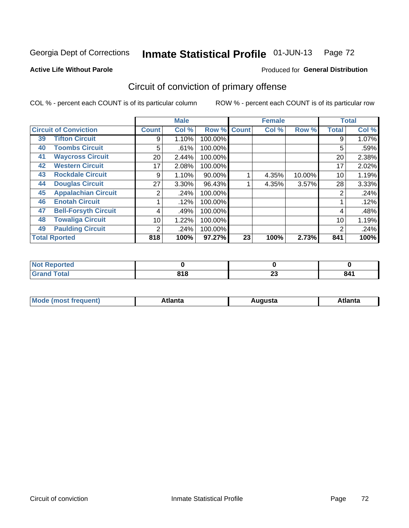**Active Life Without Parole** 

## Produced for **General Distribution**

## Circuit of conviction of primary offense

|                                   |                 | <b>Male</b> |         |              | <b>Female</b> |        |              | <b>Total</b> |  |
|-----------------------------------|-----------------|-------------|---------|--------------|---------------|--------|--------------|--------------|--|
| <b>Circuit of Conviction</b>      | <b>Count</b>    | Col %       | Row %   | <b>Count</b> | Col %         | Row %  | <b>Total</b> | Col %        |  |
| <b>Tifton Circuit</b><br>39       | 9               | 1.10%       | 100.00% |              |               |        | 9            | 1.07%        |  |
| <b>Toombs Circuit</b><br>40       | 5               | .61%        | 100.00% |              |               |        | 5            | .59%         |  |
| <b>Waycross Circuit</b><br>41     | 20 <sub>1</sub> | 2.44%       | 100.00% |              |               |        | 20           | 2.38%        |  |
| <b>Western Circuit</b><br>42      | 17              | 2.08%       | 100.00% |              |               |        | 17           | 2.02%        |  |
| <b>Rockdale Circuit</b><br>43     | 9               | 1.10%       | 90.00%  |              | 4.35%         | 10.00% | 10           | 1.19%        |  |
| <b>Douglas Circuit</b><br>44      | 27              | $3.30\%$    | 96.43%  |              | 4.35%         | 3.57%  | 28           | 3.33%        |  |
| <b>Appalachian Circuit</b><br>45  | 2               | .24%        | 100.00% |              |               |        | 2            | .24%         |  |
| <b>Enotah Circuit</b><br>46       |                 | .12%        | 100.00% |              |               |        |              | .12%         |  |
| <b>Bell-Forsyth Circuit</b><br>47 | 4               | .49%        | 100.00% |              |               |        | 4            | .48%         |  |
| <b>Towaliga Circuit</b><br>48     | 10              | 1.22%       | 100.00% |              |               |        | 10           | 1.19%        |  |
| <b>Paulding Circuit</b><br>49     | 2               | .24%        | 100.00% |              |               |        | 2            | .24%         |  |
| <b>Total Rported</b>              | 818             | 100%        | 97.27%  | 23           | 100%          | 2.73%  | 841          | 100%         |  |

| .<br>eportea |     |    |     |
|--------------|-----|----|-----|
| <b>otal</b>  | 818 | ~~ | DИ  |
| $\sim$       |     | Δv | Ο4. |

| М<br>. Innás<br>.<br>.<br>wanta<br>Πū<br>31.<br>$\sim$ $\sim$ $\sim$ |
|----------------------------------------------------------------------|
|----------------------------------------------------------------------|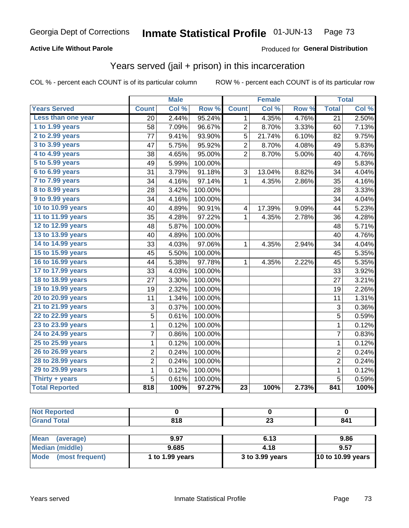### **Active Life Without Parole**

### Produced for **General Distribution**

## Years served (jail + prison) in this incarceration

|                        |                | <b>Male</b> |         |                 | <b>Female</b> |       |                 | <b>Total</b> |
|------------------------|----------------|-------------|---------|-----------------|---------------|-------|-----------------|--------------|
| <b>Years Served</b>    | <b>Count</b>   | Col %       | Row %   | <b>Count</b>    | Col %         | Row % | <b>Total</b>    | Col %        |
| Less than one year     | 20             | 2.44%       | 95.24%  | 1               | 4.35%         | 4.76% | $\overline{21}$ | 2.50%        |
| 1 to 1.99 years        | 58             | 7.09%       | 96.67%  | 2               | 8.70%         | 3.33% | 60              | 7.13%        |
| 2 to 2.99 years        | 77             | 9.41%       | 93.90%  | 5               | 21.74%        | 6.10% | 82              | 9.75%        |
| 3 to 3.99 years        | 47             | 5.75%       | 95.92%  | 2               | 8.70%         | 4.08% | 49              | 5.83%        |
| 4 to 4.99 years        | 38             | 4.65%       | 95.00%  | $\overline{2}$  | 8.70%         | 5.00% | 40              | 4.76%        |
| 5 to 5.99 years        | 49             | 5.99%       | 100.00% |                 |               |       | 49              | 5.83%        |
| 6 to 6.99 years        | 31             | 3.79%       | 91.18%  | 3               | 13.04%        | 8.82% | 34              | 4.04%        |
| 7 to 7.99 years        | 34             | 4.16%       | 97.14%  | $\mathbf{1}$    | 4.35%         | 2.86% | 35              | 4.16%        |
| <b>8 to 8.99 years</b> | 28             | 3.42%       | 100.00% |                 |               |       | 28              | 3.33%        |
| 9 to 9.99 years        | 34             | 4.16%       | 100.00% |                 |               |       | 34              | 4.04%        |
| 10 to 10.99 years      | 40             | 4.89%       | 90.91%  | 4               | 17.39%        | 9.09% | 44              | 5.23%        |
| 11 to 11.99 years      | 35             | 4.28%       | 97.22%  | 1               | 4.35%         | 2.78% | 36              | 4.28%        |
| 12 to 12.99 years      | 48             | 5.87%       | 100.00% |                 |               |       | 48              | 5.71%        |
| 13 to 13.99 years      | 40             | 4.89%       | 100.00% |                 |               |       | 40              | 4.76%        |
| 14 to 14.99 years      | 33             | 4.03%       | 97.06%  | 1               | 4.35%         | 2.94% | 34              | 4.04%        |
| 15 to 15.99 years      | 45             | 5.50%       | 100.00% |                 |               |       | 45              | 5.35%        |
| 16 to 16.99 years      | 44             | 5.38%       | 97.78%  | 1               | 4.35%         | 2.22% | 45              | 5.35%        |
| 17 to 17.99 years      | 33             | 4.03%       | 100.00% |                 |               |       | 33              | 3.92%        |
| 18 to 18.99 years      | 27             | 3.30%       | 100.00% |                 |               |       | 27              | 3.21%        |
| 19 to 19.99 years      | 19             | 2.32%       | 100.00% |                 |               |       | 19              | 2.26%        |
| 20 to 20.99 years      | 11             | 1.34%       | 100.00% |                 |               |       | 11              | 1.31%        |
| 21 to 21.99 years      | 3              | 0.37%       | 100.00% |                 |               |       | 3               | 0.36%        |
| 22 to 22.99 years      | 5              | 0.61%       | 100.00% |                 |               |       | 5               | 0.59%        |
| 23 to 23.99 years      | $\mathbf 1$    | 0.12%       | 100.00% |                 |               |       | $\overline{1}$  | 0.12%        |
| 24 to 24.99 years      | 7              | 0.86%       | 100.00% |                 |               |       | 7               | 0.83%        |
| 25 to 25.99 years      | 1              | 0.12%       | 100.00% |                 |               |       | 1               | 0.12%        |
| 26 to 26.99 years      | $\overline{c}$ | 0.24%       | 100.00% |                 |               |       | $\overline{c}$  | $0.24\%$     |
| 28 to 28.99 years      | $\overline{2}$ | 0.24%       | 100.00% |                 |               |       | $\overline{2}$  | 0.24%        |
| 29 to 29.99 years      | $\mathbf 1$    | 0.12%       | 100.00% |                 |               |       | $\mathbf 1$     | 0.12%        |
| Thirty + years         | 5              | 0.61%       | 100.00% |                 |               |       | 5               | 0.59%        |
| <b>Total Reported</b>  | 818            | 100%        | 97.27%  | $\overline{23}$ | 100%          | 2.73% | 841             | 100%         |

| <b>Not Reported</b>      |                 |                 |                          |
|--------------------------|-----------------|-----------------|--------------------------|
| <b>Grand Total</b>       | 818             | 23              | 841                      |
|                          |                 |                 |                          |
| <b>Mean</b><br>(average) | 9.97            | 6.13            | 9.86                     |
| <b>Median (middle)</b>   | 9.685           | 4.18            | 9.57                     |
| Mode (most frequent)     | 1 to 1.99 years | 3 to 3.99 years | <b>10 to 10.99 years</b> |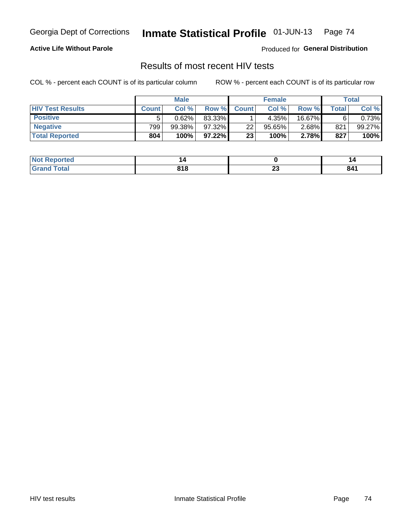### **Active Life Without Parole**

Produced for **General Distribution**

## Results of most recent HIV tests

|                         | <b>Male</b>  |           |           | <b>Female</b>   |           |          | Total              |        |
|-------------------------|--------------|-----------|-----------|-----------------|-----------|----------|--------------------|--------|
| <b>HIV Test Results</b> | <b>Count</b> | Col%      | Row %I    | <b>Count</b>    | Col %     | Row %    | Total <sub>I</sub> | Col %  |
| <b>Positive</b>         |              | 0.62%     | 83.33%    |                 | 4.35%     | 16.67%   |                    | 0.73%  |
| <b>Negative</b>         | 799          | $99.38\%$ | 97.32%    | 22 <sub>1</sub> | $95.65\%$ | $2.68\%$ | 821                | 99.27% |
| <b>Total Reported</b>   | 804          | 100%      | $97.22\%$ | 23              | 100%      | 2.78%    | 827                | 100%   |

| <b>Not</b><br>ported             | ı                           |          | ı                                                |
|----------------------------------|-----------------------------|----------|--------------------------------------------------|
| $\sim$ $\sim$<br>$\sim$ - $\sim$ | <b>040</b><br>ם ו כ<br>$ -$ | ^^<br>Δv | 84'<br>$\sim$ $\sim$ $\sim$ $\sim$ $\sim$ $\sim$ |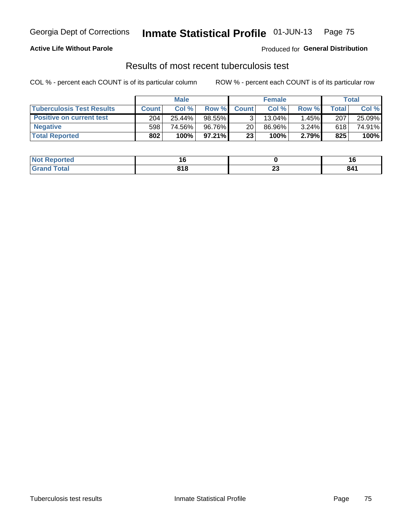### **Active Life Without Parole**

Produced for **General Distribution**

## Results of most recent tuberculosis test

|                                  | <b>Male</b>  |        |           | <b>Female</b> |           |          | Total        |        |
|----------------------------------|--------------|--------|-----------|---------------|-----------|----------|--------------|--------|
| <b>Tuberculosis Test Results</b> | <b>Count</b> | Col%   | Row %I    | <b>Count</b>  | Col%      | Row %    | <b>Total</b> | Col %  |
| <b>Positive on current test</b>  | 204          | 25.44% | $98.55\%$ |               | $13.04\%$ | 1.45%    | 207          | 25.09% |
| <b>Negative</b>                  | 598          | 74.56% | 96.76%    | 20            | 86.96%    | $3.24\%$ | 618          | 74.91% |
| <b>Total Reported</b>            | 802          | 100%   | $97.21\%$ | 23            | 100%      | 2.79%    | 825          | 100%   |

| <b>ported</b><br>I NOT | . U   |    | 10                                               |
|------------------------|-------|----|--------------------------------------------------|
| <b>otal</b>            | 04C   | ^^ | 84 <sup>′</sup>                                  |
|                        | 0 I O | -- | $\sim$ $\sim$ $\sim$ $\sim$ $\sim$ $\sim$ $\sim$ |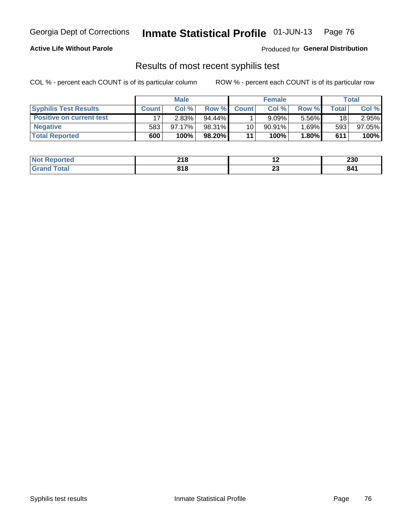#### **Active Life Without Parole**

Produced for **General Distribution**

## Results of most recent syphilis test

|                                 | <b>Male</b>  |           |           | <b>Female</b> |           |          | Total |        |
|---------------------------------|--------------|-----------|-----------|---------------|-----------|----------|-------|--------|
| <b>Syphilis Test Results</b>    | <b>Count</b> | Col %     | Row %     | <b>Count</b>  | Col %     | Row %I   | Total | Col %  |
| <b>Positive on current test</b> |              | 2.83%     | $94.44\%$ |               | 9.09%     | 5.56%    | 18    | 2.95%  |
| <b>Negative</b>                 | 583          | $97.17\%$ | 98.31%    | 10            | $90.91\%$ | $1.69\%$ | 593   | 97.05% |
| <b>Total Reported</b>           | 600          | 100%      | 98.20%    | 11            | 100%      | 1.80%    | 611   | 100%   |

| <b>Not Reported</b> | 218 | . .      | 230                                              |
|---------------------|-----|----------|--------------------------------------------------|
| <b>Total</b>        | 818 | ~~<br>Δv | 841<br>$\sim$ $\sim$ $\sim$ $\sim$ $\sim$ $\sim$ |